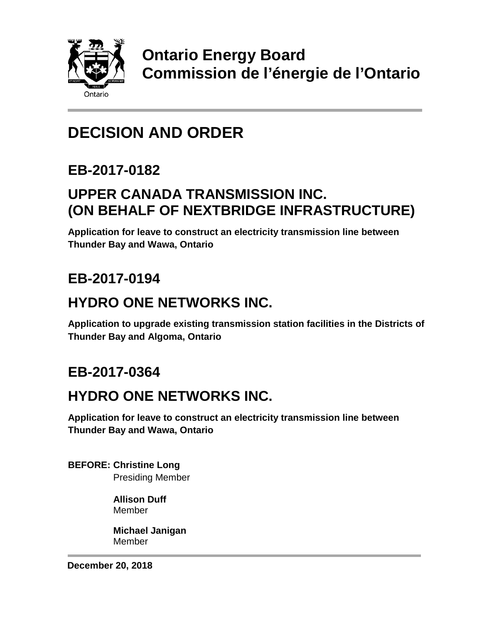

**Ontario Energy Board Commission de l'énergie de l'Ontario**

# **DECISION AND ORDER**

## **EB-2017-0182**

## **UPPER CANADA TRANSMISSION INC. (ON BEHALF OF NEXTBRIDGE INFRASTRUCTURE)**

**Application for leave to construct an electricity transmission line between Thunder Bay and Wawa, Ontario**

# **EB-2017-0194**

# **HYDRO ONE NETWORKS INC.**

**Application to upgrade existing transmission station facilities in the Districts of Thunder Bay and Algoma, Ontario**

# **EB-2017-0364**

# **HYDRO ONE NETWORKS INC.**

**Application for leave to construct an electricity transmission line between Thunder Bay and Wawa, Ontario**

**BEFORE: Christine Long** Presiding Member

> **Allison Duff** Member

**Michael Janigan** Member

**December 20, 2018**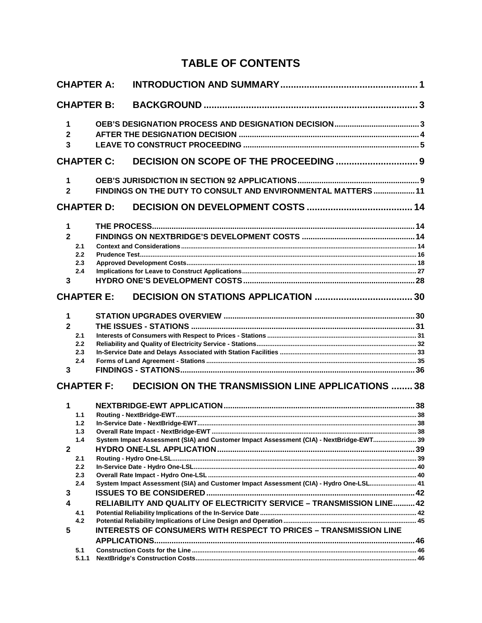### **TABLE OF CONTENTS**

|                                                | <b>CHAPTER A:</b> |                                                                                         |  |
|------------------------------------------------|-------------------|-----------------------------------------------------------------------------------------|--|
|                                                | <b>CHAPTER B:</b> |                                                                                         |  |
| 1<br>$\overline{2}$<br>$\overline{\mathbf{3}}$ |                   |                                                                                         |  |
|                                                | <b>CHAPTER C:</b> |                                                                                         |  |
| $\mathbf 1$<br>$\overline{2}$                  |                   | FINDINGS ON THE DUTY TO CONSULT AND ENVIRONMENTAL MATTERS  11                           |  |
|                                                | <b>CHAPTER D:</b> |                                                                                         |  |
| 1<br>$\mathbf{2}$                              |                   |                                                                                         |  |
|                                                | 2.1               |                                                                                         |  |
|                                                | 2.2<br>2.3        |                                                                                         |  |
|                                                | 2.4               |                                                                                         |  |
| 3                                              |                   |                                                                                         |  |
|                                                | <b>CHAPTER E:</b> |                                                                                         |  |
| 1                                              |                   |                                                                                         |  |
| $\mathbf{2}$                                   |                   |                                                                                         |  |
|                                                | 2.1               |                                                                                         |  |
|                                                | 2.2<br>2.3        |                                                                                         |  |
|                                                | 2.4               |                                                                                         |  |
| $\overline{\mathbf{3}}$                        |                   |                                                                                         |  |
|                                                | <b>CHAPTER F:</b> | <b>DECISION ON THE TRANSMISSION LINE APPLICATIONS  38</b>                               |  |
| 1                                              |                   |                                                                                         |  |
|                                                | 1.1               |                                                                                         |  |
|                                                | 1.2<br>1.3        |                                                                                         |  |
|                                                | 1.4               | System Impact Assessment (SIA) and Customer Impact Assessment (CIA) - NextBridge-EWT 39 |  |
| $\mathbf{2}$                                   |                   |                                                                                         |  |
|                                                | 2.1               |                                                                                         |  |
|                                                | 2.2               |                                                                                         |  |
|                                                | 2.3<br>2.4        | System Impact Assessment (SIA) and Customer Impact Assessment (CIA) - Hydro One-LSL 41  |  |
| 3                                              |                   |                                                                                         |  |
| 4                                              |                   | RELIABILITY AND QUALITY OF ELECTRICITY SERVICE - TRANSMISSION LINE 42                   |  |
|                                                | 4.1               |                                                                                         |  |
|                                                | 4.2               |                                                                                         |  |
| 5                                              |                   | <b>INTERESTS OF CONSUMERS WITH RESPECT TO PRICES - TRANSMISSION LINE</b>                |  |
|                                                |                   |                                                                                         |  |
|                                                | 5.1<br>5.1.1      |                                                                                         |  |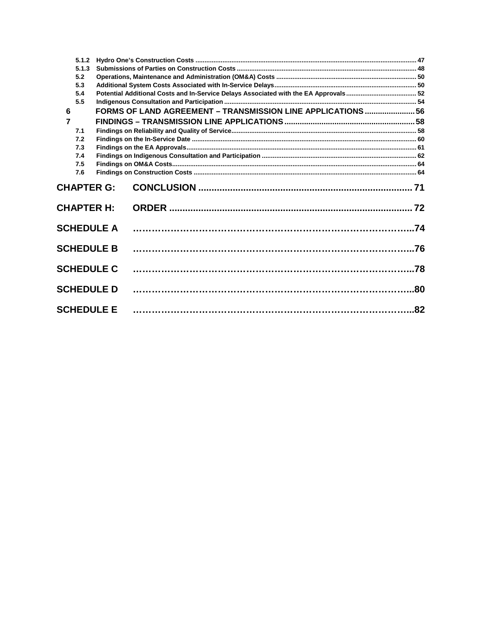| 5.1.2             |                                                              |  |
|-------------------|--------------------------------------------------------------|--|
| 5.1.3             |                                                              |  |
| 5.2               |                                                              |  |
| 5.3               |                                                              |  |
| 5.4               |                                                              |  |
| 5.5               |                                                              |  |
| 6                 | FORMS OF LAND AGREEMENT - TRANSMISSION LINE APPLICATIONS  56 |  |
| $\overline{7}$    |                                                              |  |
| 7.1               |                                                              |  |
| 7.2               |                                                              |  |
| 7.3               |                                                              |  |
| 7.4               |                                                              |  |
| 7.5               |                                                              |  |
| 7.6               |                                                              |  |
| <b>CHAPTER G:</b> |                                                              |  |
| <b>CHAPTER H:</b> |                                                              |  |
| <b>SCHEDULE A</b> |                                                              |  |
| <b>SCHEDULE B</b> |                                                              |  |
| <b>SCHEDULE C</b> |                                                              |  |
| <b>SCHEDULE D</b> |                                                              |  |
| <b>SCHEDULE E</b> |                                                              |  |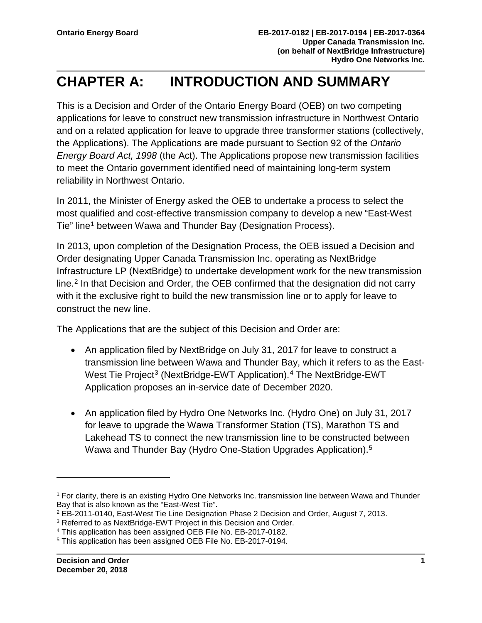# <span id="page-3-0"></span>**CHAPTER A: INTRODUCTION AND SUMMARY**

This is a Decision and Order of the Ontario Energy Board (OEB) on two competing applications for leave to construct new transmission infrastructure in Northwest Ontario and on a related application for leave to upgrade three transformer stations (collectively, the Applications). The Applications are made pursuant to Section 92 of the *Ontario Energy Board Act, 1998* (the Act). The Applications propose new transmission facilities to meet the Ontario government identified need of maintaining long-term system reliability in Northwest Ontario.

In 2011, the Minister of Energy asked the OEB to undertake a process to select the most qualified and cost-effective transmission company to develop a new "East-West Tie" line<sup>[1](#page-3-1)</sup> between Wawa and Thunder Bay (Designation Process).

In 2013, upon completion of the Designation Process, the OEB issued a Decision and Order designating Upper Canada Transmission Inc. operating as NextBridge Infrastructure LP (NextBridge) to undertake development work for the new transmission  $\text{line.}^2$  $\text{line.}^2$  In that Decision and Order, the OEB confirmed that the designation did not carry with it the exclusive right to build the new transmission line or to apply for leave to construct the new line.

The Applications that are the subject of this Decision and Order are:

- An application filed by NextBridge on July 31, 2017 for leave to construct a transmission line between Wawa and Thunder Bay, which it refers to as the East-West Tie Project<sup>[3](#page-3-3)</sup> (NextBridge-EWT Application).<sup>[4](#page-3-4)</sup> The NextBridge-EWT Application proposes an in-service date of December 2020.
- An application filed by Hydro One Networks Inc. (Hydro One) on July 31, 2017 for leave to upgrade the Wawa Transformer Station (TS), Marathon TS and Lakehead TS to connect the new transmission line to be constructed between Wawa and Thunder Bay (Hydro One-Station Upgrades Application).[5](#page-3-5)

<span id="page-3-1"></span><sup>1</sup> For clarity, there is an existing Hydro One Networks Inc. transmission line between Wawa and Thunder Bay that is also known as the "East-West Tie".

<span id="page-3-2"></span><sup>2</sup> EB-2011-0140, East-West Tie Line Designation Phase 2 Decision and Order, August 7, 2013.

<span id="page-3-3"></span><sup>&</sup>lt;sup>3</sup> Referred to as NextBridge-EWT Project in this Decision and Order.

<span id="page-3-4"></span><sup>4</sup> This application has been assigned OEB File No. EB-2017-0182.

<span id="page-3-5"></span><sup>5</sup> This application has been assigned OEB File No. EB-2017-0194.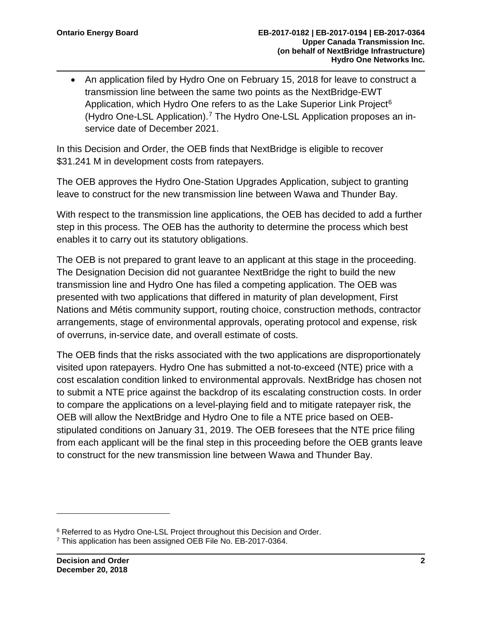• An application filed by Hydro One on February 15, 2018 for leave to construct a transmission line between the same two points as the NextBridge-EWT Application, which Hydro One refers to as the Lake Superior Link Project<sup>[6](#page-4-0)</sup> (Hydro One-LSL Application).<sup>[7](#page-4-1)</sup> The Hydro One-LSL Application proposes an inservice date of December 2021.

In this Decision and Order, the OEB finds that NextBridge is eligible to recover \$31.241 M in development costs from ratepayers.

The OEB approves the Hydro One-Station Upgrades Application, subject to granting leave to construct for the new transmission line between Wawa and Thunder Bay.

With respect to the transmission line applications, the OEB has decided to add a further step in this process. The OEB has the authority to determine the process which best enables it to carry out its statutory obligations.

The OEB is not prepared to grant leave to an applicant at this stage in the proceeding. The Designation Decision did not guarantee NextBridge the right to build the new transmission line and Hydro One has filed a competing application. The OEB was presented with two applications that differed in maturity of plan development, First Nations and Métis community support, routing choice, construction methods, contractor arrangements, stage of environmental approvals, operating protocol and expense, risk of overruns, in-service date, and overall estimate of costs.

The OEB finds that the risks associated with the two applications are disproportionately visited upon ratepayers. Hydro One has submitted a not-to-exceed (NTE) price with a cost escalation condition linked to environmental approvals. NextBridge has chosen not to submit a NTE price against the backdrop of its escalating construction costs. In order to compare the applications on a level-playing field and to mitigate ratepayer risk, the OEB will allow the NextBridge and Hydro One to file a NTE price based on OEBstipulated conditions on January 31, 2019. The OEB foresees that the NTE price filing from each applicant will be the final step in this proceeding before the OEB grants leave to construct for the new transmission line between Wawa and Thunder Bay.

<span id="page-4-0"></span><sup>&</sup>lt;sup>6</sup> Referred to as Hydro One-LSL Project throughout this Decision and Order.

<span id="page-4-1"></span><sup>7</sup> This application has been assigned OEB File No. EB-2017-0364.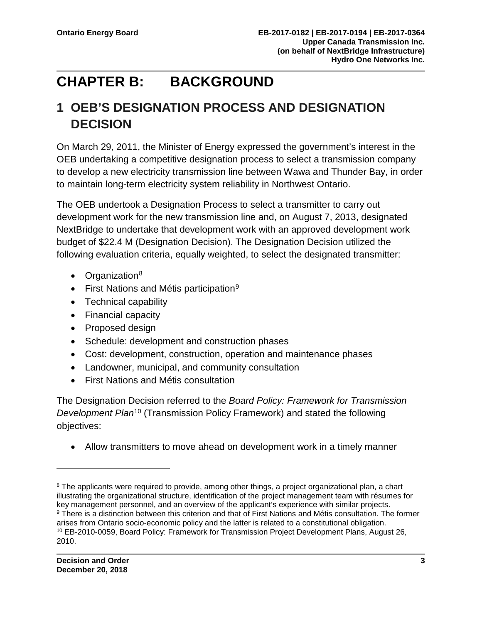# <span id="page-5-0"></span>**CHAPTER B: BACKGROUND**

## <span id="page-5-1"></span>**1 OEB'S DESIGNATION PROCESS AND DESIGNATION DECISION**

On March 29, 2011, the Minister of Energy expressed the government's interest in the OEB undertaking a competitive designation process to select a transmission company to develop a new electricity transmission line between Wawa and Thunder Bay, in order to maintain long-term electricity system reliability in Northwest Ontario.

The OEB undertook a Designation Process to select a transmitter to carry out development work for the new transmission line and, on August 7, 2013, designated NextBridge to undertake that development work with an approved development work budget of \$22.4 M (Designation Decision). The Designation Decision utilized the following evaluation criteria, equally weighted, to select the designated transmitter:

- Organization $8$
- First Nations and Métis participation<sup>[9](#page-5-3)</sup>
- Technical capability
- Financial capacity
- Proposed design
- Schedule: development and construction phases
- Cost: development, construction, operation and maintenance phases
- Landowner, municipal, and community consultation
- First Nations and Métis consultation

The Designation Decision referred to the *Board Policy: Framework for Transmission Development Plan*[10](#page-5-4) (Transmission Policy Framework) and stated the following objectives:

• Allow transmitters to move ahead on development work in a timely manner

<span id="page-5-4"></span><span id="page-5-3"></span><span id="page-5-2"></span><sup>&</sup>lt;sup>8</sup> The applicants were required to provide, among other things, a project organizational plan, a chart illustrating the organizational structure, identification of the project management team with résumes for key management personnel, and an overview of the applicant's experience with similar projects. <sup>9</sup> There is a distinction between this criterion and that of First Nations and Métis consultation. The former arises from Ontario socio-economic policy and the latter is related to a constitutional obligation. <sup>10</sup> EB-2010-0059, Board Policy: Framework for Transmission Project Development Plans, August 26, 2010.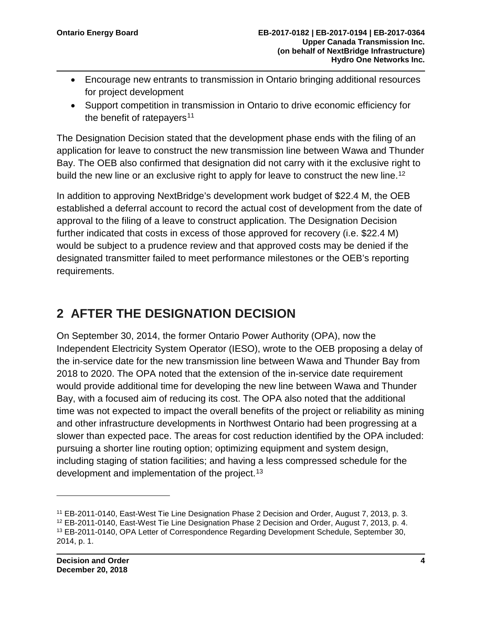- Encourage new entrants to transmission in Ontario bringing additional resources for project development
- Support competition in transmission in Ontario to drive economic efficiency for the benefit of ratepayers<sup>[11](#page-6-1)</sup>

The Designation Decision stated that the development phase ends with the filing of an application for leave to construct the new transmission line between Wawa and Thunder Bay. The OEB also confirmed that designation did not carry with it the exclusive right to build the new line or an exclusive right to apply for leave to construct the new line.<sup>[12](#page-6-2)</sup>

In addition to approving NextBridge's development work budget of \$22.4 M, the OEB established a deferral account to record the actual cost of development from the date of approval to the filing of a leave to construct application. The Designation Decision further indicated that costs in excess of those approved for recovery (i.e. \$22.4 M) would be subject to a prudence review and that approved costs may be denied if the designated transmitter failed to meet performance milestones or the OEB's reporting requirements.

## <span id="page-6-0"></span>**2 AFTER THE DESIGNATION DECISION**

On September 30, 2014, the former Ontario Power Authority (OPA), now the Independent Electricity System Operator (IESO), wrote to the OEB proposing a delay of the in-service date for the new transmission line between Wawa and Thunder Bay from 2018 to 2020. The OPA noted that the extension of the in-service date requirement would provide additional time for developing the new line between Wawa and Thunder Bay, with a focused aim of reducing its cost. The OPA also noted that the additional time was not expected to impact the overall benefits of the project or reliability as mining and other infrastructure developments in Northwest Ontario had been progressing at a slower than expected pace. The areas for cost reduction identified by the OPA included: pursuing a shorter line routing option; optimizing equipment and system design, including staging of station facilities; and having a less compressed schedule for the development and implementation of the project.<sup>[13](#page-6-3)</sup>

<span id="page-6-3"></span><span id="page-6-2"></span><span id="page-6-1"></span><sup>11</sup> EB-2011-0140, East-West Tie Line Designation Phase 2 Decision and Order, August 7, 2013, p. 3. <sup>12</sup> EB-2011-0140, East-West Tie Line Designation Phase 2 Decision and Order, August 7, 2013, p. 4. <sup>13</sup> EB-2011-0140, OPA Letter of Correspondence Regarding Development Schedule, September 30, 2014, p. 1.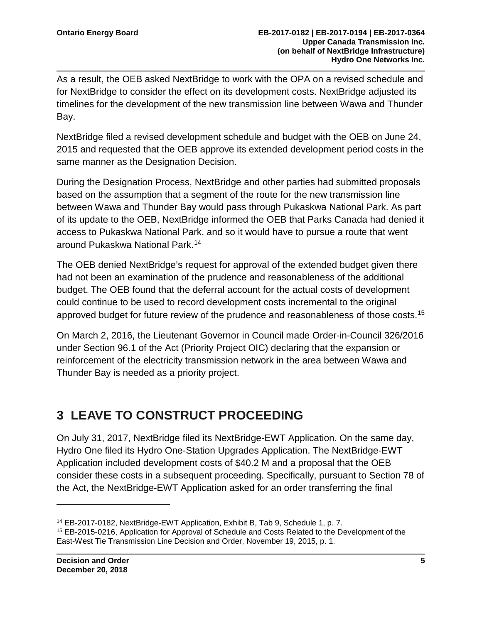As a result, the OEB asked NextBridge to work with the OPA on a revised schedule and for NextBridge to consider the effect on its development costs. NextBridge adjusted its timelines for the development of the new transmission line between Wawa and Thunder Bay.

NextBridge filed a revised development schedule and budget with the OEB on June 24, 2015 and requested that the OEB approve its extended development period costs in the same manner as the Designation Decision.

During the Designation Process, NextBridge and other parties had submitted proposals based on the assumption that a segment of the route for the new transmission line between Wawa and Thunder Bay would pass through Pukaskwa National Park. As part of its update to the OEB, NextBridge informed the OEB that Parks Canada had denied it access to Pukaskwa National Park, and so it would have to pursue a route that went around Pukaskwa National Park. [14](#page-7-1)

The OEB denied NextBridge's request for approval of the extended budget given there had not been an examination of the prudence and reasonableness of the additional budget. The OEB found that the deferral account for the actual costs of development could continue to be used to record development costs incremental to the original approved budget for future review of the prudence and reasonableness of those costs.<sup>[15](#page-7-2)</sup>

On March 2, 2016, the Lieutenant Governor in Council made Order-in-Council 326/2016 under Section 96.1 of the Act (Priority Project OIC) declaring that the expansion or reinforcement of the electricity transmission network in the area between Wawa and Thunder Bay is needed as a priority project.

## <span id="page-7-0"></span>**3 LEAVE TO CONSTRUCT PROCEEDING**

On July 31, 2017, NextBridge filed its NextBridge-EWT Application. On the same day, Hydro One filed its Hydro One-Station Upgrades Application. The NextBridge-EWT Application included development costs of \$40.2 M and a proposal that the OEB consider these costs in a subsequent proceeding. Specifically, pursuant to Section 78 of the Act, the NextBridge-EWT Application asked for an order transferring the final

<span id="page-7-1"></span><sup>14</sup> EB-2017-0182, NextBridge-EWT Application, Exhibit B, Tab 9, Schedule 1, p. 7.

<span id="page-7-2"></span><sup>15</sup> EB-2015-0216, Application for Approval of Schedule and Costs Related to the Development of the East-West Tie Transmission Line Decision and Order, November 19, 2015, p. 1.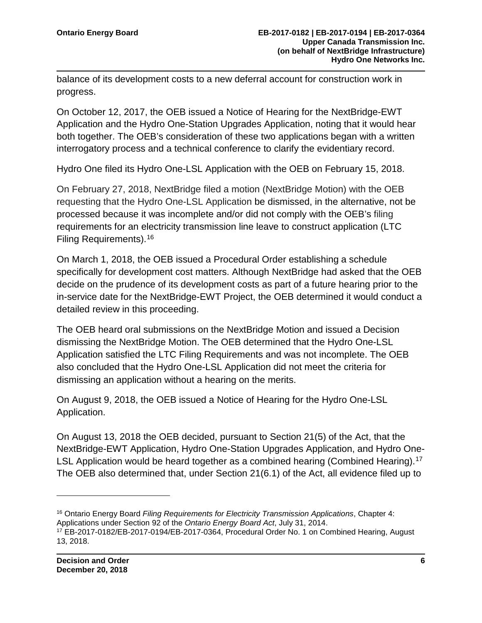balance of its development costs to a new deferral account for construction work in progress.

On October 12, 2017, the OEB issued a Notice of Hearing for the NextBridge-EWT Application and the Hydro One-Station Upgrades Application, noting that it would hear both together. The OEB's consideration of these two applications began with a written interrogatory process and a technical conference to clarify the evidentiary record.

Hydro One filed its Hydro One-LSL Application with the OEB on February 15, 2018.

On February 27, 2018, NextBridge filed a motion (NextBridge Motion) with the OEB requesting that the Hydro One-LSL Application be dismissed, in the alternative, not be processed because it was incomplete and/or did not comply with the OEB's filing requirements for an electricity transmission line leave to construct application (LTC Filing Requirements).[16](#page-8-0)

On March 1, 2018, the OEB issued a Procedural Order establishing a schedule specifically for development cost matters. Although NextBridge had asked that the OEB decide on the prudence of its development costs as part of a future hearing prior to the in-service date for the NextBridge-EWT Project, the OEB determined it would conduct a detailed review in this proceeding.

The OEB heard oral submissions on the NextBridge Motion and issued a Decision dismissing the NextBridge Motion. The OEB determined that the Hydro One-LSL Application satisfied the LTC Filing Requirements and was not incomplete. The OEB also concluded that the Hydro One-LSL Application did not meet the criteria for dismissing an application without a hearing on the merits.

On August 9, 2018, the OEB issued a Notice of Hearing for the Hydro One-LSL Application.

On August 13, 2018 the OEB decided, pursuant to Section 21(5) of the Act, that the NextBridge-EWT Application, Hydro One-Station Upgrades Application, and Hydro One-LSL Application would be heard together as a combined hearing (Combined Hearing).<sup>[17](#page-8-1)</sup> The OEB also determined that, under Section 21(6.1) of the Act, all evidence filed up to

<span id="page-8-0"></span><sup>16</sup> Ontario Energy Board *Filing Requirements for Electricity Transmission Applications*, Chapter 4: Applications under Section 92 of the *Ontario Energy Board Act*, July 31, 2014.

<span id="page-8-1"></span><sup>17</sup> EB-2017-0182/EB-2017-0194/EB-2017-0364, Procedural Order No. 1 on Combined Hearing, August 13, 2018.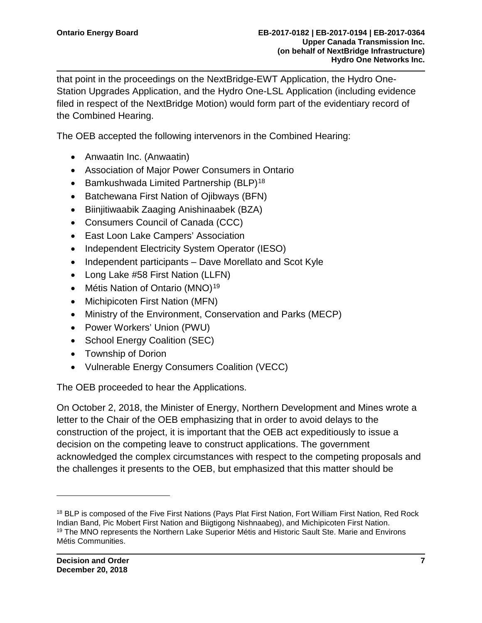that point in the proceedings on the NextBridge-EWT Application, the Hydro One-Station Upgrades Application, and the Hydro One-LSL Application (including evidence filed in respect of the NextBridge Motion) would form part of the evidentiary record of the Combined Hearing.

The OEB accepted the following intervenors in the Combined Hearing:

- Anwaatin Inc. (Anwaatin)
- Association of Major Power Consumers in Ontario
- Bamkushwada Limited Partnership (BLP)<sup>[18](#page-9-0)</sup>
- Batchewana First Nation of Ojibways (BFN)
- Biinjitiwaabik Zaaging Anishinaabek (BZA)
- Consumers Council of Canada (CCC)
- East Loon Lake Campers' Association
- Independent Electricity System Operator (IESO)
- Independent participants Dave Morellato and Scot Kyle
- Long Lake #58 First Nation (LLFN)
- Métis Nation of Ontario (MNO)<sup>[19](#page-9-1)</sup>
- Michipicoten First Nation (MFN)
- Ministry of the Environment, Conservation and Parks (MECP)
- Power Workers' Union (PWU)
- School Energy Coalition (SEC)
- Township of Dorion
- Vulnerable Energy Consumers Coalition (VECC)

The OEB proceeded to hear the Applications.

On October 2, 2018, the Minister of Energy, Northern Development and Mines wrote a letter to the Chair of the OEB emphasizing that in order to avoid delays to the construction of the project, it is important that the OEB act expeditiously to issue a decision on the competing leave to construct applications. The government acknowledged the complex circumstances with respect to the competing proposals and the challenges it presents to the OEB, but emphasized that this matter should be

<span id="page-9-1"></span><span id="page-9-0"></span><sup>&</sup>lt;sup>18</sup> BLP is composed of the Five First Nations (Pays Plat First Nation, Fort William First Nation, Red Rock Indian Band, Pic Mobert First Nation and Biigtigong Nishnaabeg), and Michipicoten First Nation. <sup>19</sup> The MNO represents the Northern Lake Superior Métis and Historic Sault Ste. Marie and Environs Métis Communities.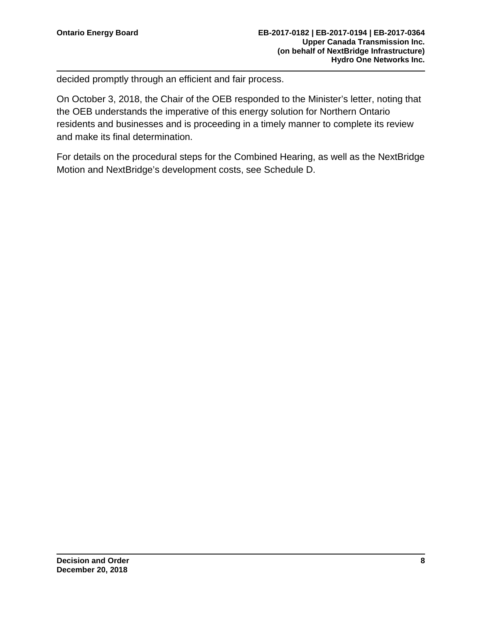decided promptly through an efficient and fair process.

On October 3, 2018, the Chair of the OEB responded to the Minister's letter, noting that the OEB understands the imperative of this energy solution for Northern Ontario residents and businesses and is proceeding in a timely manner to complete its review and make its final determination.

For details on the procedural steps for the Combined Hearing, as well as the NextBridge Motion and NextBridge's development costs, see Schedule D.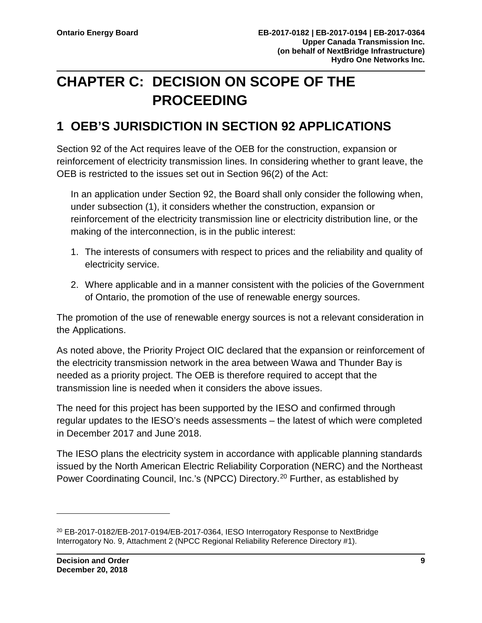# <span id="page-11-0"></span>**CHAPTER C: DECISION ON SCOPE OF THE PROCEEDING**

### <span id="page-11-1"></span>**1 OEB'S JURISDICTION IN SECTION 92 APPLICATIONS**

Section 92 of the Act requires leave of the OEB for the construction, expansion or reinforcement of electricity transmission lines. In considering whether to grant leave, the OEB is restricted to the issues set out in Section 96(2) of the Act:

In an application under Section 92, the Board shall only consider the following when, under subsection (1), it considers whether the construction, expansion or reinforcement of the electricity transmission line or electricity distribution line, or the making of the interconnection, is in the public interest:

- 1. The interests of consumers with respect to prices and the reliability and quality of electricity service.
- 2. Where applicable and in a manner consistent with the policies of the Government of Ontario, the promotion of the use of renewable energy sources.

The promotion of the use of renewable energy sources is not a relevant consideration in the Applications.

As noted above, the Priority Project OIC declared that the expansion or reinforcement of the electricity transmission network in the area between Wawa and Thunder Bay is needed as a priority project. The OEB is therefore required to accept that the transmission line is needed when it considers the above issues.

The need for this project has been supported by the IESO and confirmed through regular updates to the IESO's needs assessments – the latest of which were completed in December 2017 and June 2018.

The IESO plans the electricity system in accordance with applicable planning standards issued by the North American Electric Reliability Corporation (NERC) and the Northeast Power Coordinating Council, Inc.'s (NPCC) Directory.[20](#page-11-2) Further, as established by

<span id="page-11-2"></span><sup>20</sup> EB-2017-0182/EB-2017-0194/EB-2017-0364, IESO Interrogatory Response to NextBridge Interrogatory No. 9, Attachment 2 (NPCC Regional Reliability Reference Directory #1).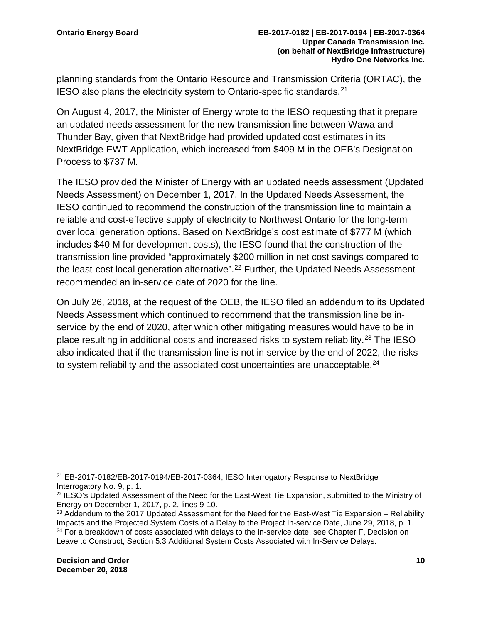planning standards from the Ontario Resource and Transmission Criteria (ORTAC), the IESO also plans the electricity system to Ontario-specific standards.[21](#page-12-0)

On August 4, 2017, the Minister of Energy wrote to the IESO requesting that it prepare an updated needs assessment for the new transmission line between Wawa and Thunder Bay, given that NextBridge had provided updated cost estimates in its NextBridge-EWT Application, which increased from \$409 M in the OEB's Designation Process to \$737 M.

The IESO provided the Minister of Energy with an updated needs assessment (Updated Needs Assessment) on December 1, 2017. In the Updated Needs Assessment, the IESO continued to recommend the construction of the transmission line to maintain a reliable and cost-effective supply of electricity to Northwest Ontario for the long-term over local generation options. Based on NextBridge's cost estimate of \$777 M (which includes \$40 M for development costs), the IESO found that the construction of the transmission line provided "approximately \$200 million in net cost savings compared to the least-cost local generation alternative".<sup>[22](#page-12-1)</sup> Further, the Updated Needs Assessment recommended an in-service date of 2020 for the line.

On July 26, 2018, at the request of the OEB, the IESO filed an addendum to its Updated Needs Assessment which continued to recommend that the transmission line be inservice by the end of 2020, after which other mitigating measures would have to be in place resulting in additional costs and increased risks to system reliability.[23](#page-12-2) The IESO also indicated that if the transmission line is not in service by the end of 2022, the risks to system reliability and the associated cost uncertainties are unacceptable.<sup>24</sup>

<span id="page-12-0"></span><sup>21</sup> EB-2017-0182/EB-2017-0194/EB-2017-0364, IESO Interrogatory Response to NextBridge Interrogatory No. 9, p. 1.

<span id="page-12-1"></span><sup>&</sup>lt;sup>22</sup> IESO's Updated Assessment of the Need for the East-West Tie Expansion, submitted to the Ministry of Energy on December 1, 2017, p. 2, lines 9-10.

<span id="page-12-3"></span><span id="page-12-2"></span> $23$  Addendum to the 2017 Updated Assessment for the Need for the East-West Tie Expansion – Reliability Impacts and the Projected System Costs of a Delay to the Project In-service Date, June 29, 2018, p. 1.  $24$  For a breakdown of costs associated with delays to the in-service date, see Chapter F, Decision on Leave to Construct, Section 5.3 Additional System Costs Associated with In-Service Delays.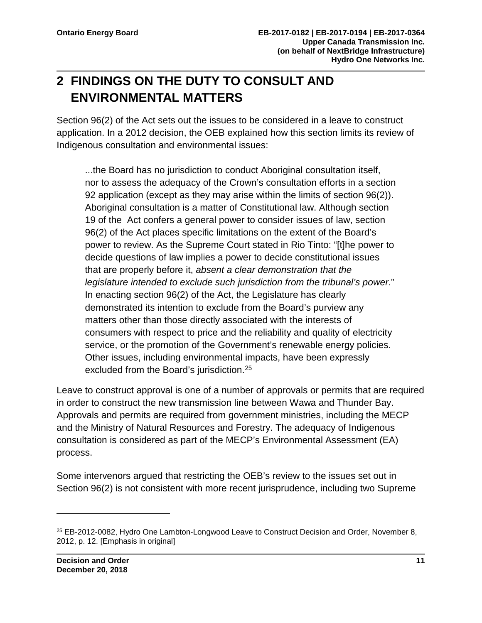## <span id="page-13-0"></span>**2 FINDINGS ON THE DUTY TO CONSULT AND ENVIRONMENTAL MATTERS**

Section 96(2) of the Act sets out the issues to be considered in a leave to construct application. In a 2012 decision, the OEB explained how this section limits its review of Indigenous consultation and environmental issues:

...the Board has no jurisdiction to conduct Aboriginal consultation itself, nor to assess the adequacy of the Crown's consultation efforts in a section 92 application (except as they may arise within the limits of section 96(2)). Aboriginal consultation is a matter of Constitutional law. Although section 19 of the Act confers a general power to consider issues of law, section 96(2) of the Act places specific limitations on the extent of the Board's power to review. As the Supreme Court stated in Rio Tinto: "[t]he power to decide questions of law implies a power to decide constitutional issues that are properly before it, *absent a clear demonstration that the legislature intended to exclude such jurisdiction from the tribunal's power*." In enacting section 96(2) of the Act, the Legislature has clearly demonstrated its intention to exclude from the Board's purview any matters other than those directly associated with the interests of consumers with respect to price and the reliability and quality of electricity service, or the promotion of the Government's renewable energy policies. Other issues, including environmental impacts, have been expressly excluded from the Board's jurisdiction.<sup>[25](#page-13-1)</sup>

Leave to construct approval is one of a number of approvals or permits that are required in order to construct the new transmission line between Wawa and Thunder Bay. Approvals and permits are required from government ministries, including the MECP and the Ministry of Natural Resources and Forestry. The adequacy of Indigenous consultation is considered as part of the MECP's Environmental Assessment (EA) process.

Some intervenors argued that restricting the OEB's review to the issues set out in Section 96(2) is not consistent with more recent jurisprudence, including two Supreme

<span id="page-13-1"></span><sup>25</sup> EB-2012-0082, Hydro One Lambton-Longwood Leave to Construct Decision and Order, November 8, 2012, p. 12. [Emphasis in original]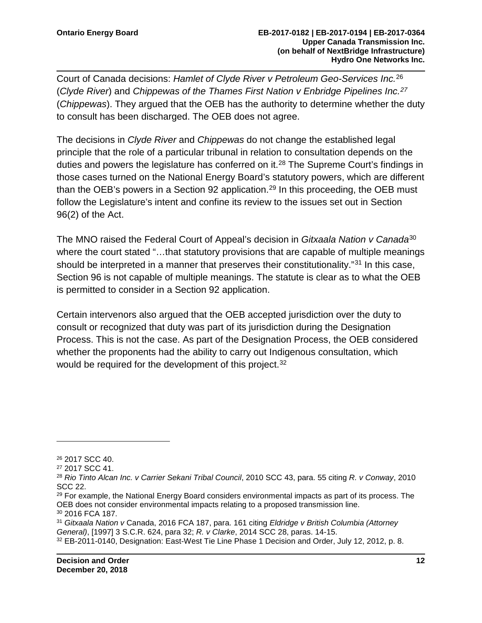Court of Canada decisions: *Hamlet of Clyde River v Petroleum Geo-Services Inc.*[26](#page-14-0) (*Clyde River*) and *Chippewas of the Thames First Nation v Enbridge Pipelines Inc.[27](#page-14-1)* (*Chippewas*). They argued that the OEB has the authority to determine whether the duty to consult has been discharged. The OEB does not agree.

The decisions in *Clyde River* and *Chippewas* do not change the established legal principle that the role of a particular tribunal in relation to consultation depends on the duties and powers the legislature has conferred on it.<sup>[28](#page-14-2)</sup> The Supreme Court's findings in those cases turned on the National Energy Board's statutory powers, which are different than the OEB's powers in a Section 92 application.<sup>[29](#page-14-3)</sup> In this proceeding, the OEB must follow the Legislature's intent and confine its review to the issues set out in Section 96(2) of the Act.

The MNO raised the Federal Court of Appeal's decision in *Gitxaala Nation v Canada*[30](#page-14-4) where the court stated "...that statutory provisions that are capable of multiple meanings should be interpreted in a manner that preserves their constitutionality."<sup>[31](#page-14-5)</sup> In this case, Section 96 is not capable of multiple meanings. The statute is clear as to what the OEB is permitted to consider in a Section 92 application.

Certain intervenors also argued that the OEB accepted jurisdiction over the duty to consult or recognized that duty was part of its jurisdiction during the Designation Process. This is not the case. As part of the Designation Process, the OEB considered whether the proponents had the ability to carry out Indigenous consultation, which would be required for the development of this project.<sup>[32](#page-14-6)</sup>

<span id="page-14-0"></span><sup>26</sup> 2017 SCC 40.

<span id="page-14-1"></span><sup>27</sup> 2017 SCC 41.

<span id="page-14-2"></span><sup>28</sup> *Rio Tinto Alcan Inc. v Carrier Sekani Tribal Council*, 2010 SCC 43, para. 55 citing *R. v Conway*, 2010 SCC 22.

<span id="page-14-3"></span> $29$  For example, the National Energy Board considers environmental impacts as part of its process. The OEB does not consider environmental impacts relating to a proposed transmission line. <sup>30</sup> 2016 FCA 187.

<span id="page-14-5"></span><span id="page-14-4"></span><sup>31</sup> *Gitxaala Nation v* Canada, 2016 FCA 187, para. 161 citing *Eldridge v British Columbia (Attorney General)*, [1997] 3 S.C.R. 624, para 32; *R. v Clarke*, 2014 SCC 28, paras. 14-15.

<span id="page-14-6"></span><sup>32</sup> EB-2011-0140, Designation: East-West Tie Line Phase 1 Decision and Order, July 12, 2012, p. 8.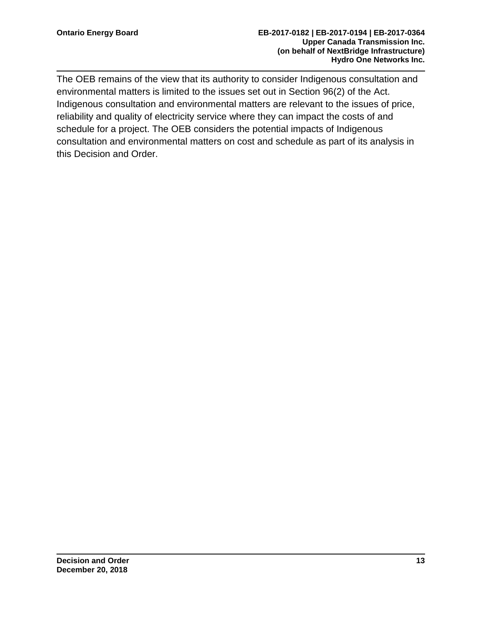The OEB remains of the view that its authority to consider Indigenous consultation and environmental matters is limited to the issues set out in Section 96(2) of the Act. Indigenous consultation and environmental matters are relevant to the issues of price, reliability and quality of electricity service where they can impact the costs of and schedule for a project. The OEB considers the potential impacts of Indigenous consultation and environmental matters on cost and schedule as part of its analysis in this Decision and Order.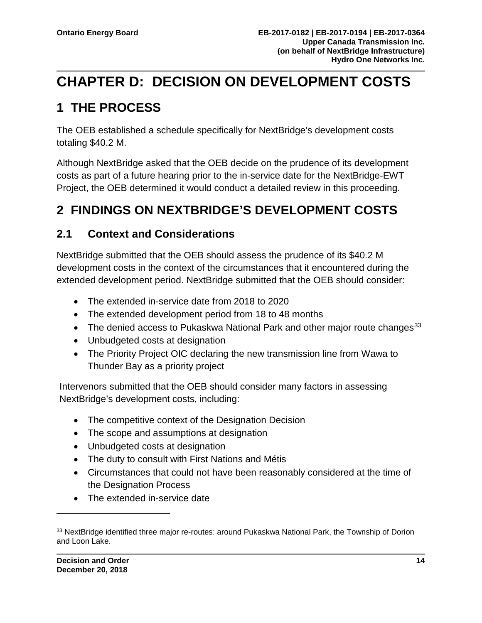# <span id="page-16-0"></span>**CHAPTER D: DECISION ON DEVELOPMENT COSTS**

## <span id="page-16-1"></span>**1 THE PROCESS**

The OEB established a schedule specifically for NextBridge's development costs totaling \$40.2 M.

Although NextBridge asked that the OEB decide on the prudence of its development costs as part of a future hearing prior to the in-service date for the NextBridge-EWT Project, the OEB determined it would conduct a detailed review in this proceeding.

### <span id="page-16-2"></span>**2 FINDINGS ON NEXTBRIDGE'S DEVELOPMENT COSTS**

### <span id="page-16-3"></span>**2.1 Context and Considerations**

NextBridge submitted that the OEB should assess the prudence of its \$40.2 M development costs in the context of the circumstances that it encountered during the extended development period. NextBridge submitted that the OEB should consider:

- The extended in-service date from 2018 to 2020
- The extended development period from 18 to 48 months
- The denied access to Pukaskwa National Park and other major route changes<sup>[33](#page-16-4)</sup>
- Unbudgeted costs at designation
- The Priority Project OIC declaring the new transmission line from Wawa to Thunder Bay as a priority project

Intervenors submitted that the OEB should consider many factors in assessing NextBridge's development costs, including:

- The competitive context of the Designation Decision
- The scope and assumptions at designation
- Unbudgeted costs at designation
- The duty to consult with First Nations and Métis
- Circumstances that could not have been reasonably considered at the time of the Designation Process
- The extended in-service date

<span id="page-16-4"></span><sup>33</sup> NextBridge identified three major re-routes: around Pukaskwa National Park, the Township of Dorion and Loon Lake.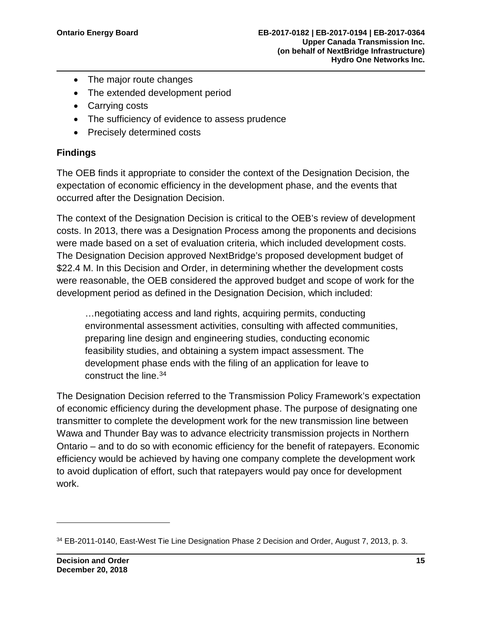- The major route changes
- The extended development period
- Carrying costs
- The sufficiency of evidence to assess prudence
- Precisely determined costs

#### **Findings**

The OEB finds it appropriate to consider the context of the Designation Decision, the expectation of economic efficiency in the development phase, and the events that occurred after the Designation Decision.

The context of the Designation Decision is critical to the OEB's review of development costs. In 2013, there was a Designation Process among the proponents and decisions were made based on a set of evaluation criteria, which included development costs. The Designation Decision approved NextBridge's proposed development budget of \$22.4 M. In this Decision and Order, in determining whether the development costs were reasonable, the OEB considered the approved budget and scope of work for the development period as defined in the Designation Decision, which included:

…negotiating access and land rights, acquiring permits, conducting environmental assessment activities, consulting with affected communities, preparing line design and engineering studies, conducting economic feasibility studies, and obtaining a system impact assessment. The development phase ends with the filing of an application for leave to construct the line.<sup>[34](#page-17-0)</sup>

The Designation Decision referred to the Transmission Policy Framework's expectation of economic efficiency during the development phase. The purpose of designating one transmitter to complete the development work for the new transmission line between Wawa and Thunder Bay was to advance electricity transmission projects in Northern Ontario – and to do so with economic efficiency for the benefit of ratepayers. Economic efficiency would be achieved by having one company complete the development work to avoid duplication of effort, such that ratepayers would pay once for development work.

<span id="page-17-0"></span><sup>34</sup> EB-2011-0140, East-West Tie Line Designation Phase 2 Decision and Order, August 7, 2013, p. 3.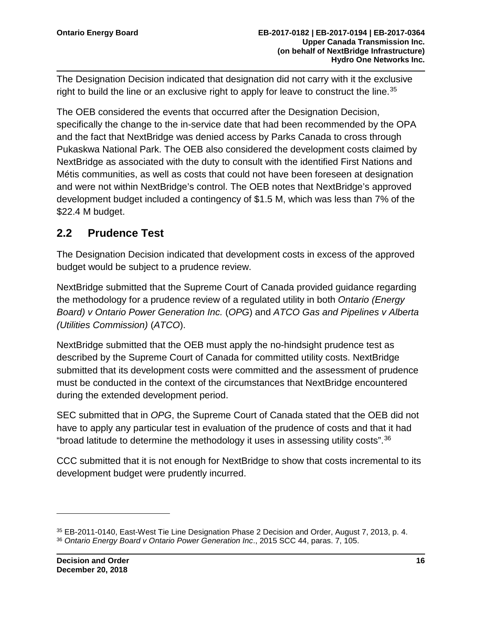The Designation Decision indicated that designation did not carry with it the exclusive right to build the line or an exclusive right to apply for leave to construct the line.<sup>[35](#page-18-1)</sup>

The OEB considered the events that occurred after the Designation Decision, specifically the change to the in-service date that had been recommended by the OPA and the fact that NextBridge was denied access by Parks Canada to cross through Pukaskwa National Park. The OEB also considered the development costs claimed by NextBridge as associated with the duty to consult with the identified First Nations and Métis communities, as well as costs that could not have been foreseen at designation and were not within NextBridge's control. The OEB notes that NextBridge's approved development budget included a contingency of \$1.5 M, which was less than 7% of the \$22.4 M budget.

### <span id="page-18-0"></span>**2.2 Prudence Test**

The Designation Decision indicated that development costs in excess of the approved budget would be subject to a prudence review.

NextBridge submitted that the Supreme Court of Canada provided guidance regarding the methodology for a prudence review of a regulated utility in both *Ontario (Energy Board) v Ontario Power Generation Inc.* (*OPG*) and *ATCO Gas and Pipelines v Alberta (Utilities Commission)* (*ATCO*).

NextBridge submitted that the OEB must apply the no-hindsight prudence test as described by the Supreme Court of Canada for committed utility costs. NextBridge submitted that its development costs were committed and the assessment of prudence must be conducted in the context of the circumstances that NextBridge encountered during the extended development period.

SEC submitted that in *OPG*, the Supreme Court of Canada stated that the OEB did not have to apply any particular test in evaluation of the prudence of costs and that it had "broad latitude to determine the methodology it uses in assessing utility costs".[36](#page-18-2)

CCC submitted that it is not enough for NextBridge to show that costs incremental to its development budget were prudently incurred.

<span id="page-18-2"></span><span id="page-18-1"></span><sup>35</sup> EB-2011-0140, East-West Tie Line Designation Phase 2 Decision and Order, August 7, 2013, p. 4. <sup>36</sup> *Ontario Energy Board v Ontario Power Generation Inc*., 2015 SCC 44, paras. 7, 105.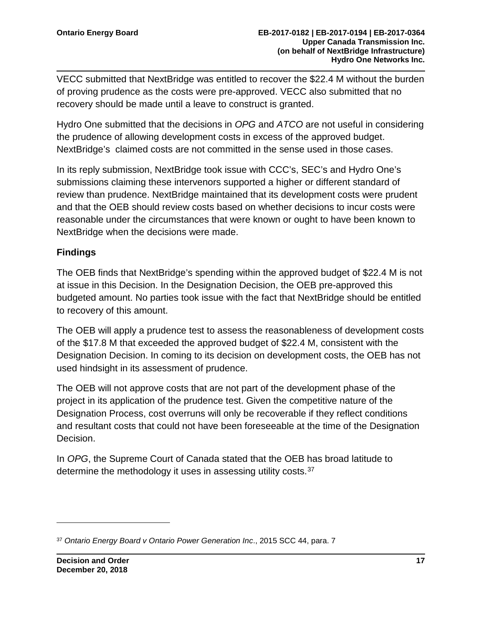VECC submitted that NextBridge was entitled to recover the \$22.4 M without the burden of proving prudence as the costs were pre-approved. VECC also submitted that no recovery should be made until a leave to construct is granted.

Hydro One submitted that the decisions in *OPG* and *ATCO* are not useful in considering the prudence of allowing development costs in excess of the approved budget. NextBridge's claimed costs are not committed in the sense used in those cases.

In its reply submission, NextBridge took issue with CCC's, SEC's and Hydro One's submissions claiming these intervenors supported a higher or different standard of review than prudence. NextBridge maintained that its development costs were prudent and that the OEB should review costs based on whether decisions to incur costs were reasonable under the circumstances that were known or ought to have been known to NextBridge when the decisions were made.

#### **Findings**

The OEB finds that NextBridge's spending within the approved budget of \$22.4 M is not at issue in this Decision. In the Designation Decision, the OEB pre-approved this budgeted amount. No parties took issue with the fact that NextBridge should be entitled to recovery of this amount.

The OEB will apply a prudence test to assess the reasonableness of development costs of the \$17.8 M that exceeded the approved budget of \$22.4 M, consistent with the Designation Decision. In coming to its decision on development costs, the OEB has not used hindsight in its assessment of prudence.

The OEB will not approve costs that are not part of the development phase of the project in its application of the prudence test. Given the competitive nature of the Designation Process, cost overruns will only be recoverable if they reflect conditions and resultant costs that could not have been foreseeable at the time of the Designation Decision.

In *OPG*, the Supreme Court of Canada stated that the OEB has broad latitude to determine the methodology it uses in assessing utility costs.<sup>[37](#page-19-0)</sup>

<span id="page-19-0"></span><sup>37</sup> *Ontario Energy Board v Ontario Power Generation Inc*., 2015 SCC 44, para. 7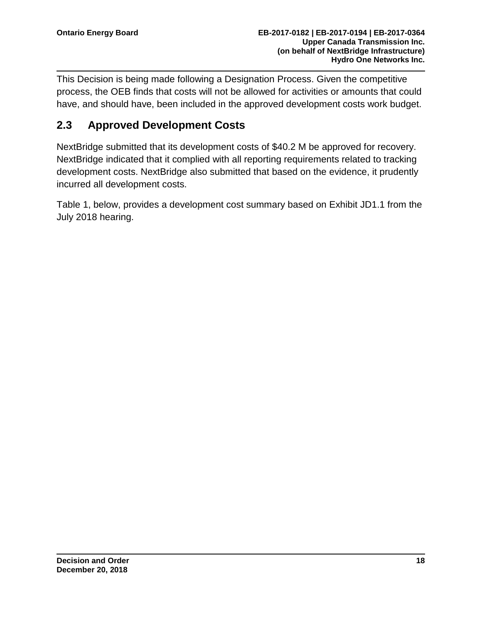This Decision is being made following a Designation Process. Given the competitive process, the OEB finds that costs will not be allowed for activities or amounts that could have, and should have, been included in the approved development costs work budget.

### <span id="page-20-0"></span>**2.3 Approved Development Costs**

NextBridge submitted that its development costs of \$40.2 M be approved for recovery. NextBridge indicated that it complied with all reporting requirements related to tracking development costs. NextBridge also submitted that based on the evidence, it prudently incurred all development costs.

Table 1, below, provides a development cost summary based on Exhibit JD1.1 from the July 2018 hearing.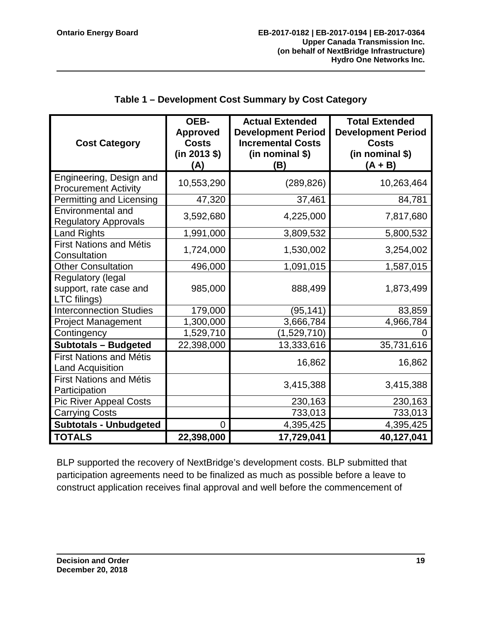| <b>Cost Category</b>                                        | OEB-<br><b>Approved</b><br><b>Costs</b><br>(in 2013 \$)<br>(A) | <b>Actual Extended</b><br><b>Development Period</b><br><b>Incremental Costs</b><br>(in nominal \$)<br>(B) | <b>Total Extended</b><br><b>Development Period</b><br><b>Costs</b><br>(in nominal \$)<br>$(A + B)$ |
|-------------------------------------------------------------|----------------------------------------------------------------|-----------------------------------------------------------------------------------------------------------|----------------------------------------------------------------------------------------------------|
| Engineering, Design and<br><b>Procurement Activity</b>      | 10,553,290                                                     | (289, 826)                                                                                                | 10,263,464                                                                                         |
| Permitting and Licensing                                    | 47,320                                                         | 37,461                                                                                                    | 84,781                                                                                             |
| <b>Environmental and</b><br><b>Regulatory Approvals</b>     | 3,592,680                                                      | 4,225,000                                                                                                 | 7,817,680                                                                                          |
| <b>Land Rights</b>                                          | 1,991,000                                                      | 3,809,532                                                                                                 | 5,800,532                                                                                          |
| <b>First Nations and Métis</b><br>Consultation              | 1,724,000                                                      | 1,530,002                                                                                                 | 3,254,002                                                                                          |
| <b>Other Consultation</b>                                   | 496,000                                                        | 1,091,015                                                                                                 | 1,587,015                                                                                          |
| Regulatory (legal<br>support, rate case and<br>LTC filings) | 985,000                                                        | 888,499                                                                                                   | 1,873,499                                                                                          |
| <b>Interconnection Studies</b>                              | 179,000                                                        | (95, 141)                                                                                                 | 83,859                                                                                             |
| <b>Project Management</b>                                   | 1,300,000                                                      | 3,666,784                                                                                                 | 4,966,784                                                                                          |
| Contingency                                                 | 1,529,710                                                      | (1,529,710)                                                                                               |                                                                                                    |
| <b>Subtotals - Budgeted</b>                                 | 22,398,000                                                     | 13,333,616                                                                                                | 35,731,616                                                                                         |
| <b>First Nations and Métis</b><br><b>Land Acquisition</b>   |                                                                | 16,862                                                                                                    | 16,862                                                                                             |
| <b>First Nations and Métis</b><br>Participation             |                                                                | 3,415,388                                                                                                 | 3,415,388                                                                                          |
| <b>Pic River Appeal Costs</b>                               |                                                                | 230,163                                                                                                   | 230,163                                                                                            |
| <b>Carrying Costs</b>                                       |                                                                | 733,013                                                                                                   | 733,013                                                                                            |
| <b>Subtotals - Unbudgeted</b>                               | $\overline{0}$                                                 | 4,395,425                                                                                                 | 4,395,425                                                                                          |
| <b>TOTALS</b>                                               | 22,398,000                                                     | 17,729,041                                                                                                | 40,127,041                                                                                         |

#### **Table 1 – Development Cost Summary by Cost Category**

BLP supported the recovery of NextBridge's development costs. BLP submitted that participation agreements need to be finalized as much as possible before a leave to construct application receives final approval and well before the commencement of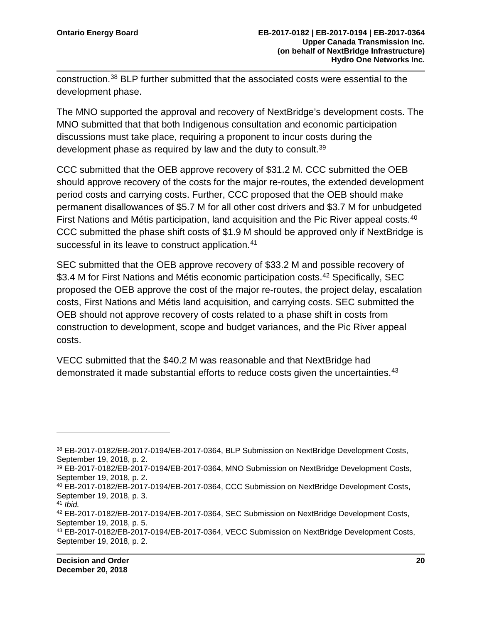construction.[38](#page-22-0) BLP further submitted that the associated costs were essential to the development phase.

The MNO supported the approval and recovery of NextBridge's development costs. The MNO submitted that that both Indigenous consultation and economic participation discussions must take place, requiring a proponent to incur costs during the development phase as required by law and the duty to consult.<sup>[39](#page-22-1)</sup>

CCC submitted that the OEB approve recovery of \$31.2 M. CCC submitted the OEB should approve recovery of the costs for the major re-routes, the extended development period costs and carrying costs. Further, CCC proposed that the OEB should make permanent disallowances of \$5.7 M for all other cost drivers and \$3.7 M for unbudgeted First Nations and Métis participation, land acquisition and the Pic River appeal costs.<sup>[40](#page-22-2)</sup> CCC submitted the phase shift costs of \$1.9 M should be approved only if NextBridge is successful in its leave to construct application.<sup>[41](#page-22-3)</sup>

SEC submitted that the OEB approve recovery of \$33.2 M and possible recovery of \$3.4 M for First Nations and Métis economic participation costs.<sup>[42](#page-22-4)</sup> Specifically, SEC proposed the OEB approve the cost of the major re-routes, the project delay, escalation costs, First Nations and Métis land acquisition, and carrying costs. SEC submitted the OEB should not approve recovery of costs related to a phase shift in costs from construction to development, scope and budget variances, and the Pic River appeal costs.

VECC submitted that the \$40.2 M was reasonable and that NextBridge had demonstrated it made substantial efforts to reduce costs given the uncertainties.<sup>43</sup>

<span id="page-22-3"></span><sup>41</sup> *Ibid.*

<span id="page-22-0"></span><sup>38</sup> EB-2017-0182/EB-2017-0194/EB-2017-0364, BLP Submission on NextBridge Development Costs, September 19, 2018, p. 2.

<span id="page-22-1"></span><sup>39</sup> EB-2017-0182/EB-2017-0194/EB-2017-0364, MNO Submission on NextBridge Development Costs, September 19, 2018, p. 2.

<span id="page-22-2"></span><sup>40</sup> EB-2017-0182/EB-2017-0194/EB-2017-0364, CCC Submission on NextBridge Development Costs, September 19, 2018, p. 3.

<span id="page-22-4"></span><sup>42</sup> EB-2017-0182/EB-2017-0194/EB-2017-0364, SEC Submission on NextBridge Development Costs, September 19, 2018, p. 5.

<span id="page-22-5"></span><sup>43</sup> EB-2017-0182/EB-2017-0194/EB-2017-0364, VECC Submission on NextBridge Development Costs, September 19, 2018, p. 2.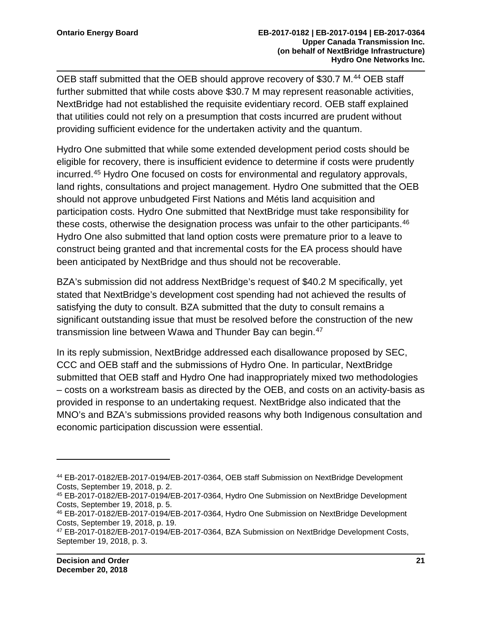OEB staff submitted that the OEB should approve recovery of \$30.7 M.<sup>[44](#page-23-0)</sup> OEB staff further submitted that while costs above \$30.7 M may represent reasonable activities, NextBridge had not established the requisite evidentiary record. OEB staff explained that utilities could not rely on a presumption that costs incurred are prudent without providing sufficient evidence for the undertaken activity and the quantum.

Hydro One submitted that while some extended development period costs should be eligible for recovery, there is insufficient evidence to determine if costs were prudently incurred.[45](#page-23-1) Hydro One focused on costs for environmental and regulatory approvals, land rights, consultations and project management. Hydro One submitted that the OEB should not approve unbudgeted First Nations and Métis land acquisition and participation costs. Hydro One submitted that NextBridge must take responsibility for these costs, otherwise the designation process was unfair to the other participants.<sup>[46](#page-23-2)</sup> Hydro One also submitted that land option costs were premature prior to a leave to construct being granted and that incremental costs for the EA process should have been anticipated by NextBridge and thus should not be recoverable.

BZA's submission did not address NextBridge's request of \$40.2 M specifically, yet stated that NextBridge's development cost spending had not achieved the results of satisfying the duty to consult. BZA submitted that the duty to consult remains a significant outstanding issue that must be resolved before the construction of the new transmission line between Wawa and Thunder Bay can begin.<sup>[47](#page-23-3)</sup>

In its reply submission, NextBridge addressed each disallowance proposed by SEC, CCC and OEB staff and the submissions of Hydro One. In particular, NextBridge submitted that OEB staff and Hydro One had inappropriately mixed two methodologies – costs on a workstream basis as directed by the OEB, and costs on an activity-basis as provided in response to an undertaking request. NextBridge also indicated that the MNO's and BZA's submissions provided reasons why both Indigenous consultation and economic participation discussion were essential.

<span id="page-23-0"></span><sup>44</sup> EB-2017-0182/EB-2017-0194/EB-2017-0364, OEB staff Submission on NextBridge Development Costs, September 19, 2018, p. 2.

<span id="page-23-1"></span><sup>45</sup> EB-2017-0182/EB-2017-0194/EB-2017-0364, Hydro One Submission on NextBridge Development Costs, September 19, 2018, p. 5.

<span id="page-23-2"></span><sup>46</sup> EB-2017-0182/EB-2017-0194/EB-2017-0364, Hydro One Submission on NextBridge Development Costs, September 19, 2018, p. 19.

<span id="page-23-3"></span><sup>47</sup> EB-2017-0182/EB-2017-0194/EB-2017-0364, BZA Submission on NextBridge Development Costs, September 19, 2018, p. 3.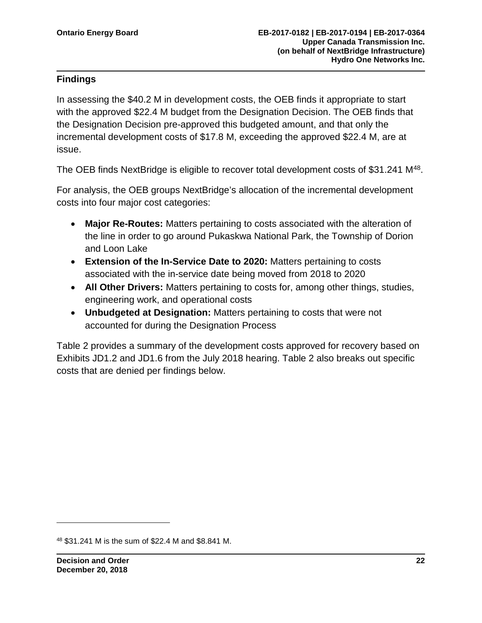#### **Findings**

In assessing the \$40.2 M in development costs, the OEB finds it appropriate to start with the approved \$22.4 M budget from the Designation Decision. The OEB finds that the Designation Decision pre-approved this budgeted amount, and that only the incremental development costs of \$17.8 M, exceeding the approved \$22.4 M, are at issue.

The OEB finds NextBridge is eligible to recover total development costs of \$31.241 M<sup>48</sup>.

For analysis, the OEB groups NextBridge's allocation of the incremental development costs into four major cost categories:

- **Major Re-Routes:** Matters pertaining to costs associated with the alteration of the line in order to go around Pukaskwa National Park, the Township of Dorion and Loon Lake
- **Extension of the In-Service Date to 2020:** Matters pertaining to costs associated with the in-service date being moved from 2018 to 2020
- **All Other Drivers:** Matters pertaining to costs for, among other things, studies, engineering work, and operational costs
- **Unbudgeted at Designation:** Matters pertaining to costs that were not accounted for during the Designation Process

Table 2 provides a summary of the development costs approved for recovery based on Exhibits JD1.2 and JD1.6 from the July 2018 hearing. Table 2 also breaks out specific costs that are denied per findings below.

<span id="page-24-0"></span><sup>48</sup> \$31.241 M is the sum of \$22.4 M and \$8.841 M.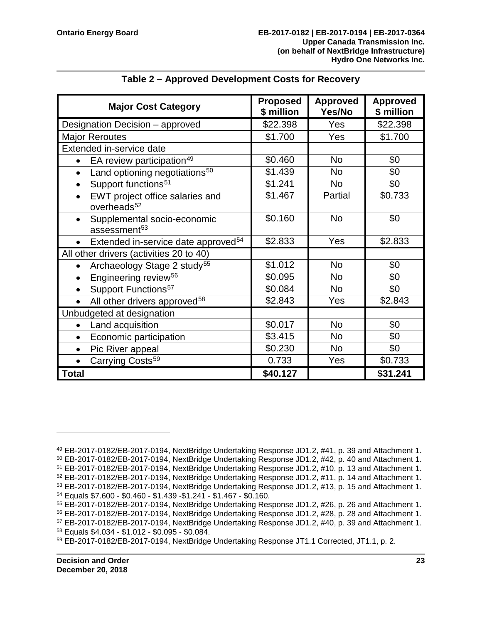| <b>Major Cost Category</b>                                              | <b>Proposed</b><br>\$ million | <b>Approved</b><br>Yes/No | <b>Approved</b><br>\$ million |
|-------------------------------------------------------------------------|-------------------------------|---------------------------|-------------------------------|
| Designation Decision - approved                                         | \$22.398                      | Yes                       | \$22.398                      |
| <b>Major Reroutes</b>                                                   | \$1.700                       | Yes                       | \$1.700                       |
| Extended in-service date                                                |                               |                           |                               |
| EA review participation <sup>49</sup>                                   | \$0.460                       | <b>No</b>                 | \$0                           |
| Land optioning negotiations <sup>50</sup>                               | \$1.439                       | <b>No</b>                 | \$0                           |
| Support functions <sup>51</sup><br>$\bullet$                            | \$1.241                       | <b>No</b>                 | \$0                           |
| EWT project office salaries and<br>$\bullet$<br>overheads <sup>52</sup> | \$1.467                       | Partial                   | \$0.733                       |
| Supplemental socio-economic<br>$\bullet$<br>assessment <sup>53</sup>    | \$0.160                       | <b>No</b>                 | \$0                           |
| Extended in-service date approved <sup>54</sup>                         | \$2.833                       | Yes                       | \$2.833                       |
| All other drivers (activities 20 to 40)                                 |                               |                           |                               |
| Archaeology Stage 2 study <sup>55</sup><br>$\bullet$                    | \$1.012                       | <b>No</b>                 | \$0                           |
| Engineering review <sup>56</sup><br>$\bullet$                           | \$0.095                       | <b>No</b>                 | \$0                           |
| Support Functions <sup>57</sup><br>$\bullet$                            | \$0.084                       | <b>No</b>                 | \$0                           |
| All other drivers approved <sup>58</sup><br>$\bullet$                   | \$2.843                       | Yes                       | \$2.843                       |
| Unbudgeted at designation                                               |                               |                           |                               |
| Land acquisition<br>$\bullet$                                           | \$0.017                       | No                        | \$0                           |
| Economic participation<br>$\bullet$                                     | \$3.415                       | <b>No</b>                 | \$0                           |
| Pic River appeal<br>$\bullet$                                           | \$0.230                       | No                        | \$0                           |
| Carrying Costs <sup>59</sup>                                            | 0.733                         | Yes                       | \$0.733                       |
| <b>Total</b>                                                            | \$40.127                      |                           | \$31.241                      |

#### **Table 2 – Approved Development Costs for Recovery**

<span id="page-25-0"></span><sup>49</sup> EB-2017-0182/EB-2017-0194, NextBridge Undertaking Response JD1.2, #41, p. 39 and Attachment 1.

<span id="page-25-1"></span><sup>50</sup> EB-2017-0182/EB-2017-0194, NextBridge Undertaking Response JD1.2, #42, p. 40 and Attachment 1.

<span id="page-25-2"></span><sup>51</sup> EB-2017-0182/EB-2017-0194, NextBridge Undertaking Response JD1.2, #10. p. 13 and Attachment 1.

<span id="page-25-3"></span><sup>52</sup> EB-2017-0182/EB-2017-0194, NextBridge Undertaking Response JD1.2, #11, p. 14 and Attachment 1.

<span id="page-25-5"></span><span id="page-25-4"></span><sup>53</sup> EB-2017-0182/EB-2017-0194, NextBridge Undertaking Response JD1.2, #13, p. 15 and Attachment 1. <sup>54</sup> Equals \$7.600 - \$0.460 - \$1.439 -\$1.241 - \$1.467 - \$0.160.

<span id="page-25-6"></span><sup>55</sup> EB-2017-0182/EB-2017-0194, NextBridge Undertaking Response JD1.2, #26, p. 26 and Attachment 1.

<span id="page-25-7"></span><sup>56</sup> EB-2017-0182/EB-2017-0194, NextBridge Undertaking Response JD1.2, #28, p. 28 and Attachment 1.

<span id="page-25-8"></span><sup>57</sup> EB-2017-0182/EB-2017-0194, NextBridge Undertaking Response JD1.2, #40, p. 39 and Attachment 1. <sup>58</sup> Equals \$4.034 - \$1.012 - \$0.095 - \$0.084.

<span id="page-25-10"></span><span id="page-25-9"></span><sup>59</sup> EB-2017-0182/EB-2017-0194, NextBridge Undertaking Response JT1.1 Corrected, JT1.1, p. 2.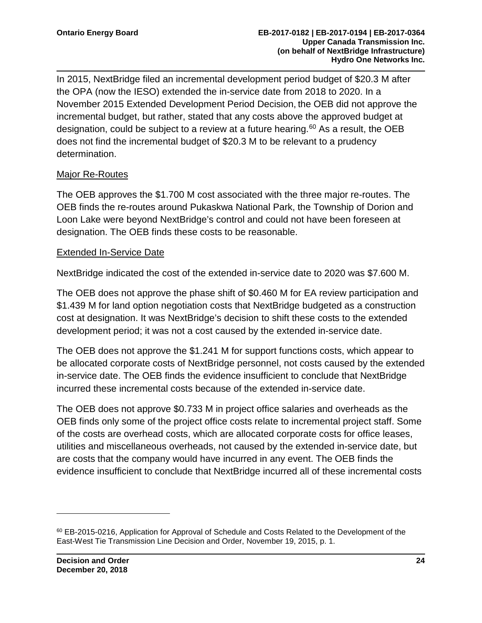In 2015, NextBridge filed an incremental development period budget of \$20.3 M after the OPA (now the IESO) extended the in-service date from 2018 to 2020. In a November 2015 Extended Development Period Decision, the OEB did not approve the incremental budget, but rather, stated that any costs above the approved budget at designation, could be subject to a review at a future hearing.<sup>[60](#page-26-0)</sup> As a result, the OEB does not find the incremental budget of \$20.3 M to be relevant to a prudency determination.

#### Major Re-Routes

The OEB approves the \$1.700 M cost associated with the three major re-routes. The OEB finds the re-routes around Pukaskwa National Park, the Township of Dorion and Loon Lake were beyond NextBridge's control and could not have been foreseen at designation. The OEB finds these costs to be reasonable.

#### Extended In-Service Date

NextBridge indicated the cost of the extended in-service date to 2020 was \$7.600 M.

The OEB does not approve the phase shift of \$0.460 M for EA review participation and \$1.439 M for land option negotiation costs that NextBridge budgeted as a construction cost at designation. It was NextBridge's decision to shift these costs to the extended development period; it was not a cost caused by the extended in-service date.

The OEB does not approve the \$1.241 M for support functions costs, which appear to be allocated corporate costs of NextBridge personnel, not costs caused by the extended in-service date. The OEB finds the evidence insufficient to conclude that NextBridge incurred these incremental costs because of the extended in-service date.

The OEB does not approve \$0.733 M in project office salaries and overheads as the OEB finds only some of the project office costs relate to incremental project staff. Some of the costs are overhead costs, which are allocated corporate costs for office leases, utilities and miscellaneous overheads, not caused by the extended in-service date, but are costs that the company would have incurred in any event. The OEB finds the evidence insufficient to conclude that NextBridge incurred all of these incremental costs

<span id="page-26-0"></span><sup>60</sup> EB-2015-0216, Application for Approval of Schedule and Costs Related to the Development of the East-West Tie Transmission Line Decision and Order, November 19, 2015, p. 1.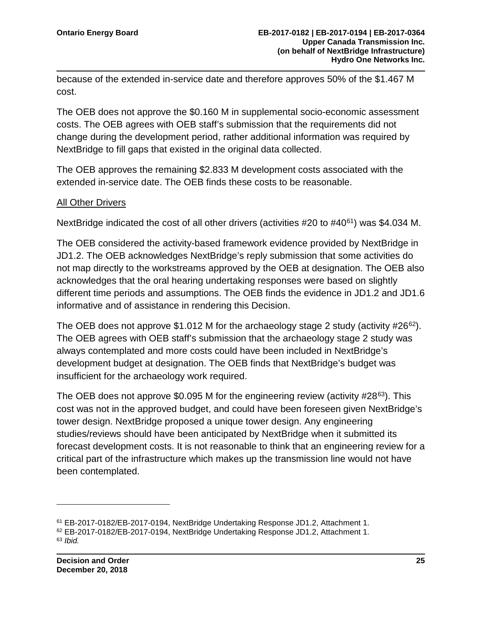because of the extended in-service date and therefore approves 50% of the \$1.467 M cost.

The OEB does not approve the \$0.160 M in supplemental socio-economic assessment costs. The OEB agrees with OEB staff's submission that the requirements did not change during the development period, rather additional information was required by NextBridge to fill gaps that existed in the original data collected.

The OEB approves the remaining \$2.833 M development costs associated with the extended in-service date. The OEB finds these costs to be reasonable.

#### **All Other Drivers**

NextBridge indicated the cost of all other drivers (activities #20 to #40 $^{61}$ ) was \$4.034 M.

The OEB considered the activity-based framework evidence provided by NextBridge in JD1.2. The OEB acknowledges NextBridge's reply submission that some activities do not map directly to the workstreams approved by the OEB at designation. The OEB also acknowledges that the oral hearing undertaking responses were based on slightly different time periods and assumptions. The OEB finds the evidence in JD1.2 and JD1.6 informative and of assistance in rendering this Decision.

The OEB does not approve \$1.012 M for the archaeology stage 2 study (activity #26<sup>[62](#page-27-1)</sup>). The OEB agrees with OEB staff's submission that the archaeology stage 2 study was always contemplated and more costs could have been included in NextBridge's development budget at designation. The OEB finds that NextBridge's budget was insufficient for the archaeology work required.

The OEB does not approve \$0.095 M for the engineering review (activity  $\#28^{63}$ ). This cost was not in the approved budget, and could have been foreseen given NextBridge's tower design. NextBridge proposed a unique tower design. Any engineering studies/reviews should have been anticipated by NextBridge when it submitted its forecast development costs. It is not reasonable to think that an engineering review for a critical part of the infrastructure which makes up the transmission line would not have been contemplated.

<span id="page-27-2"></span><span id="page-27-1"></span><span id="page-27-0"></span><sup>61</sup> EB-2017-0182/EB-2017-0194, NextBridge Undertaking Response JD1.2, Attachment 1. <sup>62</sup> EB-2017-0182/EB-2017-0194, NextBridge Undertaking Response JD1.2, Attachment 1. <sup>63</sup> *Ibid.*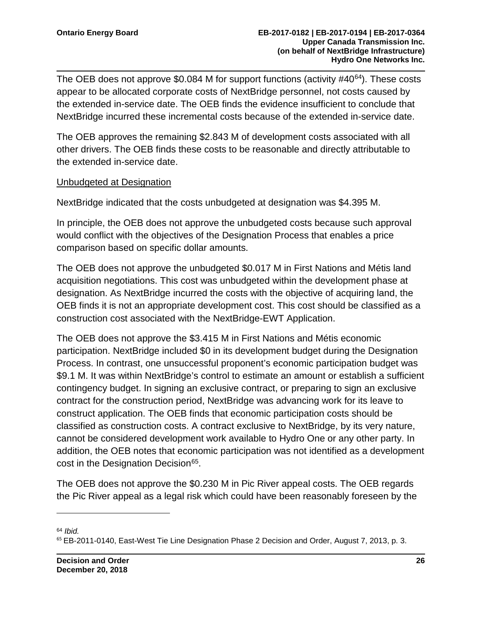The OEB does not approve \$0.084 M for support functions (activity #40<sup>64</sup>). These costs appear to be allocated corporate costs of NextBridge personnel, not costs caused by the extended in-service date. The OEB finds the evidence insufficient to conclude that NextBridge incurred these incremental costs because of the extended in-service date.

The OEB approves the remaining \$2.843 M of development costs associated with all other drivers. The OEB finds these costs to be reasonable and directly attributable to the extended in-service date.

#### Unbudgeted at Designation

NextBridge indicated that the costs unbudgeted at designation was \$4.395 M.

In principle, the OEB does not approve the unbudgeted costs because such approval would conflict with the objectives of the Designation Process that enables a price comparison based on specific dollar amounts.

The OEB does not approve the unbudgeted \$0.017 M in First Nations and Métis land acquisition negotiations. This cost was unbudgeted within the development phase at designation. As NextBridge incurred the costs with the objective of acquiring land, the OEB finds it is not an appropriate development cost. This cost should be classified as a construction cost associated with the NextBridge-EWT Application.

The OEB does not approve the \$3.415 M in First Nations and Métis economic participation. NextBridge included \$0 in its development budget during the Designation Process. In contrast, one unsuccessful proponent's economic participation budget was \$9.1 M. It was within NextBridge's control to estimate an amount or establish a sufficient contingency budget. In signing an exclusive contract, or preparing to sign an exclusive contract for the construction period, NextBridge was advancing work for its leave to construct application. The OEB finds that economic participation costs should be classified as construction costs. A contract exclusive to NextBridge, by its very nature, cannot be considered development work available to Hydro One or any other party. In addition, the OEB notes that economic participation was not identified as a development cost in the Designation Decision<sup>[65](#page-28-1)</sup>.

The OEB does not approve the \$0.230 M in Pic River appeal costs. The OEB regards the Pic River appeal as a legal risk which could have been reasonably foreseen by the

<span id="page-28-0"></span><sup>64</sup> *Ibid.*

<span id="page-28-1"></span><sup>&</sup>lt;sup>65</sup> EB-2011-0140, East-West Tie Line Designation Phase 2 Decision and Order, August 7, 2013, p. 3.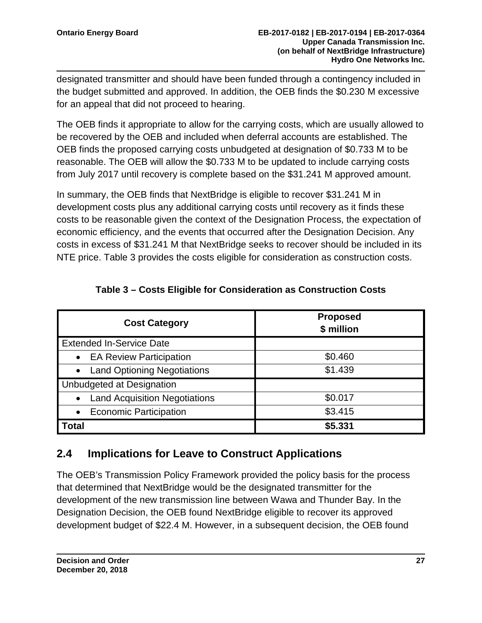designated transmitter and should have been funded through a contingency included in the budget submitted and approved. In addition, the OEB finds the \$0.230 M excessive for an appeal that did not proceed to hearing.

The OEB finds it appropriate to allow for the carrying costs, which are usually allowed to be recovered by the OEB and included when deferral accounts are established. The OEB finds the proposed carrying costs unbudgeted at designation of \$0.733 M to be reasonable. The OEB will allow the \$0.733 M to be updated to include carrying costs from July 2017 until recovery is complete based on the \$31.241 M approved amount.

In summary, the OEB finds that NextBridge is eligible to recover \$31.241 M in development costs plus any additional carrying costs until recovery as it finds these costs to be reasonable given the context of the Designation Process, the expectation of economic efficiency, and the events that occurred after the Designation Decision. Any costs in excess of \$31.241 M that NextBridge seeks to recover should be included in its NTE price. Table 3 provides the costs eligible for consideration as construction costs.

| <b>Cost Category</b>                              | <b>Proposed</b><br>\$ million |
|---------------------------------------------------|-------------------------------|
| <b>Extended In-Service Date</b>                   |                               |
| <b>EA Review Participation</b><br>$\bullet$       | \$0.460                       |
| <b>Land Optioning Negotiations</b><br>$\bullet$   | \$1.439                       |
| Unbudgeted at Designation                         |                               |
| <b>Land Acquisition Negotiations</b><br>$\bullet$ | \$0.017                       |
| <b>Economic Participation</b><br>$\bullet$        | \$3.415                       |
| Total                                             | \$5.331                       |

### **Table 3 – Costs Eligible for Consideration as Construction Costs**

### <span id="page-29-0"></span>**2.4 Implications for Leave to Construct Applications**

The OEB's Transmission Policy Framework provided the policy basis for the process that determined that NextBridge would be the designated transmitter for the development of the new transmission line between Wawa and Thunder Bay. In the Designation Decision, the OEB found NextBridge eligible to recover its approved development budget of \$22.4 M. However, in a subsequent decision, the OEB found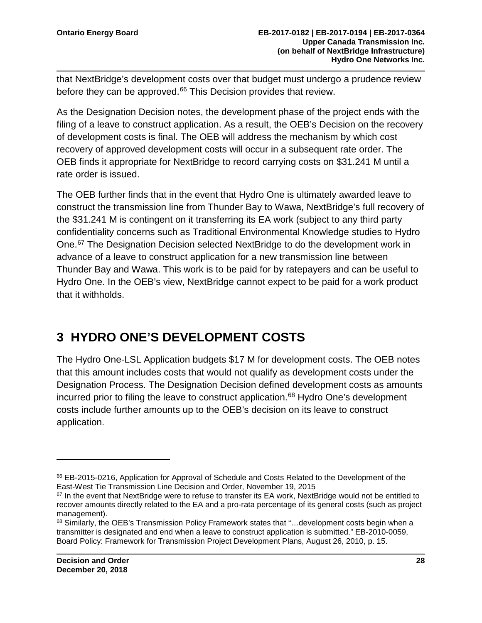that NextBridge's development costs over that budget must undergo a prudence review before they can be approved.<sup>[66](#page-30-1)</sup> This Decision provides that review.

As the Designation Decision notes, the development phase of the project ends with the filing of a leave to construct application. As a result, the OEB's Decision on the recovery of development costs is final. The OEB will address the mechanism by which cost recovery of approved development costs will occur in a subsequent rate order. The OEB finds it appropriate for NextBridge to record carrying costs on \$31.241 M until a rate order is issued.

The OEB further finds that in the event that Hydro One is ultimately awarded leave to construct the transmission line from Thunder Bay to Wawa, NextBridge's full recovery of the \$31.241 M is contingent on it transferring its EA work (subject to any third party confidentiality concerns such as Traditional Environmental Knowledge studies to Hydro One.[67](#page-30-2) The Designation Decision selected NextBridge to do the development work in advance of a leave to construct application for a new transmission line between Thunder Bay and Wawa. This work is to be paid for by ratepayers and can be useful to Hydro One. In the OEB's view, NextBridge cannot expect to be paid for a work product that it withholds.

## <span id="page-30-0"></span>**3 HYDRO ONE'S DEVELOPMENT COSTS**

The Hydro One-LSL Application budgets \$17 M for development costs. The OEB notes that this amount includes costs that would not qualify as development costs under the Designation Process. The Designation Decision defined development costs as amounts incurred prior to filing the leave to construct application.<sup>[68](#page-30-3)</sup> Hydro One's development costs include further amounts up to the OEB's decision on its leave to construct application.

<span id="page-30-1"></span><sup>66</sup> EB-2015-0216, Application for Approval of Schedule and Costs Related to the Development of the East-West Tie Transmission Line Decision and Order, November 19, 2015

<span id="page-30-2"></span><sup>&</sup>lt;sup>67</sup> In the event that NextBridge were to refuse to transfer its EA work, NextBridge would not be entitled to recover amounts directly related to the EA and a pro-rata percentage of its general costs (such as project management).

<span id="page-30-3"></span><sup>68</sup> Similarly, the OEB's Transmission Policy Framework states that "...development costs begin when a transmitter is designated and end when a leave to construct application is submitted." EB-2010-0059, Board Policy: Framework for Transmission Project Development Plans, August 26, 2010, p. 15.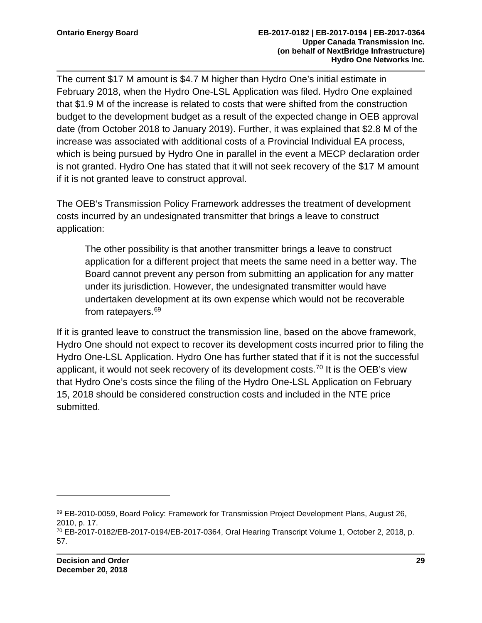The current \$17 M amount is \$4.7 M higher than Hydro One's initial estimate in February 2018, when the Hydro One-LSL Application was filed. Hydro One explained that \$1.9 M of the increase is related to costs that were shifted from the construction budget to the development budget as a result of the expected change in OEB approval date (from October 2018 to January 2019). Further, it was explained that \$2.8 M of the increase was associated with additional costs of a Provincial Individual EA process, which is being pursued by Hydro One in parallel in the event a MECP declaration order is not granted. Hydro One has stated that it will not seek recovery of the \$17 M amount if it is not granted leave to construct approval.

The OEB's Transmission Policy Framework addresses the treatment of development costs incurred by an undesignated transmitter that brings a leave to construct application:

The other possibility is that another transmitter brings a leave to construct application for a different project that meets the same need in a better way. The Board cannot prevent any person from submitting an application for any matter under its jurisdiction. However, the undesignated transmitter would have undertaken development at its own expense which would not be recoverable from ratepayers.<sup>[69](#page-31-0)</sup>

If it is granted leave to construct the transmission line, based on the above framework, Hydro One should not expect to recover its development costs incurred prior to filing the Hydro One-LSL Application. Hydro One has further stated that if it is not the successful applicant, it would not seek recovery of its development costs.<sup>[70](#page-31-1)</sup> It is the OEB's view that Hydro One's costs since the filing of the Hydro One-LSL Application on February 15, 2018 should be considered construction costs and included in the NTE price submitted.

<span id="page-31-0"></span><sup>69</sup> EB-2010-0059, Board Policy: Framework for Transmission Project Development Plans, August 26, 2010, p. 17.

<span id="page-31-1"></span><sup>70</sup> EB-2017-0182/EB-2017-0194/EB-2017-0364, Oral Hearing Transcript Volume 1, October 2, 2018, p. 57.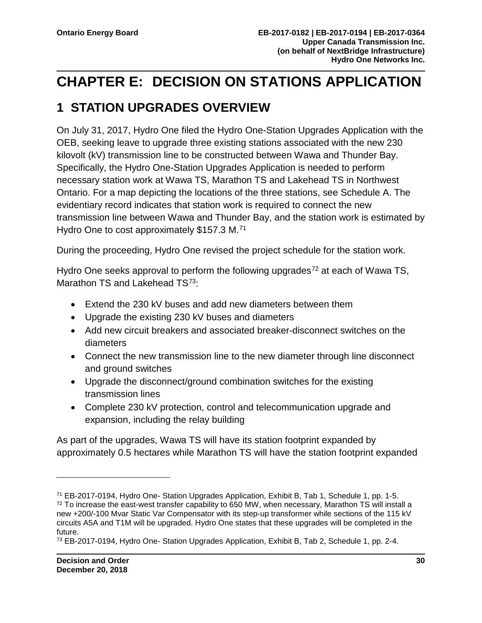# <span id="page-32-0"></span>**CHAPTER E: DECISION ON STATIONS APPLICATION**

## <span id="page-32-1"></span>**1 STATION UPGRADES OVERVIEW**

On July 31, 2017, Hydro One filed the Hydro One-Station Upgrades Application with the OEB, seeking leave to upgrade three existing stations associated with the new 230 kilovolt (kV) transmission line to be constructed between Wawa and Thunder Bay. Specifically, the Hydro One-Station Upgrades Application is needed to perform necessary station work at Wawa TS, Marathon TS and Lakehead TS in Northwest Ontario. For a map depicting the locations of the three stations, see Schedule A. The evidentiary record indicates that station work is required to connect the new transmission line between Wawa and Thunder Bay, and the station work is estimated by Hydro One to cost approximately \$157.3 M.<sup>[71](#page-32-2)</sup>

During the proceeding, Hydro One revised the project schedule for the station work.

Hydro One seeks approval to perform the following upgrades<sup>[72](#page-32-3)</sup> at each of Wawa TS, Marathon TS and Lakehead TS<sup>73</sup>:

- Extend the 230 kV buses and add new diameters between them
- Upgrade the existing 230 kV buses and diameters
- Add new circuit breakers and associated breaker-disconnect switches on the diameters
- Connect the new transmission line to the new diameter through line disconnect and ground switches
- Upgrade the disconnect/ground combination switches for the existing transmission lines
- Complete 230 kV protection, control and telecommunication upgrade and expansion, including the relay building

As part of the upgrades, Wawa TS will have its station footprint expanded by approximately 0.5 hectares while Marathon TS will have the station footprint expanded

<span id="page-32-3"></span><span id="page-32-2"></span><sup>71</sup> EB-2017-0194, Hydro One- Station Upgrades Application, Exhibit B, Tab 1, Schedule 1, pp. 1-5.  $72$  To increase the east-west transfer capability to 650 MW, when necessary, Marathon TS will install a new +200/-100 Mvar Static Var Compensator with its step-up transformer while sections of the 115 kV circuits A5A and T1M will be upgraded. Hydro One states that these upgrades will be completed in the future.

<span id="page-32-4"></span><sup>73</sup> EB-2017-0194, Hydro One- Station Upgrades Application, Exhibit B, Tab 2, Schedule 1, pp. 2-4.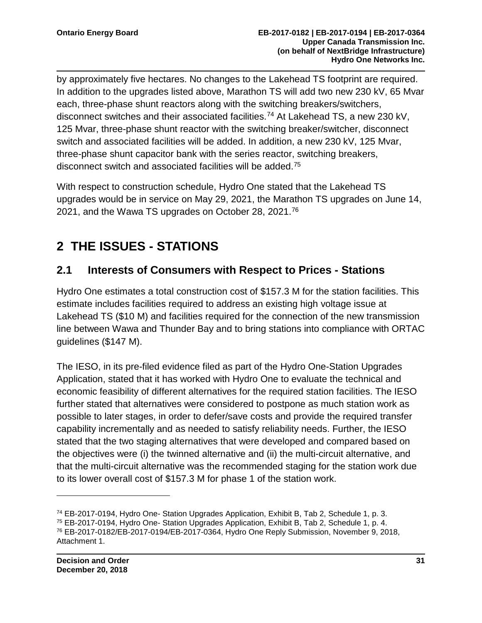by approximately five hectares. No changes to the Lakehead TS footprint are required. In addition to the upgrades listed above, Marathon TS will add two new 230 kV, 65 Mvar each, three-phase shunt reactors along with the switching breakers/switchers, disconnect switches and their associated facilities.[74](#page-33-2) At Lakehead TS, a new 230 kV, 125 Mvar, three-phase shunt reactor with the switching breaker/switcher, disconnect switch and associated facilities will be added. In addition, a new 230 kV, 125 Mvar, three-phase shunt capacitor bank with the series reactor, switching breakers, disconnect switch and associated facilities will be added.<sup>[75](#page-33-3)</sup>

With respect to construction schedule, Hydro One stated that the Lakehead TS upgrades would be in service on May 29, 2021, the Marathon TS upgrades on June 14, 2021, and the Wawa TS upgrades on October 28, 2021. [76](#page-33-4)

## <span id="page-33-0"></span>**2 THE ISSUES - STATIONS**

### <span id="page-33-1"></span>**2.1 Interests of Consumers with Respect to Prices - Stations**

Hydro One estimates a total construction cost of \$157.3 M for the station facilities. This estimate includes facilities required to address an existing high voltage issue at Lakehead TS (\$10 M) and facilities required for the connection of the new transmission line between Wawa and Thunder Bay and to bring stations into compliance with ORTAC guidelines (\$147 M).

The IESO, in its pre-filed evidence filed as part of the Hydro One-Station Upgrades Application, stated that it has worked with Hydro One to evaluate the technical and economic feasibility of different alternatives for the required station facilities. The IESO further stated that alternatives were considered to postpone as much station work as possible to later stages, in order to defer/save costs and provide the required transfer capability incrementally and as needed to satisfy reliability needs. Further, the IESO stated that the two staging alternatives that were developed and compared based on the objectives were (i) the twinned alternative and (ii) the multi-circuit alternative, and that the multi-circuit alternative was the recommended staging for the station work due to its lower overall cost of \$157.3 M for phase 1 of the station work.

<span id="page-33-4"></span><span id="page-33-3"></span><span id="page-33-2"></span><sup>74</sup> EB-2017-0194, Hydro One- Station Upgrades Application, Exhibit B, Tab 2, Schedule 1, p. 3. <sup>75</sup> EB-2017-0194, Hydro One- Station Upgrades Application, Exhibit B, Tab 2, Schedule 1, p. 4. <sup>76</sup> EB-2017-0182/EB-2017-0194/EB-2017-0364, Hydro One Reply Submission, November 9, 2018, Attachment 1.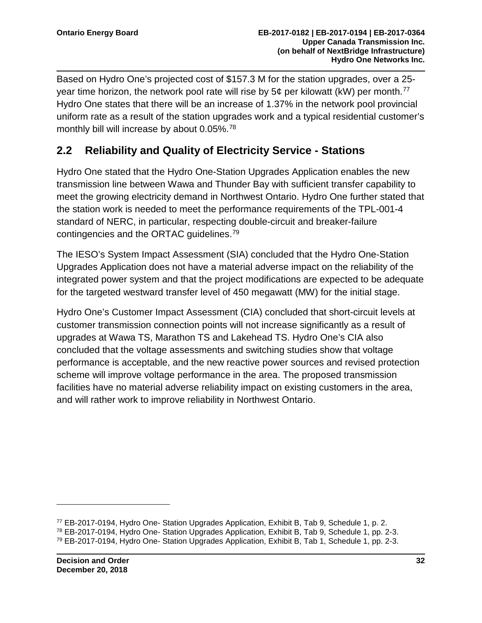Based on Hydro One's projected cost of \$157.3 M for the station upgrades, over a 25 year time horizon, the network pool rate will rise by  $5¢$  per kilowatt (kW) per month.<sup>[77](#page-34-1)</sup> Hydro One states that there will be an increase of 1.37% in the network pool provincial uniform rate as a result of the station upgrades work and a typical residential customer's monthly bill will increase by about 0.05%.<sup>[78](#page-34-2)</sup>

### <span id="page-34-0"></span>**2.2 Reliability and Quality of Electricity Service - Stations**

Hydro One stated that the Hydro One-Station Upgrades Application enables the new transmission line between Wawa and Thunder Bay with sufficient transfer capability to meet the growing electricity demand in Northwest Ontario. Hydro One further stated that the station work is needed to meet the performance requirements of the TPL-001-4 standard of NERC, in particular, respecting double-circuit and breaker-failure contingencies and the ORTAC guidelines. [79](#page-34-3)

The IESO's System Impact Assessment (SIA) concluded that the Hydro One-Station Upgrades Application does not have a material adverse impact on the reliability of the integrated power system and that the project modifications are expected to be adequate for the targeted westward transfer level of 450 megawatt (MW) for the initial stage.

Hydro One's Customer Impact Assessment (CIA) concluded that short-circuit levels at customer transmission connection points will not increase significantly as a result of upgrades at Wawa TS, Marathon TS and Lakehead TS. Hydro One's CIA also concluded that the voltage assessments and switching studies show that voltage performance is acceptable, and the new reactive power sources and revised protection scheme will improve voltage performance in the area. The proposed transmission facilities have no material adverse reliability impact on existing customers in the area, and will rather work to improve reliability in Northwest Ontario.

<span id="page-34-3"></span><span id="page-34-2"></span><span id="page-34-1"></span><sup>77</sup> EB-2017-0194, Hydro One- Station Upgrades Application, Exhibit B, Tab 9, Schedule 1, p. 2. <sup>78</sup> EB-2017-0194, Hydro One- Station Upgrades Application, Exhibit B, Tab 9, Schedule 1, pp. 2-3. <sup>79</sup> EB-2017-0194, Hydro One- Station Upgrades Application, Exhibit B, Tab 1, Schedule 1, pp. 2-3.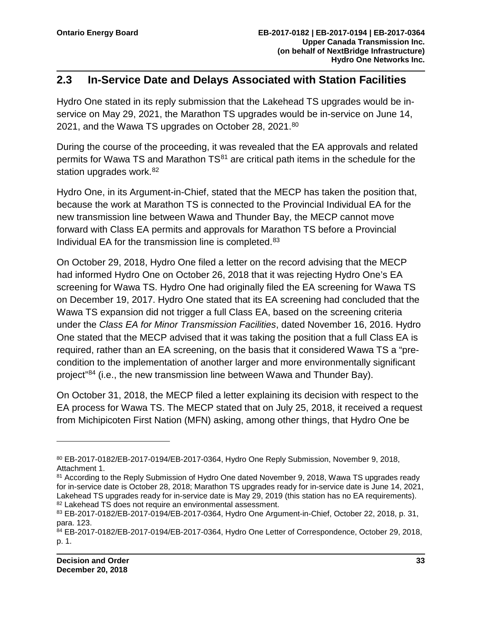### <span id="page-35-0"></span>**2.3 In-Service Date and Delays Associated with Station Facilities**

Hydro One stated in its reply submission that the Lakehead TS upgrades would be inservice on May 29, 2021, the Marathon TS upgrades would be in-service on June 14, 2021, and the Wawa TS upgrades on October 28, 2021.<sup>[80](#page-35-1)</sup>

During the course of the proceeding, it was revealed that the EA approvals and related permits for Wawa TS and Marathon  $TS<sup>81</sup>$  $TS<sup>81</sup>$  $TS<sup>81</sup>$  are critical path items in the schedule for the station upgrades work.<sup>[82](#page-35-3)</sup>

Hydro One, in its Argument-in-Chief, stated that the MECP has taken the position that, because the work at Marathon TS is connected to the Provincial Individual EA for the new transmission line between Wawa and Thunder Bay, the MECP cannot move forward with Class EA permits and approvals for Marathon TS before a Provincial Individual EA for the transmission line is completed.<sup>83</sup>

On October 29, 2018, Hydro One filed a letter on the record advising that the MECP had informed Hydro One on October 26, 2018 that it was rejecting Hydro One's EA screening for Wawa TS. Hydro One had originally filed the EA screening for Wawa TS on December 19, 2017. Hydro One stated that its EA screening had concluded that the Wawa TS expansion did not trigger a full Class EA, based on the screening criteria under the *Class EA for Minor Transmission Facilities*, dated November 16, 2016. Hydro One stated that the MECP advised that it was taking the position that a full Class EA is required, rather than an EA screening, on the basis that it considered Wawa TS a "precondition to the implementation of another larger and more environmentally significant project"[84](#page-35-5) (i.e., the new transmission line between Wawa and Thunder Bay).

On October 31, 2018, the MECP filed a letter explaining its decision with respect to the EA process for Wawa TS. The MECP stated that on July 25, 2018, it received a request from Michipicoten First Nation (MFN) asking, among other things, that Hydro One be

<span id="page-35-1"></span><sup>80</sup> EB-2017-0182/EB-2017-0194/EB-2017-0364, Hydro One Reply Submission, November 9, 2018, Attachment 1.

<span id="page-35-2"></span><sup>&</sup>lt;sup>81</sup> According to the Reply Submission of Hydro One dated November 9, 2018, Wawa TS upgrades ready for in-service date is October 28, 2018; Marathon TS upgrades ready for in-service date is June 14, 2021, Lakehead TS upgrades ready for in-service date is May 29, 2019 (this station has no EA requirements). 82 Lakehead TS does not require an environmental assessment.

<span id="page-35-4"></span><span id="page-35-3"></span><sup>83</sup> EB-2017-0182/EB-2017-0194/EB-2017-0364, Hydro One Argument-in-Chief, October 22, 2018, p. 31, para. 123.

<span id="page-35-5"></span><sup>84</sup> EB-2017-0182/EB-2017-0194/EB-2017-0364, Hydro One Letter of Correspondence, October 29, 2018, p. 1.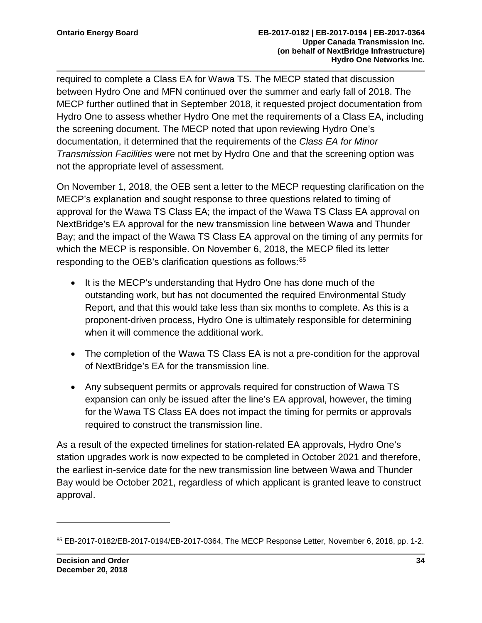required to complete a Class EA for Wawa TS. The MECP stated that discussion between Hydro One and MFN continued over the summer and early fall of 2018. The MECP further outlined that in September 2018, it requested project documentation from Hydro One to assess whether Hydro One met the requirements of a Class EA, including the screening document. The MECP noted that upon reviewing Hydro One's documentation, it determined that the requirements of the *Class EA for Minor Transmission Facilities* were not met by Hydro One and that the screening option was not the appropriate level of assessment.

On November 1, 2018, the OEB sent a letter to the MECP requesting clarification on the MECP's explanation and sought response to three questions related to timing of approval for the Wawa TS Class EA; the impact of the Wawa TS Class EA approval on NextBridge's EA approval for the new transmission line between Wawa and Thunder Bay; and the impact of the Wawa TS Class EA approval on the timing of any permits for which the MECP is responsible. On November 6, 2018, the MECP filed its letter responding to the OEB's clarification questions as follows:<sup>[85](#page-36-0)</sup>

- It is the MECP's understanding that Hydro One has done much of the outstanding work, but has not documented the required Environmental Study Report, and that this would take less than six months to complete. As this is a proponent-driven process, Hydro One is ultimately responsible for determining when it will commence the additional work.
- The completion of the Wawa TS Class EA is not a pre-condition for the approval of NextBridge's EA for the transmission line.
- Any subsequent permits or approvals required for construction of Wawa TS expansion can only be issued after the line's EA approval, however, the timing for the Wawa TS Class EA does not impact the timing for permits or approvals required to construct the transmission line.

As a result of the expected timelines for station-related EA approvals, Hydro One's station upgrades work is now expected to be completed in October 2021 and therefore, the earliest in-service date for the new transmission line between Wawa and Thunder Bay would be October 2021, regardless of which applicant is granted leave to construct approval.

<span id="page-36-0"></span><sup>85</sup> EB-2017-0182/EB-2017-0194/EB-2017-0364, The MECP Response Letter, November 6, 2018, pp. 1-2.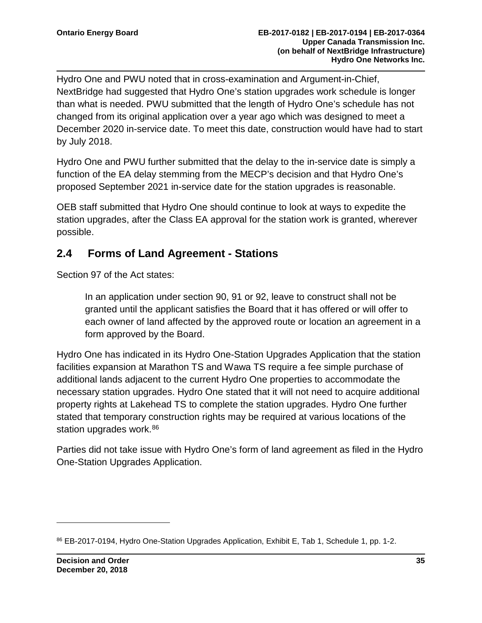Hydro One and PWU noted that in cross-examination and Argument-in-Chief, NextBridge had suggested that Hydro One's station upgrades work schedule is longer than what is needed. PWU submitted that the length of Hydro One's schedule has not changed from its original application over a year ago which was designed to meet a December 2020 in-service date. To meet this date, construction would have had to start by July 2018.

Hydro One and PWU further submitted that the delay to the in-service date is simply a function of the EA delay stemming from the MECP's decision and that Hydro One's proposed September 2021 in-service date for the station upgrades is reasonable.

OEB staff submitted that Hydro One should continue to look at ways to expedite the station upgrades, after the Class EA approval for the station work is granted, wherever possible.

### **2.4 Forms of Land Agreement - Stations**

Section 97 of the Act states:

In an application under section 90, 91 or 92, leave to construct shall not be granted until the applicant satisfies the Board that it has offered or will offer to each owner of land affected by the approved route or location an agreement in a form approved by the Board.

Hydro One has indicated in its Hydro One-Station Upgrades Application that the station facilities expansion at Marathon TS and Wawa TS require a fee simple purchase of additional lands adjacent to the current Hydro One properties to accommodate the necessary station upgrades. Hydro One stated that it will not need to acquire additional property rights at Lakehead TS to complete the station upgrades. Hydro One further stated that temporary construction rights may be required at various locations of the station upgrades work.<sup>[86](#page-37-0)</sup>

Parties did not take issue with Hydro One's form of land agreement as filed in the Hydro One-Station Upgrades Application.

<span id="page-37-0"></span><sup>86</sup> EB-2017-0194, Hydro One-Station Upgrades Application, Exhibit E, Tab 1, Schedule 1, pp. 1-2.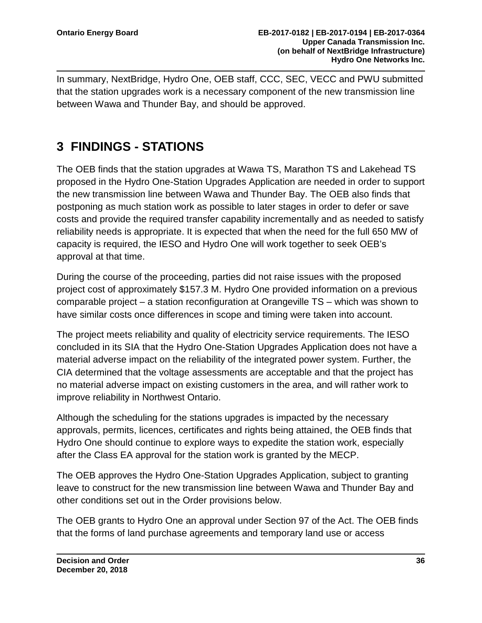In summary, NextBridge, Hydro One, OEB staff, CCC, SEC, VECC and PWU submitted that the station upgrades work is a necessary component of the new transmission line between Wawa and Thunder Bay, and should be approved.

## **3 FINDINGS - STATIONS**

The OEB finds that the station upgrades at Wawa TS, Marathon TS and Lakehead TS proposed in the Hydro One-Station Upgrades Application are needed in order to support the new transmission line between Wawa and Thunder Bay. The OEB also finds that postponing as much station work as possible to later stages in order to defer or save costs and provide the required transfer capability incrementally and as needed to satisfy reliability needs is appropriate. It is expected that when the need for the full 650 MW of capacity is required, the IESO and Hydro One will work together to seek OEB's approval at that time.

During the course of the proceeding, parties did not raise issues with the proposed project cost of approximately \$157.3 M. Hydro One provided information on a previous comparable project – a station reconfiguration at Orangeville TS – which was shown to have similar costs once differences in scope and timing were taken into account.

The project meets reliability and quality of electricity service requirements. The IESO concluded in its SIA that the Hydro One-Station Upgrades Application does not have a material adverse impact on the reliability of the integrated power system. Further, the CIA determined that the voltage assessments are acceptable and that the project has no material adverse impact on existing customers in the area, and will rather work to improve reliability in Northwest Ontario.

Although the scheduling for the stations upgrades is impacted by the necessary approvals, permits, licences, certificates and rights being attained, the OEB finds that Hydro One should continue to explore ways to expedite the station work, especially after the Class EA approval for the station work is granted by the MECP.

The OEB approves the Hydro One-Station Upgrades Application, subject to granting leave to construct for the new transmission line between Wawa and Thunder Bay and other conditions set out in the Order provisions below.

The OEB grants to Hydro One an approval under Section 97 of the Act. The OEB finds that the forms of land purchase agreements and temporary land use or access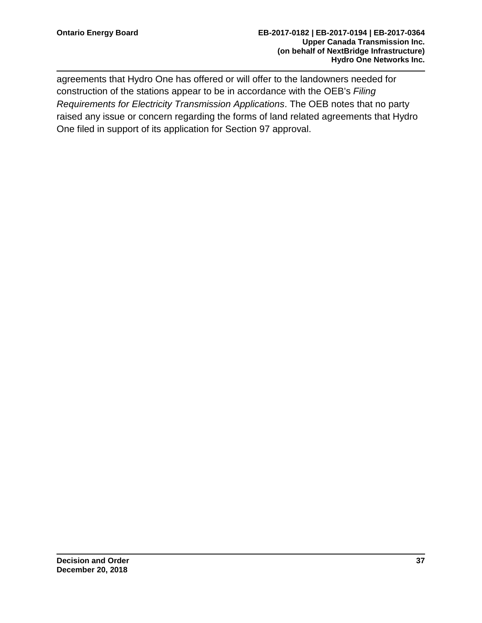agreements that Hydro One has offered or will offer to the landowners needed for construction of the stations appear to be in accordance with the OEB's *Filing Requirements for Electricity Transmission Applications*. The OEB notes that no party raised any issue or concern regarding the forms of land related agreements that Hydro One filed in support of its application for Section 97 approval.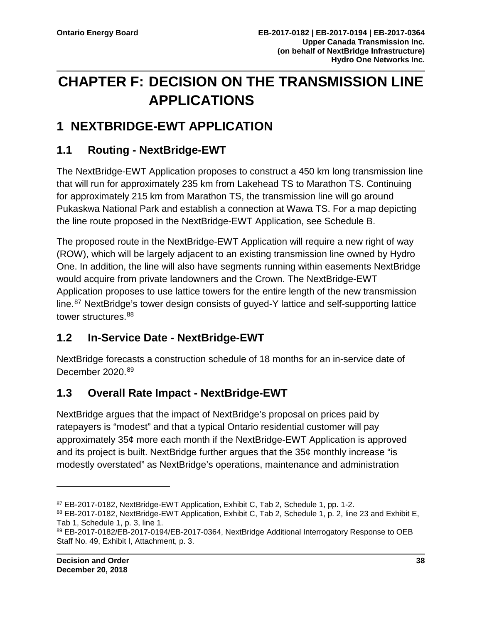# **CHAPTER F: DECISION ON THE TRANSMISSION LINE APPLICATIONS**

## **1 NEXTBRIDGE-EWT APPLICATION**

### **1.1 Routing - NextBridge-EWT**

The NextBridge-EWT Application proposes to construct a 450 km long transmission line that will run for approximately 235 km from Lakehead TS to Marathon TS. Continuing for approximately 215 km from Marathon TS, the transmission line will go around Pukaskwa National Park and establish a connection at Wawa TS. For a map depicting the line route proposed in the NextBridge-EWT Application, see Schedule B.

The proposed route in the NextBridge-EWT Application will require a new right of way (ROW), which will be largely adjacent to an existing transmission line owned by Hydro One. In addition, the line will also have segments running within easements NextBridge would acquire from private landowners and the Crown. The NextBridge-EWT Application proposes to use lattice towers for the entire length of the new transmission line.<sup>[87](#page-40-0)</sup> NextBridge's tower design consists of guyed-Y lattice and self-supporting lattice tower structures.<sup>[88](#page-40-1)</sup>

## **1.2 In-Service Date - NextBridge-EWT**

NextBridge forecasts a construction schedule of 18 months for an in-service date of December 2020.<sup>[89](#page-40-2)</sup>

## **1.3 Overall Rate Impact - NextBridge-EWT**

NextBridge argues that the impact of NextBridge's proposal on prices paid by ratepayers is "modest" and that a typical Ontario residential customer will pay approximately 35¢ more each month if the NextBridge-EWT Application is approved and its project is built. NextBridge further argues that the 35¢ monthly increase "is modestly overstated" as NextBridge's operations, maintenance and administration

<span id="page-40-0"></span><sup>87</sup> EB-2017-0182, NextBridge-EWT Application, Exhibit C, Tab 2, Schedule 1, pp. 1-2.

<span id="page-40-1"></span><sup>88</sup> EB-2017-0182, NextBridge-EWT Application, Exhibit C, Tab 2, Schedule 1, p. 2, line 23 and Exhibit E, Tab 1, Schedule 1, p. 3, line 1.

<span id="page-40-2"></span><sup>89</sup> EB-2017-0182/EB-2017-0194/EB-2017-0364, NextBridge Additional Interrogatory Response to OEB Staff No. 49, Exhibit I, Attachment, p. 3.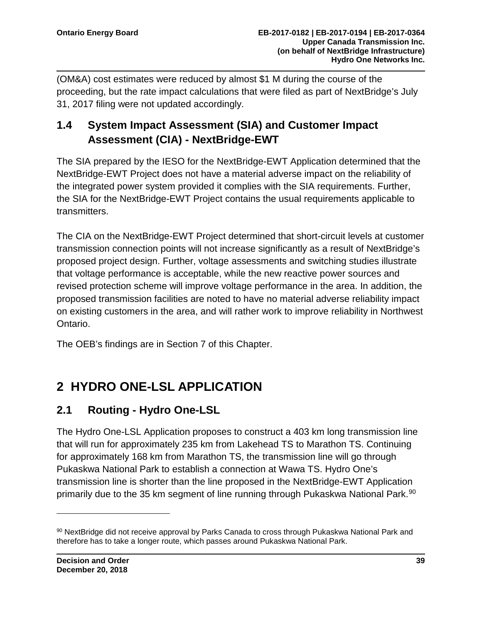(OM&A) cost estimates were reduced by almost \$1 M during the course of the proceeding, but the rate impact calculations that were filed as part of NextBridge's July 31, 2017 filing were not updated accordingly.

## **1.4 System Impact Assessment (SIA) and Customer Impact Assessment (CIA) - NextBridge-EWT**

The SIA prepared by the IESO for the NextBridge-EWT Application determined that the NextBridge-EWT Project does not have a material adverse impact on the reliability of the integrated power system provided it complies with the SIA requirements. Further, the SIA for the NextBridge-EWT Project contains the usual requirements applicable to transmitters.

The CIA on the NextBridge-EWT Project determined that short-circuit levels at customer transmission connection points will not increase significantly as a result of NextBridge's proposed project design. Further, voltage assessments and switching studies illustrate that voltage performance is acceptable, while the new reactive power sources and revised protection scheme will improve voltage performance in the area. In addition, the proposed transmission facilities are noted to have no material adverse reliability impact on existing customers in the area, and will rather work to improve reliability in Northwest Ontario.

The OEB's findings are in Section 7 of this Chapter.

## **2 HYDRO ONE-LSL APPLICATION**

## **2.1 Routing - Hydro One-LSL**

The Hydro One-LSL Application proposes to construct a 403 km long transmission line that will run for approximately 235 km from Lakehead TS to Marathon TS. Continuing for approximately 168 km from Marathon TS, the transmission line will go through Pukaskwa National Park to establish a connection at Wawa TS. Hydro One's transmission line is shorter than the line proposed in the NextBridge-EWT Application primarily due to the 35 km segment of line running through Pukaskwa National Park.<sup>[90](#page-41-0)</sup>

<span id="page-41-0"></span><sup>90</sup> NextBridge did not receive approval by Parks Canada to cross through Pukaskwa National Park and therefore has to take a longer route, which passes around Pukaskwa National Park.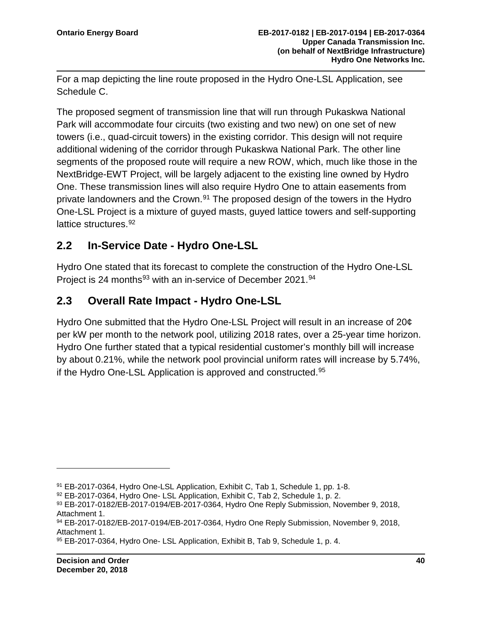For a map depicting the line route proposed in the Hydro One-LSL Application, see Schedule C.

The proposed segment of transmission line that will run through Pukaskwa National Park will accommodate four circuits (two existing and two new) on one set of new towers (i.e., quad-circuit towers) in the existing corridor. This design will not require additional widening of the corridor through Pukaskwa National Park. The other line segments of the proposed route will require a new ROW, which, much like those in the NextBridge-EWT Project, will be largely adjacent to the existing line owned by Hydro One. These transmission lines will also require Hydro One to attain easements from private landowners and the Crown.<sup>[91](#page-42-0)</sup> The proposed design of the towers in the Hydro One-LSL Project is a mixture of guyed masts, guyed lattice towers and self-supporting lattice structures.<sup>[92](#page-42-1)</sup>

## **2.2 In-Service Date - Hydro One-LSL**

Hydro One stated that its forecast to complete the construction of the Hydro One-LSL Project is 24 months<sup>[93](#page-42-2)</sup> with an in-service of December 2021.<sup>[94](#page-42-3)</sup>

## **2.3 Overall Rate Impact - Hydro One-LSL**

Hydro One submitted that the Hydro One-LSL Project will result in an increase of 20¢ per kW per month to the network pool, utilizing 2018 rates, over a 25-year time horizon. Hydro One further stated that a typical residential customer's monthly bill will increase by about 0.21%, while the network pool provincial uniform rates will increase by 5.74%, if the Hydro One-LSL Application is approved and constructed.[95](#page-42-4)

<span id="page-42-0"></span><sup>91</sup> EB-2017-0364, Hydro One-LSL Application, Exhibit C, Tab 1, Schedule 1, pp. 1-8.

<span id="page-42-1"></span><sup>92</sup> EB-2017-0364, Hydro One- LSL Application, Exhibit C, Tab 2, Schedule 1, p. 2.

<span id="page-42-2"></span><sup>93</sup> EB-2017-0182/EB-2017-0194/EB-2017-0364, Hydro One Reply Submission, November 9, 2018, Attachment 1.

<span id="page-42-3"></span><sup>94</sup> EB-2017-0182/EB-2017-0194/EB-2017-0364, Hydro One Reply Submission, November 9, 2018, Attachment 1.

<span id="page-42-4"></span><sup>95</sup> EB-2017-0364, Hydro One- LSL Application, Exhibit B, Tab 9, Schedule 1, p. 4.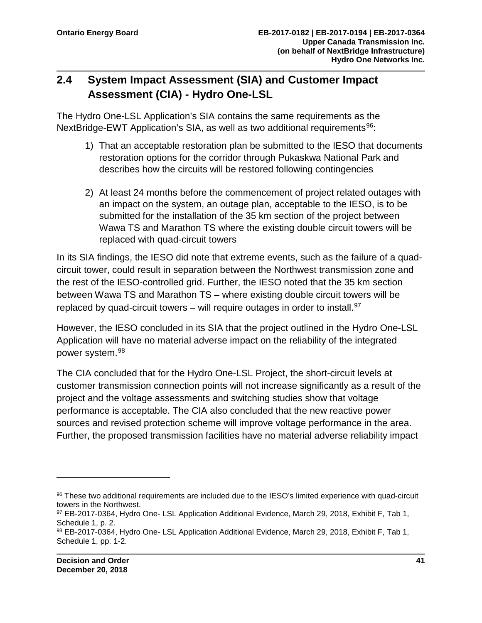## **2.4 System Impact Assessment (SIA) and Customer Impact Assessment (CIA) - Hydro One-LSL**

The Hydro One-LSL Application's SIA contains the same requirements as the NextBridge-EWT Application's SIA, as well as two additional requirements<sup>[96](#page-43-0)</sup>:

- 1) That an acceptable restoration plan be submitted to the IESO that documents restoration options for the corridor through Pukaskwa National Park and describes how the circuits will be restored following contingencies
- 2) At least 24 months before the commencement of project related outages with an impact on the system, an outage plan, acceptable to the IESO, is to be submitted for the installation of the 35 km section of the project between Wawa TS and Marathon TS where the existing double circuit towers will be replaced with quad-circuit towers

In its SIA findings, the IESO did note that extreme events, such as the failure of a quadcircuit tower, could result in separation between the Northwest transmission zone and the rest of the IESO-controlled grid. Further, the IESO noted that the 35 km section between Wawa TS and Marathon TS – where existing double circuit towers will be replaced by quad-circuit towers – will require outages in order to install.<sup>[97](#page-43-1)</sup>

However, the IESO concluded in its SIA that the project outlined in the Hydro One-LSL Application will have no material adverse impact on the reliability of the integrated power system.[98](#page-43-2)

The CIA concluded that for the Hydro One-LSL Project, the short-circuit levels at customer transmission connection points will not increase significantly as a result of the project and the voltage assessments and switching studies show that voltage performance is acceptable. The CIA also concluded that the new reactive power sources and revised protection scheme will improve voltage performance in the area. Further, the proposed transmission facilities have no material adverse reliability impact

<span id="page-43-0"></span><sup>96</sup> These two additional requirements are included due to the IESO's limited experience with quad-circuit towers in the Northwest.

<span id="page-43-1"></span><sup>97</sup> EB-2017-0364, Hydro One- LSL Application Additional Evidence, March 29, 2018, Exhibit F, Tab 1, Schedule 1, p. 2.

<span id="page-43-2"></span><sup>98</sup> EB-2017-0364, Hydro One- LSL Application Additional Evidence, March 29, 2018, Exhibit F, Tab 1, Schedule 1, pp. 1-2.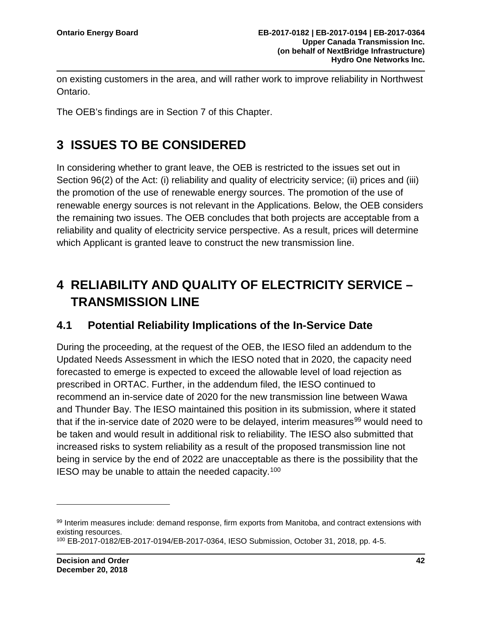on existing customers in the area, and will rather work to improve reliability in Northwest Ontario.

The OEB's findings are in Section 7 of this Chapter.

## **3 ISSUES TO BE CONSIDERED**

In considering whether to grant leave, the OEB is restricted to the issues set out in Section 96(2) of the Act: (i) reliability and quality of electricity service; (ii) prices and (iii) the promotion of the use of renewable energy sources. The promotion of the use of renewable energy sources is not relevant in the Applications. Below, the OEB considers the remaining two issues. The OEB concludes that both projects are acceptable from a reliability and quality of electricity service perspective. As a result, prices will determine which Applicant is granted leave to construct the new transmission line.

## **4 RELIABILITY AND QUALITY OF ELECTRICITY SERVICE – TRANSMISSION LINE**

#### **4.1 Potential Reliability Implications of the In-Service Date**

During the proceeding, at the request of the OEB, the IESO filed an addendum to the Updated Needs Assessment in which the IESO noted that in 2020, the capacity need forecasted to emerge is expected to exceed the allowable level of load rejection as prescribed in ORTAC. Further, in the addendum filed, the IESO continued to recommend an in-service date of 2020 for the new transmission line between Wawa and Thunder Bay. The IESO maintained this position in its submission, where it stated that if the in-service date of 2020 were to be delayed, interim measures<sup>[99](#page-44-0)</sup> would need to be taken and would result in additional risk to reliability. The IESO also submitted that increased risks to system reliability as a result of the proposed transmission line not being in service by the end of 2022 are unacceptable as there is the possibility that the IESO may be unable to attain the needed capacity.[100](#page-44-1)

<span id="page-44-0"></span><sup>99</sup> Interim measures include: demand response, firm exports from Manitoba, and contract extensions with existing resources.

<span id="page-44-1"></span><sup>100</sup> EB-2017-0182/EB-2017-0194/EB-2017-0364, IESO Submission, October 31, 2018, pp. 4-5.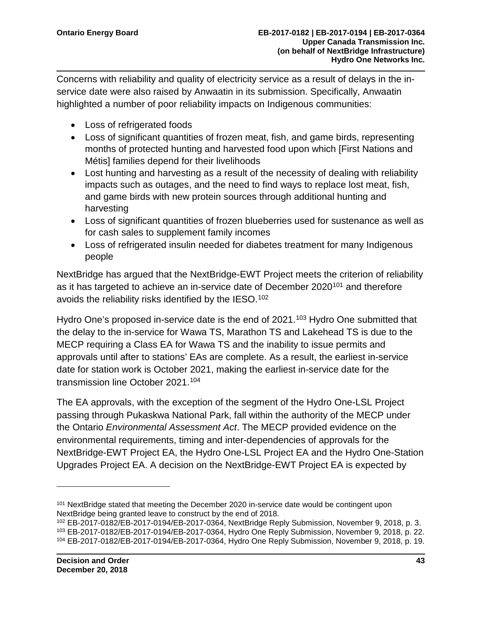Concerns with reliability and quality of electricity service as a result of delays in the inservice date were also raised by Anwaatin in its submission. Specifically, Anwaatin highlighted a number of poor reliability impacts on Indigenous communities:

- Loss of refrigerated foods
- Loss of significant quantities of frozen meat, fish, and game birds, representing months of protected hunting and harvested food upon which [First Nations and Métis] families depend for their livelihoods
- Lost hunting and harvesting as a result of the necessity of dealing with reliability impacts such as outages, and the need to find ways to replace lost meat, fish, and game birds with new protein sources through additional hunting and harvesting
- Loss of significant quantities of frozen blueberries used for sustenance as well as for cash sales to supplement family incomes
- Loss of refrigerated insulin needed for diabetes treatment for many Indigenous people

NextBridge has argued that the NextBridge-EWT Project meets the criterion of reliability as it has targeted to achieve an in-service date of December 2020<sup>[101](#page-45-0)</sup> and therefore avoids the reliability risks identified by the IESO.[102](#page-45-1)

Hydro One's proposed in-service date is the end of 2021.<sup>[103](#page-45-2)</sup> Hydro One submitted that the delay to the in-service for Wawa TS, Marathon TS and Lakehead TS is due to the MECP requiring a Class EA for Wawa TS and the inability to issue permits and approvals until after to stations' EAs are complete. As a result, the earliest in-service date for station work is October 2021, making the earliest in-service date for the transmission line October 2021.[104](#page-45-3)

The EA approvals, with the exception of the segment of the Hydro One-LSL Project passing through Pukaskwa National Park, fall within the authority of the MECP under the Ontario *Environmental Assessment Act*. The MECP provided evidence on the environmental requirements, timing and inter-dependencies of approvals for the NextBridge-EWT Project EA, the Hydro One-LSL Project EA and the Hydro One-Station Upgrades Project EA. A decision on the NextBridge-EWT Project EA is expected by

<span id="page-45-0"></span><sup>&</sup>lt;sup>101</sup> NextBridge stated that meeting the December 2020 in-service date would be contingent upon NextBridge being granted leave to construct by the end of 2018.

<span id="page-45-3"></span><span id="page-45-2"></span><span id="page-45-1"></span><sup>102</sup> EB-2017-0182/EB-2017-0194/EB-2017-0364, NextBridge Reply Submission, November 9, 2018, p. 3. <sup>103</sup> EB-2017-0182/EB-2017-0194/EB-2017-0364, Hydro One Reply Submission, November 9, 2018, p. 22. <sup>104</sup> EB-2017-0182/EB-2017-0194/EB-2017-0364, Hydro One Reply Submission, November 9, 2018, p. 19.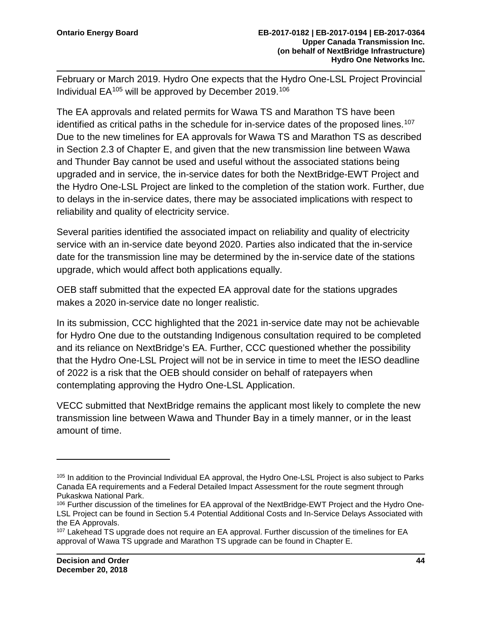February or March 2019. Hydro One expects that the Hydro One-LSL Project Provincial Individual EA<sup>[105](#page-46-0)</sup> will be approved by December 2019.<sup>[106](#page-46-1)</sup>

The EA approvals and related permits for Wawa TS and Marathon TS have been identified as critical paths in the schedule for in-service dates of the proposed lines.<sup>[107](#page-46-2)</sup> Due to the new timelines for EA approvals for Wawa TS and Marathon TS as described in Section 2.3 of Chapter E, and given that the new transmission line between Wawa and Thunder Bay cannot be used and useful without the associated stations being upgraded and in service, the in-service dates for both the NextBridge-EWT Project and the Hydro One-LSL Project are linked to the completion of the station work. Further, due to delays in the in-service dates, there may be associated implications with respect to reliability and quality of electricity service.

Several parities identified the associated impact on reliability and quality of electricity service with an in-service date beyond 2020. Parties also indicated that the in-service date for the transmission line may be determined by the in-service date of the stations upgrade, which would affect both applications equally.

OEB staff submitted that the expected EA approval date for the stations upgrades makes a 2020 in-service date no longer realistic.

In its submission, CCC highlighted that the 2021 in-service date may not be achievable for Hydro One due to the outstanding Indigenous consultation required to be completed and its reliance on NextBridge's EA. Further, CCC questioned whether the possibility that the Hydro One-LSL Project will not be in service in time to meet the IESO deadline of 2022 is a risk that the OEB should consider on behalf of ratepayers when contemplating approving the Hydro One-LSL Application.

VECC submitted that NextBridge remains the applicant most likely to complete the new transmission line between Wawa and Thunder Bay in a timely manner, or in the least amount of time.

<span id="page-46-0"></span><sup>105</sup> In addition to the Provincial Individual EA approval, the Hydro One-LSL Project is also subject to Parks Canada EA requirements and a Federal Detailed Impact Assessment for the route segment through Pukaskwa National Park.

<span id="page-46-1"></span><sup>106</sup> Further discussion of the timelines for EA approval of the NextBridge-EWT Project and the Hydro One-LSL Project can be found in Section 5.4 Potential Additional Costs and In-Service Delays Associated with the EA Approvals.<br><sup>107</sup> Lakehead TS upgrade does not require an EA approval. Further discussion of the timelines for EA

<span id="page-46-2"></span>approval of Wawa TS upgrade and Marathon TS upgrade can be found in Chapter E.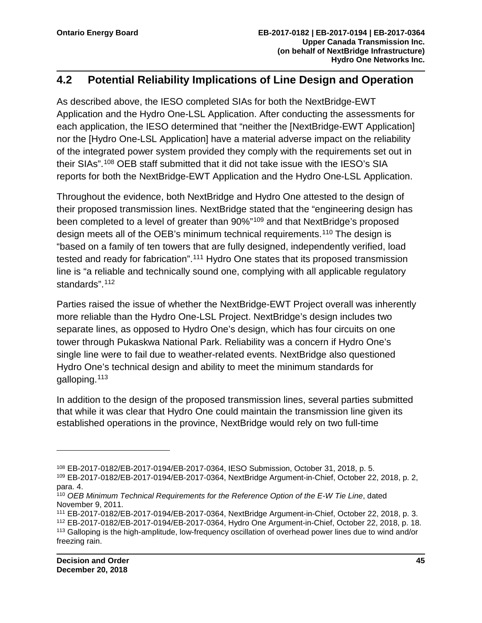## **4.2 Potential Reliability Implications of Line Design and Operation**

As described above, the IESO completed SIAs for both the NextBridge-EWT Application and the Hydro One-LSL Application. After conducting the assessments for each application, the IESO determined that "neither the [NextBridge-EWT Application] nor the [Hydro One-LSL Application] have a material adverse impact on the reliability of the integrated power system provided they comply with the requirements set out in their SIAs".[108](#page-47-0) OEB staff submitted that it did not take issue with the IESO's SIA reports for both the NextBridge-EWT Application and the Hydro One-LSL Application.

Throughout the evidence, both NextBridge and Hydro One attested to the design of their proposed transmission lines. NextBridge stated that the "engineering design has been completed to a level of greater than 90%"[109](#page-47-1) and that NextBridge's proposed design meets all of the OEB's minimum technical requirements.[110](#page-47-2) The design is "based on a family of ten towers that are fully designed, independently verified, load tested and ready for fabrication".<sup>[111](#page-47-3)</sup> Hydro One states that its proposed transmission line is "a reliable and technically sound one, complying with all applicable regulatory standards".<sup>[112](#page-47-4)</sup>

Parties raised the issue of whether the NextBridge-EWT Project overall was inherently more reliable than the Hydro One-LSL Project. NextBridge's design includes two separate lines, as opposed to Hydro One's design, which has four circuits on one tower through Pukaskwa National Park. Reliability was a concern if Hydro One's single line were to fail due to weather-related events. NextBridge also questioned Hydro One's technical design and ability to meet the minimum standards for galloping.<sup>[113](#page-47-5)</sup>

In addition to the design of the proposed transmission lines, several parties submitted that while it was clear that Hydro One could maintain the transmission line given its established operations in the province, NextBridge would rely on two full-time

<span id="page-47-0"></span><sup>108</sup> EB-2017-0182/EB-2017-0194/EB-2017-0364, IESO Submission, October 31, 2018, p. 5.

<span id="page-47-1"></span><sup>109</sup> EB-2017-0182/EB-2017-0194/EB-2017-0364, NextBridge Argument-in-Chief, October 22, 2018, p. 2, para. 4.

<span id="page-47-2"></span><sup>110</sup> *OEB Minimum Technical Requirements for the Reference Option of the E-W Tie Line*, dated November 9, 2011.

<span id="page-47-3"></span><sup>111</sup> EB-2017-0182/EB-2017-0194/EB-2017-0364, NextBridge Argument-in-Chief, October 22, 2018, p. 3.

<span id="page-47-5"></span><span id="page-47-4"></span><sup>112</sup> EB-2017-0182/EB-2017-0194/EB-2017-0364, Hydro One Argument-in-Chief, October 22, 2018, p. 18. <sup>113</sup> Galloping is the high-amplitude, low-frequency oscillation of overhead power lines due to wind and/or freezing rain.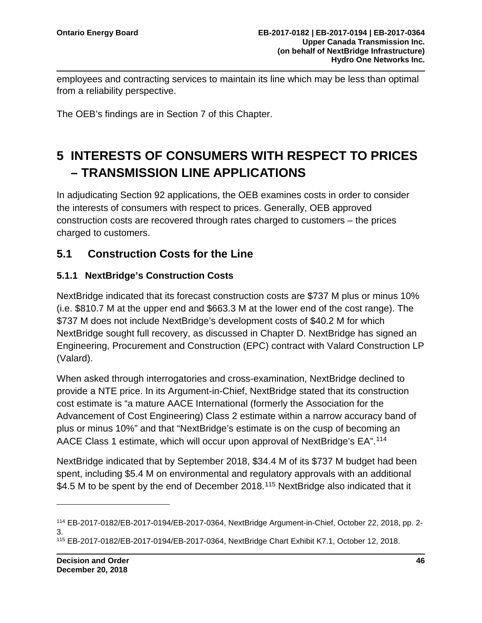employees and contracting services to maintain its line which may be less than optimal from a reliability perspective.

The OEB's findings are in Section 7 of this Chapter.

## **5 INTERESTS OF CONSUMERS WITH RESPECT TO PRICES – TRANSMISSION LINE APPLICATIONS**

In adjudicating Section 92 applications, the OEB examines costs in order to consider the interests of consumers with respect to prices. Generally, OEB approved construction costs are recovered through rates charged to customers – the prices charged to customers.

### **5.1 Construction Costs for the Line**

#### **5.1.1 NextBridge's Construction Costs**

NextBridge indicated that its forecast construction costs are \$737 M plus or minus 10% (i.e. \$810.7 M at the upper end and \$663.3 M at the lower end of the cost range). The \$737 M does not include NextBridge's development costs of \$40.2 M for which NextBridge sought full recovery, as discussed in Chapter D. NextBridge has signed an Engineering, Procurement and Construction (EPC) contract with Valard Construction LP (Valard).

When asked through interrogatories and cross-examination, NextBridge declined to provide a NTE price. In its Argument-in-Chief, NextBridge stated that its construction cost estimate is "a mature AACE International (formerly the Association for the Advancement of Cost Engineering) Class 2 estimate within a narrow accuracy band of plus or minus 10%" and that "NextBridge's estimate is on the cusp of becoming an AACE Class 1 estimate, which will occur upon approval of NextBridge's EA".[114](#page-48-0)

NextBridge indicated that by September 2018, \$34.4 M of its \$737 M budget had been spent, including \$5.4 M on environmental and regulatory approvals with an additional \$4.5 M to be spent by the end of December 2018.<sup>[115](#page-48-1)</sup> NextBridge also indicated that it

<span id="page-48-0"></span><sup>114</sup> EB-2017-0182/EB-2017-0194/EB-2017-0364, NextBridge Argument-in-Chief, October 22, 2018, pp. 2- 3.

<span id="page-48-1"></span><sup>115</sup> EB-2017-0182/EB-2017-0194/EB-2017-0364, NextBridge Chart Exhibit K7.1, October 12, 2018.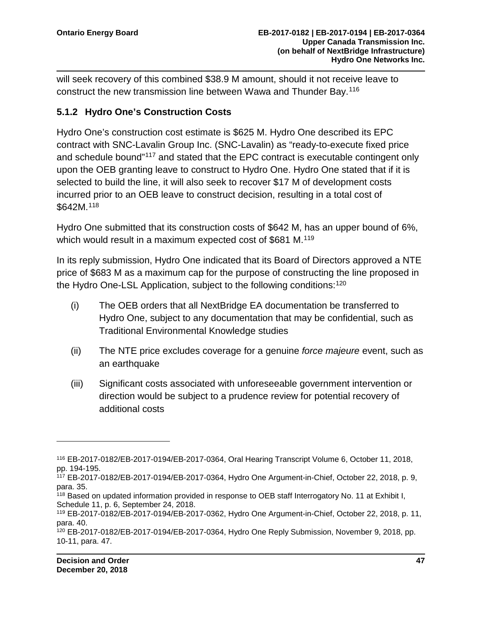will seek recovery of this combined \$38.9 M amount, should it not receive leave to construct the new transmission line between Wawa and Thunder Bay. [116](#page-49-0)

#### **5.1.2 Hydro One's Construction Costs**

Hydro One's construction cost estimate is \$625 M. Hydro One described its EPC contract with SNC-Lavalin Group Inc. (SNC-Lavalin) as "ready-to-execute fixed price and schedule bound<sup>"[117](#page-49-1)</sup> and stated that the EPC contract is executable contingent only upon the OEB granting leave to construct to Hydro One. Hydro One stated that if it is selected to build the line, it will also seek to recover \$17 M of development costs incurred prior to an OEB leave to construct decision, resulting in a total cost of \$642M.[118](#page-49-2)

Hydro One submitted that its construction costs of \$642 M, has an upper bound of 6%, which would result in a maximum expected cost of \$681 M.<sup>[119](#page-49-3)</sup>

In its reply submission, Hydro One indicated that its Board of Directors approved a NTE price of \$683 M as a maximum cap for the purpose of constructing the line proposed in the Hydro One-LSL Application, subject to the following conditions:<sup>[120](#page-49-4)</sup>

- (i) The OEB orders that all NextBridge EA documentation be transferred to Hydro One, subject to any documentation that may be confidential, such as Traditional Environmental Knowledge studies
- (ii) The NTE price excludes coverage for a genuine *force majeure* event, such as an earthquake
- (iii) Significant costs associated with unforeseeable government intervention or direction would be subject to a prudence review for potential recovery of additional costs

<span id="page-49-0"></span><sup>116</sup> EB-2017-0182/EB-2017-0194/EB-2017-0364, Oral Hearing Transcript Volume 6, October 11, 2018, pp. 194-195.

<span id="page-49-1"></span><sup>117</sup> EB-2017-0182/EB-2017-0194/EB-2017-0364, Hydro One Argument-in-Chief, October 22, 2018, p. 9, para. 35.

<span id="page-49-2"></span><sup>118</sup> Based on updated information provided in response to OEB staff Interrogatory No. 11 at Exhibit I, Schedule 11, p. 6, September 24, 2018.

<span id="page-49-3"></span><sup>119</sup> EB-2017-0182/EB-2017-0194/EB-2017-0362, Hydro One Argument-in-Chief, October 22, 2018, p. 11, para. 40.

<span id="page-49-4"></span><sup>120</sup> EB-2017-0182/EB-2017-0194/EB-2017-0364, Hydro One Reply Submission, November 9, 2018, pp. 10-11, para. 47.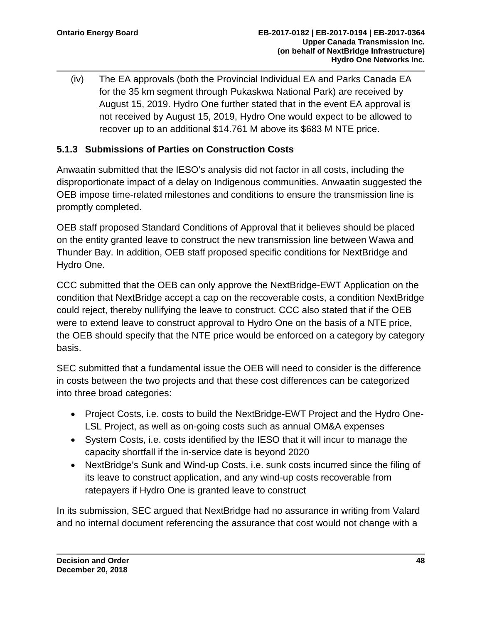(iv) The EA approvals (both the Provincial Individual EA and Parks Canada EA for the 35 km segment through Pukaskwa National Park) are received by August 15, 2019. Hydro One further stated that in the event EA approval is not received by August 15, 2019, Hydro One would expect to be allowed to recover up to an additional \$14.761 M above its \$683 M NTE price.

#### **5.1.3 Submissions of Parties on Construction Costs**

Anwaatin submitted that the IESO's analysis did not factor in all costs, including the disproportionate impact of a delay on Indigenous communities. Anwaatin suggested the OEB impose time-related milestones and conditions to ensure the transmission line is promptly completed.

OEB staff proposed Standard Conditions of Approval that it believes should be placed on the entity granted leave to construct the new transmission line between Wawa and Thunder Bay. In addition, OEB staff proposed specific conditions for NextBridge and Hydro One.

CCC submitted that the OEB can only approve the NextBridge-EWT Application on the condition that NextBridge accept a cap on the recoverable costs, a condition NextBridge could reject, thereby nullifying the leave to construct. CCC also stated that if the OEB were to extend leave to construct approval to Hydro One on the basis of a NTE price, the OEB should specify that the NTE price would be enforced on a category by category basis.

SEC submitted that a fundamental issue the OEB will need to consider is the difference in costs between the two projects and that these cost differences can be categorized into three broad categories:

- Project Costs, i.e. costs to build the NextBridge-EWT Project and the Hydro One-LSL Project, as well as on-going costs such as annual OM&A expenses
- System Costs, i.e. costs identified by the IESO that it will incur to manage the capacity shortfall if the in-service date is beyond 2020
- NextBridge's Sunk and Wind-up Costs, i.e. sunk costs incurred since the filing of its leave to construct application, and any wind-up costs recoverable from ratepayers if Hydro One is granted leave to construct

In its submission, SEC argued that NextBridge had no assurance in writing from Valard and no internal document referencing the assurance that cost would not change with a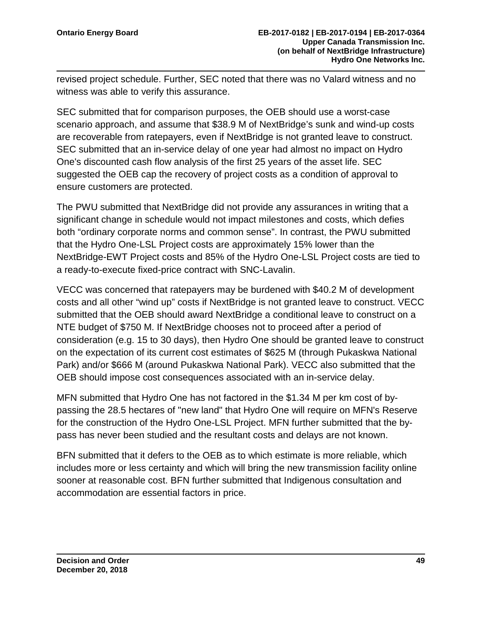revised project schedule. Further, SEC noted that there was no Valard witness and no witness was able to verify this assurance.

SEC submitted that for comparison purposes, the OEB should use a worst-case scenario approach, and assume that \$38.9 M of NextBridge's sunk and wind-up costs are recoverable from ratepayers, even if NextBridge is not granted leave to construct. SEC submitted that an in-service delay of one year had almost no impact on Hydro One's discounted cash flow analysis of the first 25 years of the asset life. SEC suggested the OEB cap the recovery of project costs as a condition of approval to ensure customers are protected.

The PWU submitted that NextBridge did not provide any assurances in writing that a significant change in schedule would not impact milestones and costs, which defies both "ordinary corporate norms and common sense". In contrast, the PWU submitted that the Hydro One-LSL Project costs are approximately 15% lower than the NextBridge-EWT Project costs and 85% of the Hydro One-LSL Project costs are tied to a ready-to-execute fixed-price contract with SNC-Lavalin.

VECC was concerned that ratepayers may be burdened with \$40.2 M of development costs and all other "wind up" costs if NextBridge is not granted leave to construct. VECC submitted that the OEB should award NextBridge a conditional leave to construct on a NTE budget of \$750 M. If NextBridge chooses not to proceed after a period of consideration (e.g. 15 to 30 days), then Hydro One should be granted leave to construct on the expectation of its current cost estimates of \$625 M (through Pukaskwa National Park) and/or \$666 M (around Pukaskwa National Park). VECC also submitted that the OEB should impose cost consequences associated with an in-service delay.

MFN submitted that Hydro One has not factored in the \$1.34 M per km cost of bypassing the 28.5 hectares of "new land" that Hydro One will require on MFN's Reserve for the construction of the Hydro One-LSL Project. MFN further submitted that the bypass has never been studied and the resultant costs and delays are not known.

BFN submitted that it defers to the OEB as to which estimate is more reliable, which includes more or less certainty and which will bring the new transmission facility online sooner at reasonable cost. BFN further submitted that Indigenous consultation and accommodation are essential factors in price.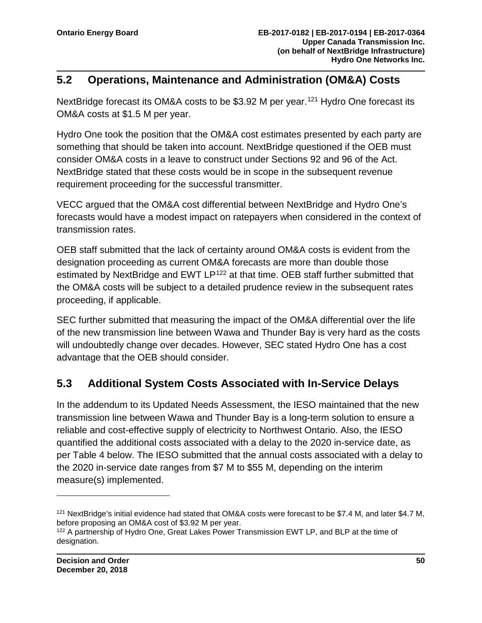### **5.2 Operations, Maintenance and Administration (OM&A) Costs**

NextBridge forecast its OM&A costs to be \$3.92 M per year.<sup>[121](#page-52-0)</sup> Hydro One forecast its OM&A costs at \$1.5 M per year.

Hydro One took the position that the OM&A cost estimates presented by each party are something that should be taken into account. NextBridge questioned if the OEB must consider OM&A costs in a leave to construct under Sections 92 and 96 of the Act. NextBridge stated that these costs would be in scope in the subsequent revenue requirement proceeding for the successful transmitter.

VECC argued that the OM&A cost differential between NextBridge and Hydro One's forecasts would have a modest impact on ratepayers when considered in the context of transmission rates.

OEB staff submitted that the lack of certainty around OM&A costs is evident from the designation proceeding as current OM&A forecasts are more than double those estimated by NextBridge and EWT  $LP^{122}$  $LP^{122}$  $LP^{122}$  at that time. OEB staff further submitted that the OM&A costs will be subject to a detailed prudence review in the subsequent rates proceeding, if applicable.

SEC further submitted that measuring the impact of the OM&A differential over the life of the new transmission line between Wawa and Thunder Bay is very hard as the costs will undoubtedly change over decades. However, SEC stated Hydro One has a cost advantage that the OEB should consider.

## **5.3 Additional System Costs Associated with In-Service Delays**

In the addendum to its Updated Needs Assessment, the IESO maintained that the new transmission line between Wawa and Thunder Bay is a long-term solution to ensure a reliable and cost-effective supply of electricity to Northwest Ontario. Also, the IESO quantified the additional costs associated with a delay to the 2020 in-service date, as per Table 4 below. The IESO submitted that the annual costs associated with a delay to the 2020 in-service date ranges from \$7 M to \$55 M, depending on the interim measure(s) implemented.

<span id="page-52-0"></span><sup>&</sup>lt;sup>121</sup> NextBridge's initial evidence had stated that OM&A costs were forecast to be \$7.4 M, and later \$4.7 M, before proposing an OM&A cost of \$3.92 M per year.

<span id="page-52-1"></span><sup>&</sup>lt;sup>122</sup> A partnership of Hydro One, Great Lakes Power Transmission EWT LP, and BLP at the time of designation.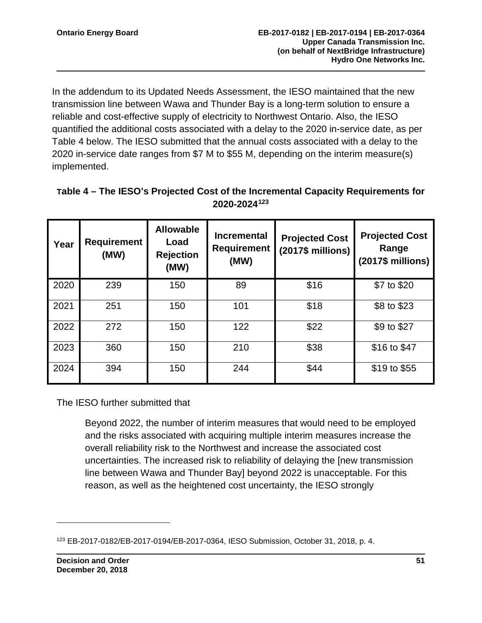In the addendum to its Updated Needs Assessment, the IESO maintained that the new transmission line between Wawa and Thunder Bay is a long-term solution to ensure a reliable and cost-effective supply of electricity to Northwest Ontario. Also, the IESO quantified the additional costs associated with a delay to the 2020 in-service date, as per Table 4 below. The IESO submitted that the annual costs associated with a delay to the 2020 in-service date ranges from \$7 M to \$55 M, depending on the interim measure(s) implemented.

| Year | <b>Requirement</b><br>(MW) | <b>Allowable</b><br>Load<br><b>Rejection</b><br>(MW) | <b>Incremental</b><br><b>Requirement</b><br>(MW) | <b>Projected Cost</b><br>$(2017$$ millions) | <b>Projected Cost</b><br>Range<br>(2017\$ millions) |
|------|----------------------------|------------------------------------------------------|--------------------------------------------------|---------------------------------------------|-----------------------------------------------------|
| 2020 | 239                        | 150                                                  | 89                                               | \$16                                        | \$7 to \$20                                         |
| 2021 | 251                        | 150                                                  | 101                                              | \$18                                        | \$8 to \$23                                         |
| 2022 | 272                        | 150                                                  | 122                                              | \$22                                        | \$9 to \$27                                         |
| 2023 | 360                        | 150                                                  | 210                                              | \$38                                        | \$16 to \$47                                        |
| 2024 | 394                        | 150                                                  | 244                                              | \$44                                        | \$19 to \$55                                        |

#### **Table 4 – The IESO's Projected Cost of the Incremental Capacity Requirements for 2020-2024[123](#page-53-0)**

The IESO further submitted that

Beyond 2022, the number of interim measures that would need to be employed and the risks associated with acquiring multiple interim measures increase the overall reliability risk to the Northwest and increase the associated cost uncertainties. The increased risk to reliability of delaying the [new transmission line between Wawa and Thunder Bay] beyond 2022 is unacceptable. For this reason, as well as the heightened cost uncertainty, the IESO strongly

<span id="page-53-0"></span><sup>123</sup> EB-2017-0182/EB-2017-0194/EB-2017-0364, IESO Submission, October 31, 2018, p. 4.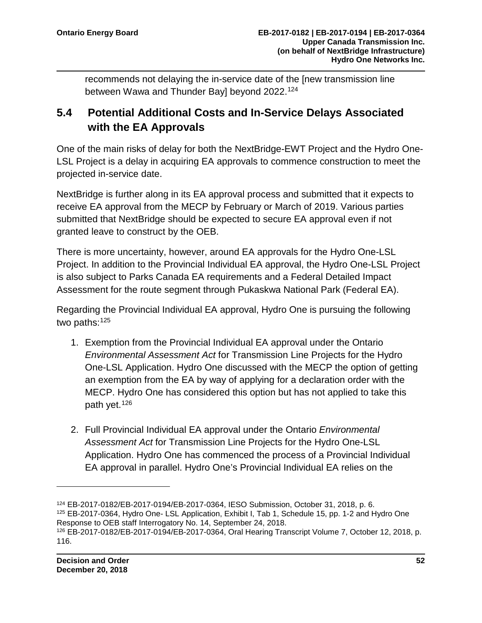recommends not delaying the in-service date of the [new transmission line between Wawa and Thunder Bay] beyond 2022.<sup>124</sup>

## **5.4 Potential Additional Costs and In-Service Delays Associated with the EA Approvals**

One of the main risks of delay for both the NextBridge-EWT Project and the Hydro One-LSL Project is a delay in acquiring EA approvals to commence construction to meet the projected in-service date.

NextBridge is further along in its EA approval process and submitted that it expects to receive EA approval from the MECP by February or March of 2019. Various parties submitted that NextBridge should be expected to secure EA approval even if not granted leave to construct by the OEB.

There is more uncertainty, however, around EA approvals for the Hydro One-LSL Project. In addition to the Provincial Individual EA approval, the Hydro One-LSL Project is also subject to Parks Canada EA requirements and a Federal Detailed Impact Assessment for the route segment through Pukaskwa National Park (Federal EA).

Regarding the Provincial Individual EA approval, Hydro One is pursuing the following two paths:<sup>[125](#page-54-1)</sup>

- 1. Exemption from the Provincial Individual EA approval under the Ontario *Environmental Assessment Act* for Transmission Line Projects for the Hydro One-LSL Application. Hydro One discussed with the MECP the option of getting an exemption from the EA by way of applying for a declaration order with the MECP. Hydro One has considered this option but has not applied to take this path yet. [126](#page-54-2)
- 2. Full Provincial Individual EA approval under the Ontario *Environmental Assessment Act* for Transmission Line Projects for the Hydro One-LSL Application. Hydro One has commenced the process of a Provincial Individual EA approval in parallel. Hydro One's Provincial Individual EA relies on the

<span id="page-54-0"></span><sup>124</sup> EB-2017-0182/EB-2017-0194/EB-2017-0364, IESO Submission, October 31, 2018, p. 6. <sup>125</sup> EB-2017-0364, Hydro One- LSL Application, Exhibit I, Tab 1, Schedule 15, pp. 1-2 and Hydro One

<span id="page-54-1"></span>Response to OEB staff Interrogatory No. 14, September 24, 2018.

<span id="page-54-2"></span><sup>126</sup> EB-2017-0182/EB-2017-0194/EB-2017-0364, Oral Hearing Transcript Volume 7, October 12, 2018, p. 116.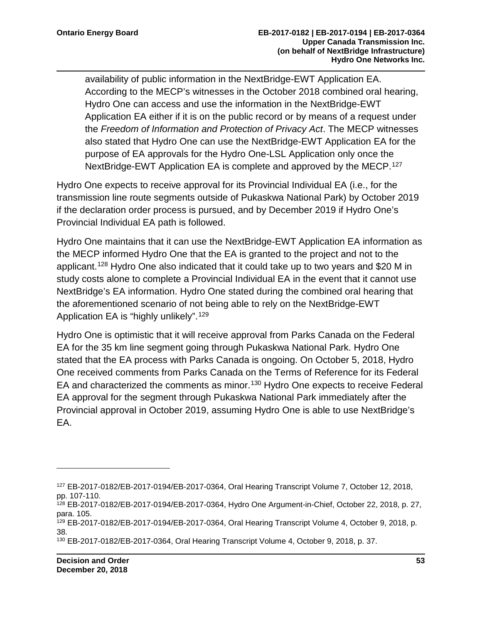availability of public information in the NextBridge-EWT Application EA. According to the MECP's witnesses in the October 2018 combined oral hearing, Hydro One can access and use the information in the NextBridge-EWT Application EA either if it is on the public record or by means of a request under the *Freedom of Information and Protection of Privacy Act*. The MECP witnesses also stated that Hydro One can use the NextBridge-EWT Application EA for the purpose of EA approvals for the Hydro One-LSL Application only once the NextBridge-EWT Application EA is complete and approved by the MECP.<sup>[127](#page-55-0)</sup>

Hydro One expects to receive approval for its Provincial Individual EA (i.e., for the transmission line route segments outside of Pukaskwa National Park) by October 2019 if the declaration order process is pursued, and by December 2019 if Hydro One's Provincial Individual EA path is followed.

Hydro One maintains that it can use the NextBridge-EWT Application EA information as the MECP informed Hydro One that the EA is granted to the project and not to the applicant. [128](#page-55-1) Hydro One also indicated that it could take up to two years and \$20 M in study costs alone to complete a Provincial Individual EA in the event that it cannot use NextBridge's EA information. Hydro One stated during the combined oral hearing that the aforementioned scenario of not being able to rely on the NextBridge-EWT Application EA is "highly unlikely".<sup>[129](#page-55-2)</sup>

Hydro One is optimistic that it will receive approval from Parks Canada on the Federal EA for the 35 km line segment going through Pukaskwa National Park. Hydro One stated that the EA process with Parks Canada is ongoing. On October 5, 2018, Hydro One received comments from Parks Canada on the Terms of Reference for its Federal EA and characterized the comments as minor.<sup>[130](#page-55-3)</sup> Hydro One expects to receive Federal EA approval for the segment through Pukaskwa National Park immediately after the Provincial approval in October 2019, assuming Hydro One is able to use NextBridge's EA.

<span id="page-55-0"></span><sup>127</sup> EB-2017-0182/EB-2017-0194/EB-2017-0364, Oral Hearing Transcript Volume 7, October 12, 2018, pp. 107-110.

<span id="page-55-1"></span><sup>128</sup> EB-2017-0182/EB-2017-0194/EB-2017-0364, Hydro One Argument-in-Chief, October 22, 2018, p. 27, para. 105.

<span id="page-55-2"></span><sup>129</sup> EB-2017-0182/EB-2017-0194/EB-2017-0364, Oral Hearing Transcript Volume 4, October 9, 2018, p. 38.

<span id="page-55-3"></span><sup>130</sup> EB-2017-0182/EB-2017-0364, Oral Hearing Transcript Volume 4, October 9, 2018, p. 37.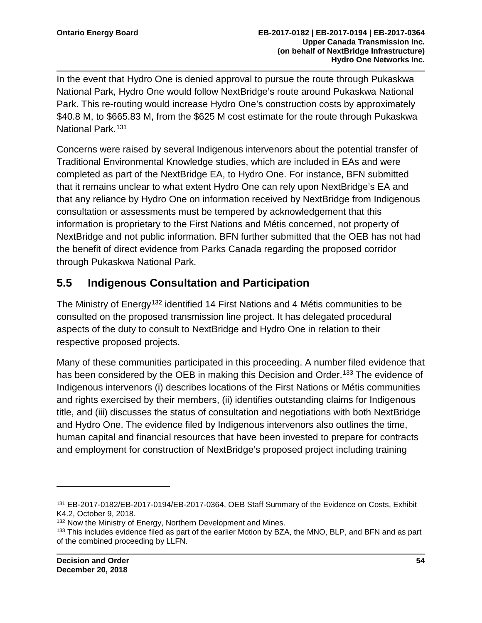In the event that Hydro One is denied approval to pursue the route through Pukaskwa National Park, Hydro One would follow NextBridge's route around Pukaskwa National Park. This re-routing would increase Hydro One's construction costs by approximately \$40.8 M, to \$665.83 M, from the \$625 M cost estimate for the route through Pukaskwa National Park.<sup>[131](#page-56-0)</sup>

Concerns were raised by several Indigenous intervenors about the potential transfer of Traditional Environmental Knowledge studies, which are included in EAs and were completed as part of the NextBridge EA, to Hydro One. For instance, BFN submitted that it remains unclear to what extent Hydro One can rely upon NextBridge's EA and that any reliance by Hydro One on information received by NextBridge from Indigenous consultation or assessments must be tempered by acknowledgement that this information is proprietary to the First Nations and Métis concerned, not property of NextBridge and not public information. BFN further submitted that the OEB has not had the benefit of direct evidence from Parks Canada regarding the proposed corridor through Pukaskwa National Park.

## **5.5 Indigenous Consultation and Participation**

The Ministry of Energy<sup>[132](#page-56-1)</sup> identified 14 First Nations and 4 Métis communities to be consulted on the proposed transmission line project. It has delegated procedural aspects of the duty to consult to NextBridge and Hydro One in relation to their respective proposed projects.

Many of these communities participated in this proceeding. A number filed evidence that has been considered by the OEB in making this Decision and Order.<sup>[133](#page-56-2)</sup> The evidence of Indigenous intervenors (i) describes locations of the First Nations or Métis communities and rights exercised by their members, (ii) identifies outstanding claims for Indigenous title, and (iii) discusses the status of consultation and negotiations with both NextBridge and Hydro One. The evidence filed by Indigenous intervenors also outlines the time, human capital and financial resources that have been invested to prepare for contracts and employment for construction of NextBridge's proposed project including training

<span id="page-56-0"></span><sup>131</sup> EB-2017-0182/EB-2017-0194/EB-2017-0364, OEB Staff Summary of the Evidence on Costs, Exhibit K4.2, October 9, 2018.

<span id="page-56-1"></span><sup>&</sup>lt;sup>132</sup> Now the Ministry of Energy, Northern Development and Mines.

<span id="page-56-2"></span><sup>&</sup>lt;sup>133</sup> This includes evidence filed as part of the earlier Motion by BZA, the MNO, BLP, and BFN and as part of the combined proceeding by LLFN.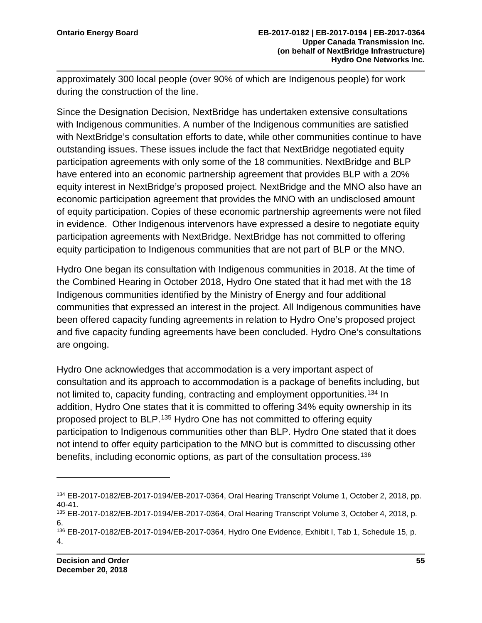approximately 300 local people (over 90% of which are Indigenous people) for work during the construction of the line.

Since the Designation Decision, NextBridge has undertaken extensive consultations with Indigenous communities. A number of the Indigenous communities are satisfied with NextBridge's consultation efforts to date, while other communities continue to have outstanding issues. These issues include the fact that NextBridge negotiated equity participation agreements with only some of the 18 communities. NextBridge and BLP have entered into an economic partnership agreement that provides BLP with a 20% equity interest in NextBridge's proposed project. NextBridge and the MNO also have an economic participation agreement that provides the MNO with an undisclosed amount of equity participation. Copies of these economic partnership agreements were not filed in evidence. Other Indigenous intervenors have expressed a desire to negotiate equity participation agreements with NextBridge. NextBridge has not committed to offering equity participation to Indigenous communities that are not part of BLP or the MNO.

Hydro One began its consultation with Indigenous communities in 2018. At the time of the Combined Hearing in October 2018, Hydro One stated that it had met with the 18 Indigenous communities identified by the Ministry of Energy and four additional communities that expressed an interest in the project. All Indigenous communities have been offered capacity funding agreements in relation to Hydro One's proposed project and five capacity funding agreements have been concluded. Hydro One's consultations are ongoing.

Hydro One acknowledges that accommodation is a very important aspect of consultation and its approach to accommodation is a package of benefits including, but not limited to, capacity funding, contracting and employment opportunities.<sup>[134](#page-57-0)</sup> In addition, Hydro One states that it is committed to offering 34% equity ownership in its proposed project to BLP.[135](#page-57-1) Hydro One has not committed to offering equity participation to Indigenous communities other than BLP. Hydro One stated that it does not intend to offer equity participation to the MNO but is committed to discussing other benefits, including economic options, as part of the consultation process.<sup>[136](#page-57-2)</sup>

<span id="page-57-0"></span><sup>134</sup> EB-2017-0182/EB-2017-0194/EB-2017-0364, Oral Hearing Transcript Volume 1, October 2, 2018, pp. 40-41.

<span id="page-57-1"></span><sup>135</sup> EB-2017-0182/EB-2017-0194/EB-2017-0364, Oral Hearing Transcript Volume 3, October 4, 2018, p. 6.

<span id="page-57-2"></span><sup>136</sup> EB-2017-0182/EB-2017-0194/EB-2017-0364, Hydro One Evidence, Exhibit I, Tab 1, Schedule 15, p. 4.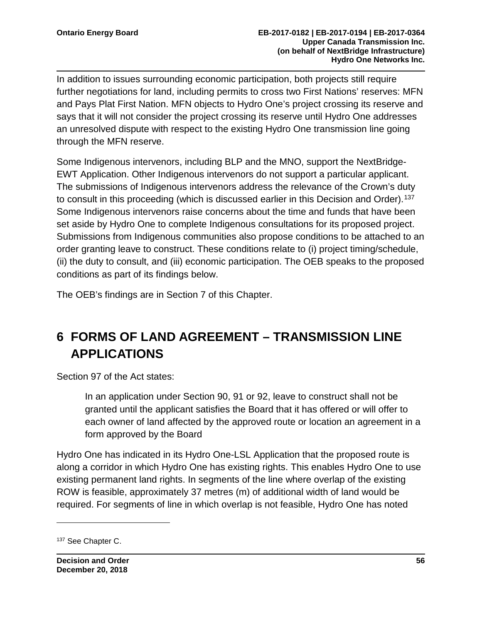In addition to issues surrounding economic participation, both projects still require further negotiations for land, including permits to cross two First Nations' reserves: MFN and Pays Plat First Nation. MFN objects to Hydro One's project crossing its reserve and says that it will not consider the project crossing its reserve until Hydro One addresses an unresolved dispute with respect to the existing Hydro One transmission line going through the MFN reserve.

Some Indigenous intervenors, including BLP and the MNO, support the NextBridge-EWT Application. Other Indigenous intervenors do not support a particular applicant. The submissions of Indigenous intervenors address the relevance of the Crown's duty to consult in this proceeding (which is discussed earlier in this Decision and Order).<sup>[137](#page-58-0)</sup> Some Indigenous intervenors raise concerns about the time and funds that have been set aside by Hydro One to complete Indigenous consultations for its proposed project. Submissions from Indigenous communities also propose conditions to be attached to an order granting leave to construct. These conditions relate to (i) project timing/schedule, (ii) the duty to consult, and (iii) economic participation. The OEB speaks to the proposed conditions as part of its findings below.

The OEB's findings are in Section 7 of this Chapter.

## **6 FORMS OF LAND AGREEMENT – TRANSMISSION LINE APPLICATIONS**

Section 97 of the Act states:

In an application under Section 90, 91 or 92, leave to construct shall not be granted until the applicant satisfies the Board that it has offered or will offer to each owner of land affected by the approved route or location an agreement in a form approved by the Board

Hydro One has indicated in its Hydro One-LSL Application that the proposed route is along a corridor in which Hydro One has existing rights. This enables Hydro One to use existing permanent land rights. In segments of the line where overlap of the existing ROW is feasible, approximately 37 metres (m) of additional width of land would be required. For segments of line in which overlap is not feasible, Hydro One has noted

<span id="page-58-0"></span><sup>137</sup> See Chapter C.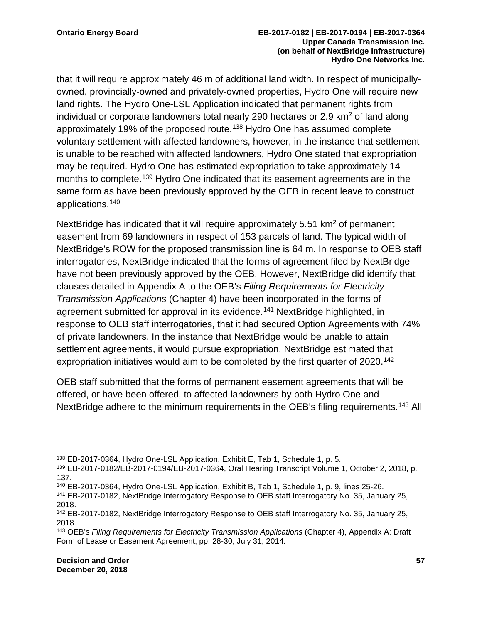that it will require approximately 46 m of additional land width. In respect of municipallyowned, provincially-owned and privately-owned properties, Hydro One will require new land rights. The Hydro One-LSL Application indicated that permanent rights from individual or corporate landowners total nearly 290 hectares or 2.9 km<sup>2</sup> of land along approximately 19% of the proposed route.<sup>[138](#page-59-0)</sup> Hydro One has assumed complete voluntary settlement with affected landowners, however, in the instance that settlement is unable to be reached with affected landowners, Hydro One stated that expropriation may be required. Hydro One has estimated expropriation to take approximately 14 months to complete.<sup>[139](#page-59-1)</sup> Hydro One indicated that its easement agreements are in the same form as have been previously approved by the OEB in recent leave to construct applications.[140](#page-59-2)

NextBridge has indicated that it will require approximately 5.51 km<sup>2</sup> of permanent easement from 69 landowners in respect of 153 parcels of land. The typical width of NextBridge's ROW for the proposed transmission line is 64 m. In response to OEB staff interrogatories, NextBridge indicated that the forms of agreement filed by NextBridge have not been previously approved by the OEB. However, NextBridge did identify that clauses detailed in Appendix A to the OEB's *Filing Requirements for Electricity Transmission Applications* (Chapter 4) have been incorporated in the forms of agreement submitted for approval in its evidence.<sup>[141](#page-59-3)</sup> NextBridge highlighted, in response to OEB staff interrogatories, that it had secured Option Agreements with 74% of private landowners. In the instance that NextBridge would be unable to attain settlement agreements, it would pursue expropriation. NextBridge estimated that expropriation initiatives would aim to be completed by the first quarter of 2020.<sup>142</sup>

OEB staff submitted that the forms of permanent easement agreements that will be offered, or have been offered, to affected landowners by both Hydro One and NextBridge adhere to the minimum requirements in the OEB's filing requirements.<sup>[143](#page-59-5)</sup> All

<span id="page-59-0"></span><sup>138</sup> EB-2017-0364, Hydro One-LSL Application, Exhibit E, Tab 1, Schedule 1, p. 5.

<span id="page-59-1"></span><sup>139</sup> EB-2017-0182/EB-2017-0194/EB-2017-0364, Oral Hearing Transcript Volume 1, October 2, 2018, p. 137.

<span id="page-59-2"></span><sup>140</sup> EB-2017-0364, Hydro One-LSL Application, Exhibit B, Tab 1, Schedule 1, p. 9, lines 25-26.

<span id="page-59-3"></span><sup>141</sup> EB-2017-0182, NextBridge Interrogatory Response to OEB staff Interrogatory No. 35, January 25, 2018.

<span id="page-59-4"></span><sup>142</sup> EB-2017-0182, NextBridge Interrogatory Response to OEB staff Interrogatory No. 35, January 25, 2018.

<span id="page-59-5"></span><sup>143</sup> OEB's *Filing Requirements for Electricity Transmission Applications* (Chapter 4), Appendix A: Draft Form of Lease or Easement Agreement, pp. 28-30, July 31, 2014.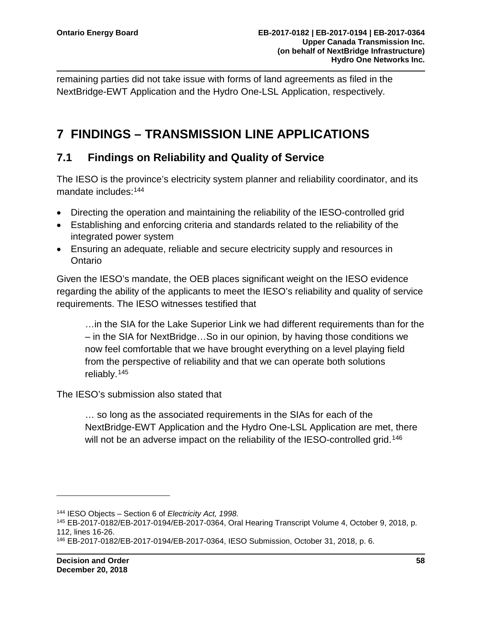remaining parties did not take issue with forms of land agreements as filed in the NextBridge-EWT Application and the Hydro One-LSL Application, respectively.

## **7 FINDINGS – TRANSMISSION LINE APPLICATIONS**

## **7.1 Findings on Reliability and Quality of Service**

The IESO is the province's electricity system planner and reliability coordinator, and its mandate includes:[144](#page-60-0)

- Directing the operation and maintaining the reliability of the IESO-controlled grid
- Establishing and enforcing criteria and standards related to the reliability of the integrated power system
- Ensuring an adequate, reliable and secure electricity supply and resources in Ontario

Given the IESO's mandate, the OEB places significant weight on the IESO evidence regarding the ability of the applicants to meet the IESO's reliability and quality of service requirements. The IESO witnesses testified that

…in the SIA for the Lake Superior Link we had different requirements than for the – in the SIA for NextBridge…So in our opinion, by having those conditions we now feel comfortable that we have brought everything on a level playing field from the perspective of reliability and that we can operate both solutions reliably.[145](#page-60-1)

The IESO's submission also stated that

… so long as the associated requirements in the SIAs for each of the NextBridge-EWT Application and the Hydro One-LSL Application are met, there will not be an adverse impact on the reliability of the IESO-controlled grid.<sup>[146](#page-60-2)</sup>

<span id="page-60-0"></span><sup>144</sup> IESO Objects – Section 6 of *Electricity Act, 1998.*

<span id="page-60-1"></span><sup>145</sup> EB-2017-0182/EB-2017-0194/EB-2017-0364, Oral Hearing Transcript Volume 4, October 9, 2018, p. 112, lines 16-26.

<span id="page-60-2"></span><sup>146</sup> EB-2017-0182/EB-2017-0194/EB-2017-0364, IESO Submission, October 31, 2018, p. 6.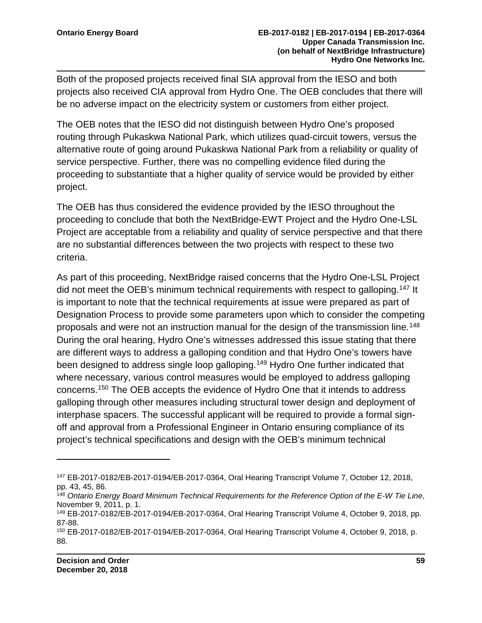Both of the proposed projects received final SIA approval from the IESO and both projects also received CIA approval from Hydro One. The OEB concludes that there will be no adverse impact on the electricity system or customers from either project.

The OEB notes that the IESO did not distinguish between Hydro One's proposed routing through Pukaskwa National Park, which utilizes quad-circuit towers, versus the alternative route of going around Pukaskwa National Park from a reliability or quality of service perspective. Further, there was no compelling evidence filed during the proceeding to substantiate that a higher quality of service would be provided by either project.

The OEB has thus considered the evidence provided by the IESO throughout the proceeding to conclude that both the NextBridge-EWT Project and the Hydro One-LSL Project are acceptable from a reliability and quality of service perspective and that there are no substantial differences between the two projects with respect to these two criteria.

As part of this proceeding, NextBridge raised concerns that the Hydro One-LSL Project did not meet the OEB's minimum technical requirements with respect to galloping.<sup>[147](#page-61-0)</sup> It is important to note that the technical requirements at issue were prepared as part of Designation Process to provide some parameters upon which to consider the competing proposals and were not an instruction manual for the design of the transmission line.<sup>[148](#page-61-1)</sup> During the oral hearing, Hydro One's witnesses addressed this issue stating that there are different ways to address a galloping condition and that Hydro One's towers have been designed to address single loop galloping.<sup>[149](#page-61-2)</sup> Hydro One further indicated that where necessary, various control measures would be employed to address galloping concerns.[150](#page-61-3) The OEB accepts the evidence of Hydro One that it intends to address galloping through other measures including structural tower design and deployment of interphase spacers. The successful applicant will be required to provide a formal signoff and approval from a Professional Engineer in Ontario ensuring compliance of its project's technical specifications and design with the OEB's minimum technical

<span id="page-61-0"></span><sup>147</sup> EB-2017-0182/EB-2017-0194/EB-2017-0364, Oral Hearing Transcript Volume 7, October 12, 2018, pp. 43, 45, 86.

<span id="page-61-1"></span><sup>148</sup> *Ontario Energy Board Minimum Technical Requirements for the Reference Option of the E-W Tie Line*, November 9, 2011, p. 1.

<span id="page-61-2"></span><sup>149</sup> EB-2017-0182/EB-2017-0194/EB-2017-0364, Oral Hearing Transcript Volume 4, October 9, 2018, pp. 87-88.

<span id="page-61-3"></span><sup>150</sup> EB-2017-0182/EB-2017-0194/EB-2017-0364, Oral Hearing Transcript Volume 4, October 9, 2018, p. 88.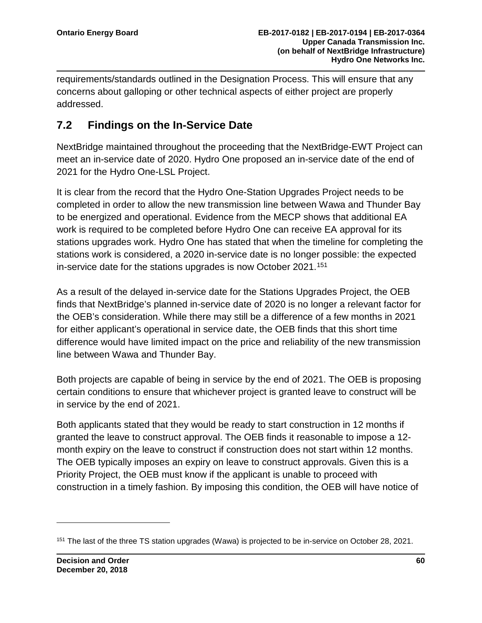requirements/standards outlined in the Designation Process. This will ensure that any concerns about galloping or other technical aspects of either project are properly addressed.

### **7.2 Findings on the In-Service Date**

NextBridge maintained throughout the proceeding that the NextBridge-EWT Project can meet an in-service date of 2020. Hydro One proposed an in-service date of the end of 2021 for the Hydro One-LSL Project.

It is clear from the record that the Hydro One-Station Upgrades Project needs to be completed in order to allow the new transmission line between Wawa and Thunder Bay to be energized and operational. Evidence from the MECP shows that additional EA work is required to be completed before Hydro One can receive EA approval for its stations upgrades work. Hydro One has stated that when the timeline for completing the stations work is considered, a 2020 in-service date is no longer possible: the expected in-service date for the stations upgrades is now October 2021.[151](#page-62-0)

As a result of the delayed in-service date for the Stations Upgrades Project, the OEB finds that NextBridge's planned in-service date of 2020 is no longer a relevant factor for the OEB's consideration. While there may still be a difference of a few months in 2021 for either applicant's operational in service date, the OEB finds that this short time difference would have limited impact on the price and reliability of the new transmission line between Wawa and Thunder Bay.

Both projects are capable of being in service by the end of 2021. The OEB is proposing certain conditions to ensure that whichever project is granted leave to construct will be in service by the end of 2021.

Both applicants stated that they would be ready to start construction in 12 months if granted the leave to construct approval. The OEB finds it reasonable to impose a 12 month expiry on the leave to construct if construction does not start within 12 months. The OEB typically imposes an expiry on leave to construct approvals. Given this is a Priority Project, the OEB must know if the applicant is unable to proceed with construction in a timely fashion. By imposing this condition, the OEB will have notice of

<span id="page-62-0"></span><sup>151</sup> The last of the three TS station upgrades (Wawa) is projected to be in-service on October 28, 2021.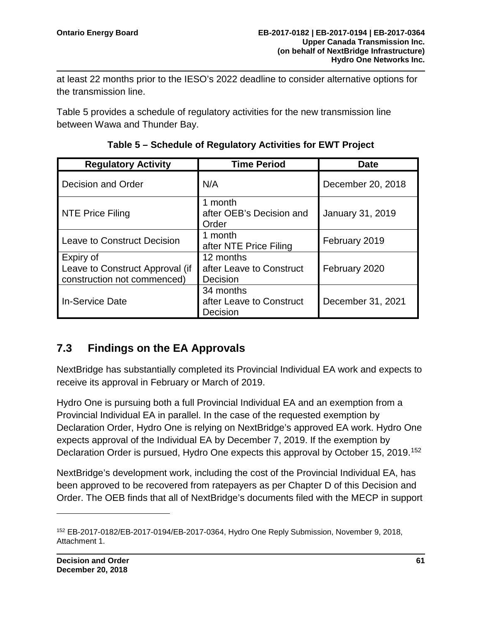at least 22 months prior to the IESO's 2022 deadline to consider alternative options for the transmission line.

Table 5 provides a schedule of regulatory activities for the new transmission line between Wawa and Thunder Bay.

| <b>Regulatory Activity</b>                                                  | <b>Time Period</b>                                | <b>Date</b>       |
|-----------------------------------------------------------------------------|---------------------------------------------------|-------------------|
| Decision and Order                                                          | N/A                                               | December 20, 2018 |
| <b>NTE Price Filing</b>                                                     | 1 month<br>after OEB's Decision and<br>Order      | January 31, 2019  |
| <b>Leave to Construct Decision</b>                                          | 1 month<br>after NTE Price Filing                 | February 2019     |
| Expiry of<br>Leave to Construct Approval (if<br>construction not commenced) | 12 months<br>after Leave to Construct<br>Decision | February 2020     |
| <b>In-Service Date</b>                                                      | 34 months<br>after Leave to Construct<br>Decision | December 31, 2021 |

**Table 5 – Schedule of Regulatory Activities for EWT Project**

## **7.3 Findings on the EA Approvals**

NextBridge has substantially completed its Provincial Individual EA work and expects to receive its approval in February or March of 2019.

Hydro One is pursuing both a full Provincial Individual EA and an exemption from a Provincial Individual EA in parallel. In the case of the requested exemption by Declaration Order, Hydro One is relying on NextBridge's approved EA work. Hydro One expects approval of the Individual EA by December 7, 2019. If the exemption by Declaration Order is pursued, Hydro One expects this approval by October 15, 2019.<sup>[152](#page-63-0)</sup>

NextBridge's development work, including the cost of the Provincial Individual EA, has been approved to be recovered from ratepayers as per Chapter D of this Decision and Order. The OEB finds that all of NextBridge's documents filed with the MECP in support

<span id="page-63-0"></span><sup>152</sup> EB-2017-0182/EB-2017-0194/EB-2017-0364, Hydro One Reply Submission, November 9, 2018, Attachment 1.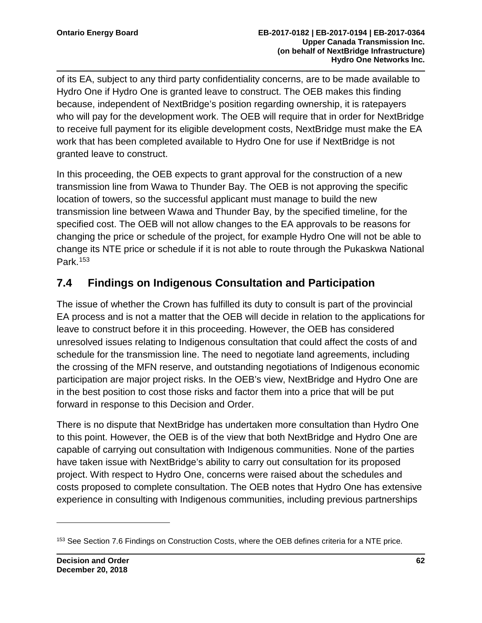of its EA, subject to any third party confidentiality concerns, are to be made available to Hydro One if Hydro One is granted leave to construct. The OEB makes this finding because, independent of NextBridge's position regarding ownership, it is ratepayers who will pay for the development work. The OEB will require that in order for NextBridge to receive full payment for its eligible development costs, NextBridge must make the EA work that has been completed available to Hydro One for use if NextBridge is not granted leave to construct.

In this proceeding, the OEB expects to grant approval for the construction of a new transmission line from Wawa to Thunder Bay. The OEB is not approving the specific location of towers, so the successful applicant must manage to build the new transmission line between Wawa and Thunder Bay, by the specified timeline, for the specified cost. The OEB will not allow changes to the EA approvals to be reasons for changing the price or schedule of the project, for example Hydro One will not be able to change its NTE price or schedule if it is not able to route through the Pukaskwa National Park.[153](#page-64-0)

## **7.4 Findings on Indigenous Consultation and Participation**

The issue of whether the Crown has fulfilled its duty to consult is part of the provincial EA process and is not a matter that the OEB will decide in relation to the applications for leave to construct before it in this proceeding. However, the OEB has considered unresolved issues relating to Indigenous consultation that could affect the costs of and schedule for the transmission line. The need to negotiate land agreements, including the crossing of the MFN reserve, and outstanding negotiations of Indigenous economic participation are major project risks. In the OEB's view, NextBridge and Hydro One are in the best position to cost those risks and factor them into a price that will be put forward in response to this Decision and Order.

There is no dispute that NextBridge has undertaken more consultation than Hydro One to this point. However, the OEB is of the view that both NextBridge and Hydro One are capable of carrying out consultation with Indigenous communities. None of the parties have taken issue with NextBridge's ability to carry out consultation for its proposed project. With respect to Hydro One, concerns were raised about the schedules and costs proposed to complete consultation. The OEB notes that Hydro One has extensive experience in consulting with Indigenous communities, including previous partnerships

<span id="page-64-0"></span><sup>153</sup> See Section 7.6 Findings on Construction Costs, where the OEB defines criteria for a NTE price.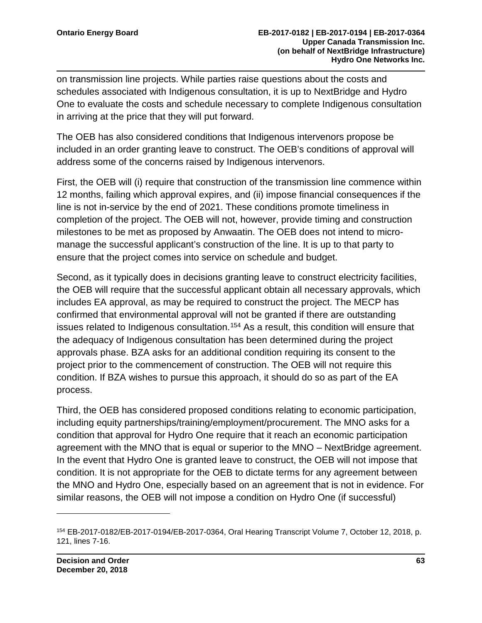on transmission line projects. While parties raise questions about the costs and schedules associated with Indigenous consultation, it is up to NextBridge and Hydro One to evaluate the costs and schedule necessary to complete Indigenous consultation in arriving at the price that they will put forward.

The OEB has also considered conditions that Indigenous intervenors propose be included in an order granting leave to construct. The OEB's conditions of approval will address some of the concerns raised by Indigenous intervenors.

First, the OEB will (i) require that construction of the transmission line commence within 12 months, failing which approval expires, and (ii) impose financial consequences if the line is not in-service by the end of 2021. These conditions promote timeliness in completion of the project. The OEB will not, however, provide timing and construction milestones to be met as proposed by Anwaatin. The OEB does not intend to micromanage the successful applicant's construction of the line. It is up to that party to ensure that the project comes into service on schedule and budget.

Second, as it typically does in decisions granting leave to construct electricity facilities, the OEB will require that the successful applicant obtain all necessary approvals, which includes EA approval, as may be required to construct the project. The MECP has confirmed that environmental approval will not be granted if there are outstanding issues related to Indigenous consultation.<sup>[154](#page-65-0)</sup> As a result, this condition will ensure that the adequacy of Indigenous consultation has been determined during the project approvals phase. BZA asks for an additional condition requiring its consent to the project prior to the commencement of construction. The OEB will not require this condition. If BZA wishes to pursue this approach, it should do so as part of the EA process.

Third, the OEB has considered proposed conditions relating to economic participation, including equity partnerships/training/employment/procurement. The MNO asks for a condition that approval for Hydro One require that it reach an economic participation agreement with the MNO that is equal or superior to the MNO – NextBridge agreement. In the event that Hydro One is granted leave to construct, the OEB will not impose that condition. It is not appropriate for the OEB to dictate terms for any agreement between the MNO and Hydro One, especially based on an agreement that is not in evidence. For similar reasons, the OEB will not impose a condition on Hydro One (if successful)

<span id="page-65-0"></span><sup>154</sup> EB-2017-0182/EB-2017-0194/EB-2017-0364, Oral Hearing Transcript Volume 7, October 12, 2018, p. 121, lines 7-16.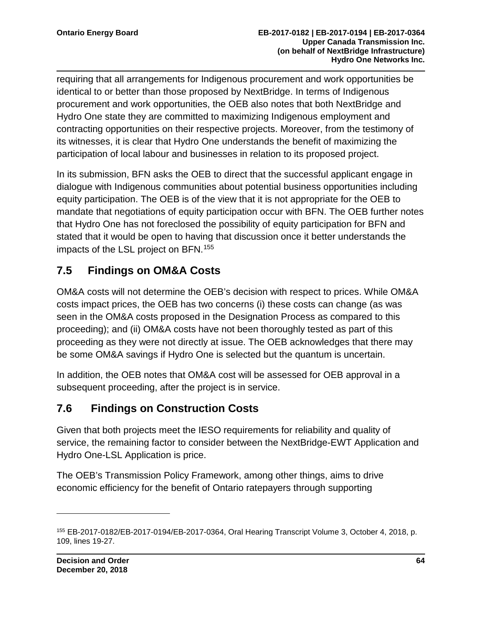requiring that all arrangements for Indigenous procurement and work opportunities be identical to or better than those proposed by NextBridge. In terms of Indigenous procurement and work opportunities, the OEB also notes that both NextBridge and Hydro One state they are committed to maximizing Indigenous employment and contracting opportunities on their respective projects. Moreover, from the testimony of its witnesses, it is clear that Hydro One understands the benefit of maximizing the participation of local labour and businesses in relation to its proposed project.

In its submission, BFN asks the OEB to direct that the successful applicant engage in dialogue with Indigenous communities about potential business opportunities including equity participation. The OEB is of the view that it is not appropriate for the OEB to mandate that negotiations of equity participation occur with BFN. The OEB further notes that Hydro One has not foreclosed the possibility of equity participation for BFN and stated that it would be open to having that discussion once it better understands the impacts of the LSL project on BFN.[155](#page-66-0)

## **7.5 Findings on OM&A Costs**

OM&A costs will not determine the OEB's decision with respect to prices. While OM&A costs impact prices, the OEB has two concerns (i) these costs can change (as was seen in the OM&A costs proposed in the Designation Process as compared to this proceeding); and (ii) OM&A costs have not been thoroughly tested as part of this proceeding as they were not directly at issue. The OEB acknowledges that there may be some OM&A savings if Hydro One is selected but the quantum is uncertain.

In addition, the OEB notes that OM&A cost will be assessed for OEB approval in a subsequent proceeding, after the project is in service.

## **7.6 Findings on Construction Costs**

Given that both projects meet the IESO requirements for reliability and quality of service, the remaining factor to consider between the NextBridge-EWT Application and Hydro One-LSL Application is price.

The OEB's Transmission Policy Framework, among other things, aims to drive economic efficiency for the benefit of Ontario ratepayers through supporting

<span id="page-66-0"></span><sup>155</sup> EB-2017-0182/EB-2017-0194/EB-2017-0364, Oral Hearing Transcript Volume 3, October 4, 2018, p. 109, lines 19-27.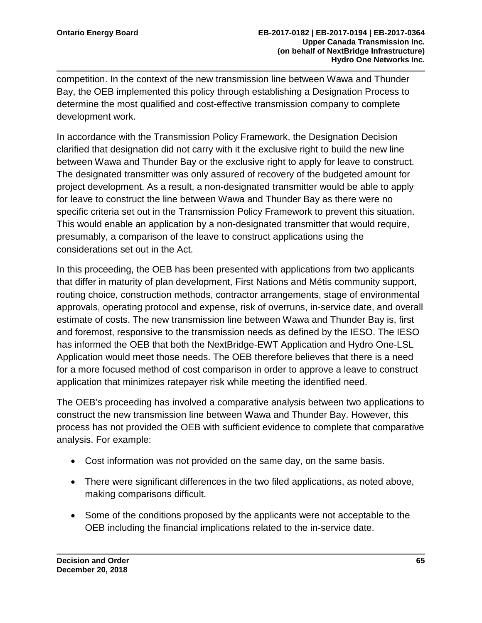competition. In the context of the new transmission line between Wawa and Thunder Bay, the OEB implemented this policy through establishing a Designation Process to determine the most qualified and cost-effective transmission company to complete development work.

In accordance with the Transmission Policy Framework, the Designation Decision clarified that designation did not carry with it the exclusive right to build the new line between Wawa and Thunder Bay or the exclusive right to apply for leave to construct. The designated transmitter was only assured of recovery of the budgeted amount for project development. As a result, a non-designated transmitter would be able to apply for leave to construct the line between Wawa and Thunder Bay as there were no specific criteria set out in the Transmission Policy Framework to prevent this situation. This would enable an application by a non-designated transmitter that would require, presumably, a comparison of the leave to construct applications using the considerations set out in the Act.

In this proceeding, the OEB has been presented with applications from two applicants that differ in maturity of plan development, First Nations and Métis community support, routing choice, construction methods, contractor arrangements, stage of environmental approvals, operating protocol and expense, risk of overruns, in-service date, and overall estimate of costs. The new transmission line between Wawa and Thunder Bay is, first and foremost, responsive to the transmission needs as defined by the IESO. The IESO has informed the OEB that both the NextBridge-EWT Application and Hydro One-LSL Application would meet those needs. The OEB therefore believes that there is a need for a more focused method of cost comparison in order to approve a leave to construct application that minimizes ratepayer risk while meeting the identified need.

The OEB's proceeding has involved a comparative analysis between two applications to construct the new transmission line between Wawa and Thunder Bay. However, this process has not provided the OEB with sufficient evidence to complete that comparative analysis. For example:

- Cost information was not provided on the same day, on the same basis.
- There were significant differences in the two filed applications, as noted above, making comparisons difficult.
- Some of the conditions proposed by the applicants were not acceptable to the OEB including the financial implications related to the in-service date.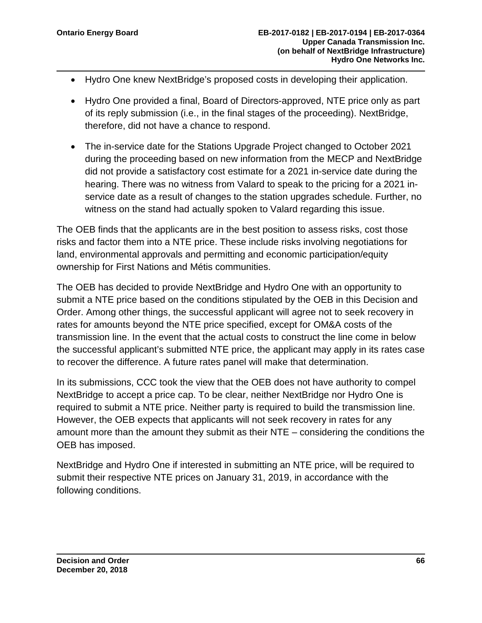- Hydro One knew NextBridge's proposed costs in developing their application.
- Hydro One provided a final, Board of Directors-approved, NTE price only as part of its reply submission (i.e., in the final stages of the proceeding). NextBridge, therefore, did not have a chance to respond.
- The in-service date for the Stations Upgrade Project changed to October 2021 during the proceeding based on new information from the MECP and NextBridge did not provide a satisfactory cost estimate for a 2021 in-service date during the hearing. There was no witness from Valard to speak to the pricing for a 2021 inservice date as a result of changes to the station upgrades schedule. Further, no witness on the stand had actually spoken to Valard regarding this issue.

The OEB finds that the applicants are in the best position to assess risks, cost those risks and factor them into a NTE price. These include risks involving negotiations for land, environmental approvals and permitting and economic participation/equity ownership for First Nations and Métis communities.

The OEB has decided to provide NextBridge and Hydro One with an opportunity to submit a NTE price based on the conditions stipulated by the OEB in this Decision and Order. Among other things, the successful applicant will agree not to seek recovery in rates for amounts beyond the NTE price specified, except for OM&A costs of the transmission line. In the event that the actual costs to construct the line come in below the successful applicant's submitted NTE price, the applicant may apply in its rates case to recover the difference. A future rates panel will make that determination.

In its submissions, CCC took the view that the OEB does not have authority to compel NextBridge to accept a price cap. To be clear, neither NextBridge nor Hydro One is required to submit a NTE price. Neither party is required to build the transmission line. However, the OEB expects that applicants will not seek recovery in rates for any amount more than the amount they submit as their NTE – considering the conditions the OEB has imposed.

NextBridge and Hydro One if interested in submitting an NTE price, will be required to submit their respective NTE prices on January 31, 2019, in accordance with the following conditions.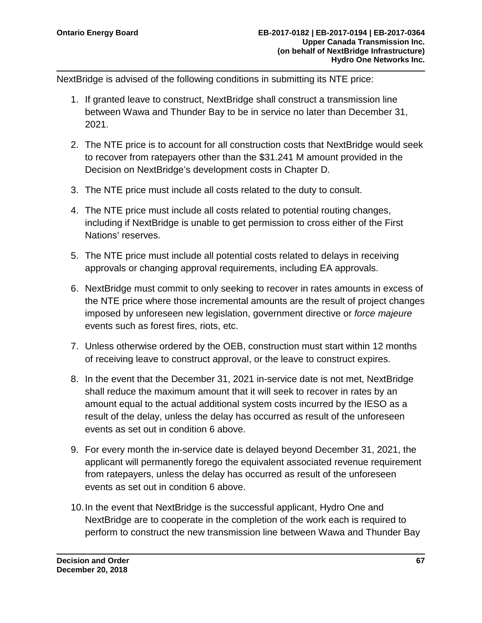NextBridge is advised of the following conditions in submitting its NTE price:

- 1. If granted leave to construct, NextBridge shall construct a transmission line between Wawa and Thunder Bay to be in service no later than December 31, 2021.
- 2. The NTE price is to account for all construction costs that NextBridge would seek to recover from ratepayers other than the \$31.241 M amount provided in the Decision on NextBridge's development costs in Chapter D.
- 3. The NTE price must include all costs related to the duty to consult.
- 4. The NTE price must include all costs related to potential routing changes, including if NextBridge is unable to get permission to cross either of the First Nations' reserves.
- 5. The NTE price must include all potential costs related to delays in receiving approvals or changing approval requirements, including EA approvals.
- 6. NextBridge must commit to only seeking to recover in rates amounts in excess of the NTE price where those incremental amounts are the result of project changes imposed by unforeseen new legislation, government directive or *force majeure* events such as forest fires, riots, etc.
- 7. Unless otherwise ordered by the OEB, construction must start within 12 months of receiving leave to construct approval, or the leave to construct expires.
- 8. In the event that the December 31, 2021 in-service date is not met, NextBridge shall reduce the maximum amount that it will seek to recover in rates by an amount equal to the actual additional system costs incurred by the IESO as a result of the delay, unless the delay has occurred as result of the unforeseen events as set out in condition 6 above.
- 9. For every month the in-service date is delayed beyond December 31, 2021, the applicant will permanently forego the equivalent associated revenue requirement from ratepayers, unless the delay has occurred as result of the unforeseen events as set out in condition 6 above.
- 10.In the event that NextBridge is the successful applicant, Hydro One and NextBridge are to cooperate in the completion of the work each is required to perform to construct the new transmission line between Wawa and Thunder Bay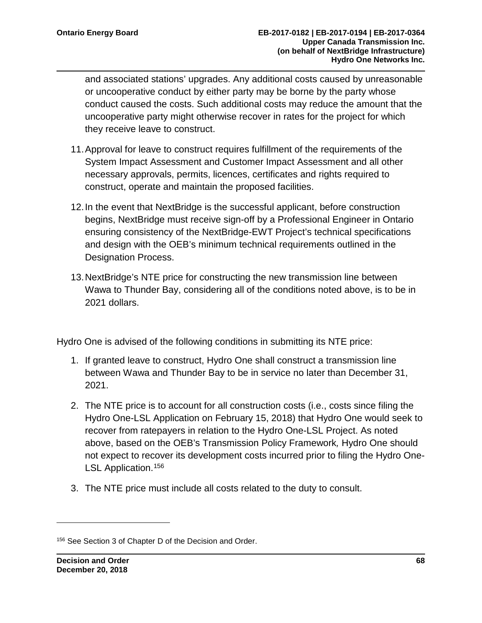and associated stations' upgrades. Any additional costs caused by unreasonable or uncooperative conduct by either party may be borne by the party whose conduct caused the costs. Such additional costs may reduce the amount that the uncooperative party might otherwise recover in rates for the project for which they receive leave to construct.

- 11.Approval for leave to construct requires fulfillment of the requirements of the System Impact Assessment and Customer Impact Assessment and all other necessary approvals, permits, licences, certificates and rights required to construct, operate and maintain the proposed facilities.
- 12.In the event that NextBridge is the successful applicant, before construction begins, NextBridge must receive sign-off by a Professional Engineer in Ontario ensuring consistency of the NextBridge-EWT Project's technical specifications and design with the OEB's minimum technical requirements outlined in the Designation Process.
- 13.NextBridge's NTE price for constructing the new transmission line between Wawa to Thunder Bay, considering all of the conditions noted above, is to be in 2021 dollars.

Hydro One is advised of the following conditions in submitting its NTE price:

- 1. If granted leave to construct, Hydro One shall construct a transmission line between Wawa and Thunder Bay to be in service no later than December 31, 2021.
- 2. The NTE price is to account for all construction costs (i.e., costs since filing the Hydro One-LSL Application on February 15, 2018) that Hydro One would seek to recover from ratepayers in relation to the Hydro One-LSL Project. As noted above, based on the OEB's Transmission Policy Framework*,* Hydro One should not expect to recover its development costs incurred prior to filing the Hydro One-LSL Application.<sup>[156](#page-70-0)</sup>
- 3. The NTE price must include all costs related to the duty to consult.

<span id="page-70-0"></span><sup>156</sup> See Section 3 of Chapter D of the Decision and Order.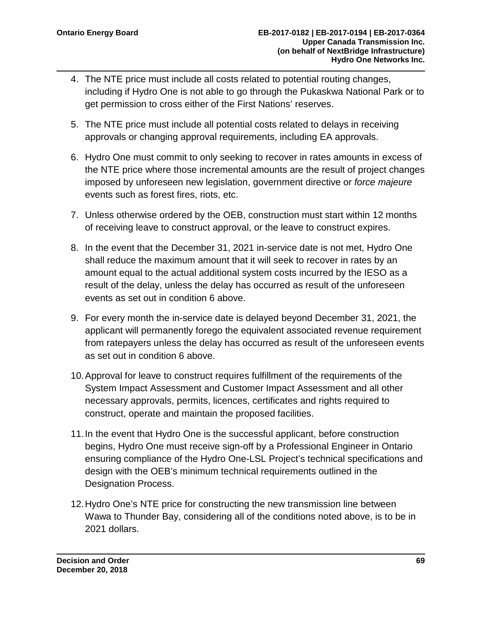- 4. The NTE price must include all costs related to potential routing changes, including if Hydro One is not able to go through the Pukaskwa National Park or to get permission to cross either of the First Nations' reserves.
- 5. The NTE price must include all potential costs related to delays in receiving approvals or changing approval requirements, including EA approvals.
- 6. Hydro One must commit to only seeking to recover in rates amounts in excess of the NTE price where those incremental amounts are the result of project changes imposed by unforeseen new legislation, government directive or *force majeure* events such as forest fires, riots, etc.
- 7. Unless otherwise ordered by the OEB, construction must start within 12 months of receiving leave to construct approval, or the leave to construct expires.
- 8. In the event that the December 31, 2021 in-service date is not met, Hydro One shall reduce the maximum amount that it will seek to recover in rates by an amount equal to the actual additional system costs incurred by the IESO as a result of the delay, unless the delay has occurred as result of the unforeseen events as set out in condition 6 above.
- 9. For every month the in-service date is delayed beyond December 31, 2021, the applicant will permanently forego the equivalent associated revenue requirement from ratepayers unless the delay has occurred as result of the unforeseen events as set out in condition 6 above.
- 10.Approval for leave to construct requires fulfillment of the requirements of the System Impact Assessment and Customer Impact Assessment and all other necessary approvals, permits, licences, certificates and rights required to construct, operate and maintain the proposed facilities.
- 11.In the event that Hydro One is the successful applicant, before construction begins, Hydro One must receive sign-off by a Professional Engineer in Ontario ensuring compliance of the Hydro One-LSL Project's technical specifications and design with the OEB's minimum technical requirements outlined in the Designation Process.
- 12.Hydro One's NTE price for constructing the new transmission line between Wawa to Thunder Bay, considering all of the conditions noted above, is to be in 2021 dollars.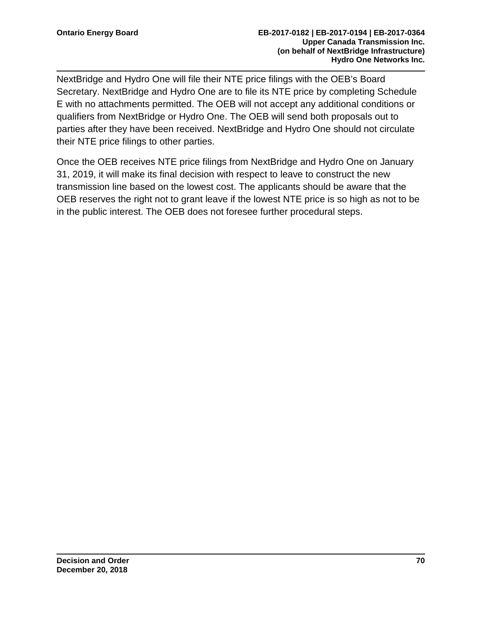NextBridge and Hydro One will file their NTE price filings with the OEB's Board Secretary. NextBridge and Hydro One are to file its NTE price by completing Schedule E with no attachments permitted. The OEB will not accept any additional conditions or qualifiers from NextBridge or Hydro One. The OEB will send both proposals out to parties after they have been received. NextBridge and Hydro One should not circulate their NTE price filings to other parties.

Once the OEB receives NTE price filings from NextBridge and Hydro One on January 31, 2019, it will make its final decision with respect to leave to construct the new transmission line based on the lowest cost. The applicants should be aware that the OEB reserves the right not to grant leave if the lowest NTE price is so high as not to be in the public interest. The OEB does not foresee further procedural steps.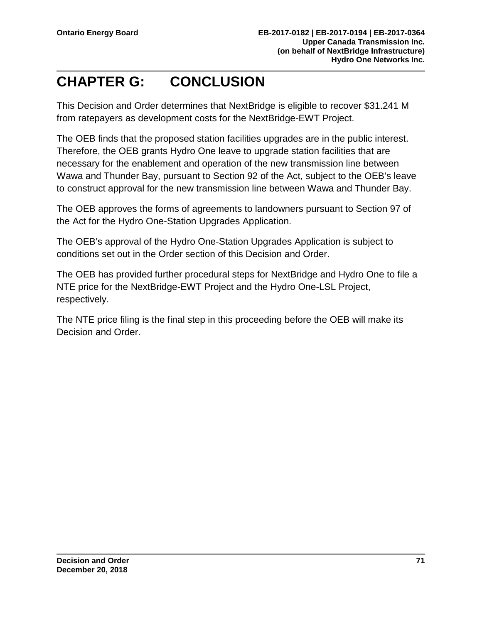# **CHAPTER G: CONCLUSION**

This Decision and Order determines that NextBridge is eligible to recover \$31.241 M from ratepayers as development costs for the NextBridge-EWT Project.

The OEB finds that the proposed station facilities upgrades are in the public interest. Therefore, the OEB grants Hydro One leave to upgrade station facilities that are necessary for the enablement and operation of the new transmission line between Wawa and Thunder Bay, pursuant to Section 92 of the Act, subject to the OEB's leave to construct approval for the new transmission line between Wawa and Thunder Bay.

The OEB approves the forms of agreements to landowners pursuant to Section 97 of the Act for the Hydro One-Station Upgrades Application.

The OEB's approval of the Hydro One-Station Upgrades Application is subject to conditions set out in the Order section of this Decision and Order.

The OEB has provided further procedural steps for NextBridge and Hydro One to file a NTE price for the NextBridge-EWT Project and the Hydro One-LSL Project, respectively.

The NTE price filing is the final step in this proceeding before the OEB will make its Decision and Order.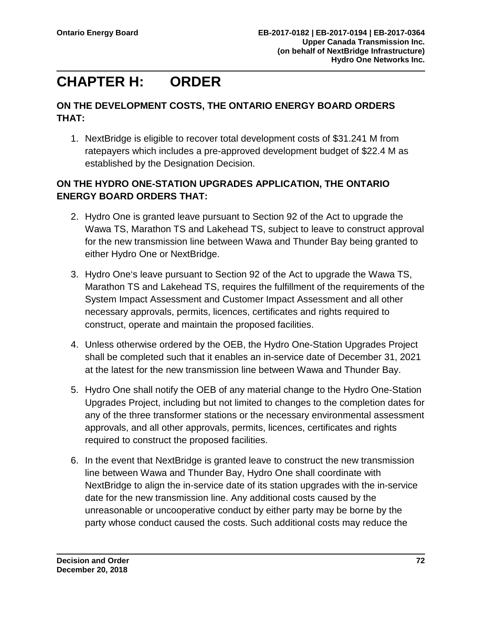# **CHAPTER H: ORDER**

#### **ON THE DEVELOPMENT COSTS, THE ONTARIO ENERGY BOARD ORDERS THAT:**

1. NextBridge is eligible to recover total development costs of \$31.241 M from ratepayers which includes a pre-approved development budget of \$22.4 M as established by the Designation Decision.

#### **ON THE HYDRO ONE-STATION UPGRADES APPLICATION, THE ONTARIO ENERGY BOARD ORDERS THAT:**

- 2. Hydro One is granted leave pursuant to Section 92 of the Act to upgrade the Wawa TS, Marathon TS and Lakehead TS, subject to leave to construct approval for the new transmission line between Wawa and Thunder Bay being granted to either Hydro One or NextBridge.
- 3. Hydro One's leave pursuant to Section 92 of the Act to upgrade the Wawa TS, Marathon TS and Lakehead TS, requires the fulfillment of the requirements of the System Impact Assessment and Customer Impact Assessment and all other necessary approvals, permits, licences, certificates and rights required to construct, operate and maintain the proposed facilities.
- 4. Unless otherwise ordered by the OEB, the Hydro One-Station Upgrades Project shall be completed such that it enables an in-service date of December 31, 2021 at the latest for the new transmission line between Wawa and Thunder Bay.
- 5. Hydro One shall notify the OEB of any material change to the Hydro One-Station Upgrades Project, including but not limited to changes to the completion dates for any of the three transformer stations or the necessary environmental assessment approvals, and all other approvals, permits, licences, certificates and rights required to construct the proposed facilities.
- 6. In the event that NextBridge is granted leave to construct the new transmission line between Wawa and Thunder Bay, Hydro One shall coordinate with NextBridge to align the in-service date of its station upgrades with the in-service date for the new transmission line. Any additional costs caused by the unreasonable or uncooperative conduct by either party may be borne by the party whose conduct caused the costs. Such additional costs may reduce the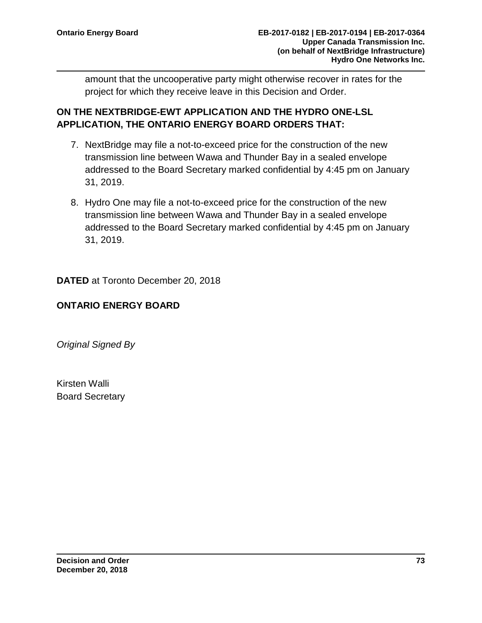amount that the uncooperative party might otherwise recover in rates for the project for which they receive leave in this Decision and Order.

#### **ON THE NEXTBRIDGE-EWT APPLICATION AND THE HYDRO ONE-LSL APPLICATION, THE ONTARIO ENERGY BOARD ORDERS THAT:**

- 7. NextBridge may file a not-to-exceed price for the construction of the new transmission line between Wawa and Thunder Bay in a sealed envelope addressed to the Board Secretary marked confidential by 4:45 pm on January 31, 2019.
- 8. Hydro One may file a not-to-exceed price for the construction of the new transmission line between Wawa and Thunder Bay in a sealed envelope addressed to the Board Secretary marked confidential by 4:45 pm on January 31, 2019.

**DATED** at Toronto December 20, 2018

#### **ONTARIO ENERGY BOARD**

*Original Signed By*

Kirsten Walli Board Secretary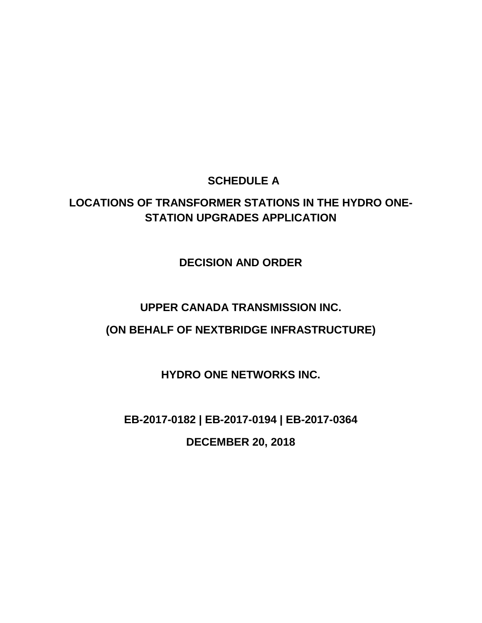## **SCHEDULE A**

## **LOCATIONS OF TRANSFORMER STATIONS IN THE HYDRO ONE-STATION UPGRADES APPLICATION**

## **DECISION AND ORDER**

## **UPPER CANADA TRANSMISSION INC.**

## **(ON BEHALF OF NEXTBRIDGE INFRASTRUCTURE)**

**HYDRO ONE NETWORKS INC.**

**EB-2017-0182 | EB-2017-0194 | EB-2017-0364**

**DECEMBER 20, 2018**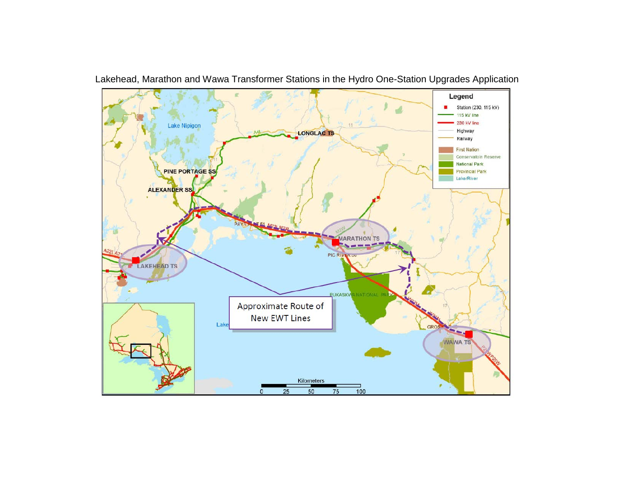

Lakehead, Marathon and Wawa Transformer Stations in the Hydro One-Station Upgrades Application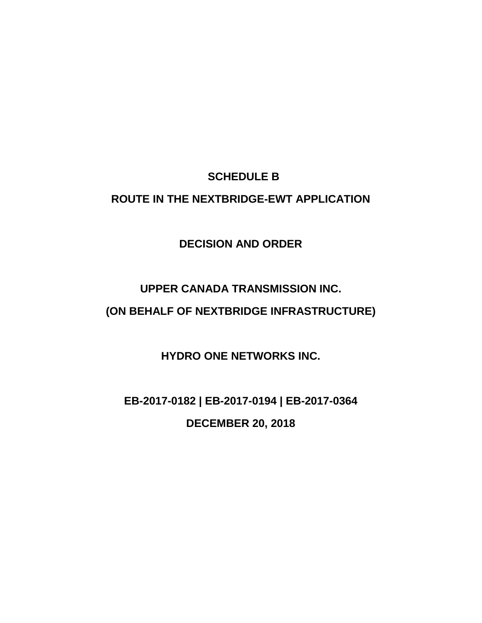# **SCHEDULE B**

## **ROUTE IN THE NEXTBRIDGE-EWT APPLICATION**

**DECISION AND ORDER**

## **UPPER CANADA TRANSMISSION INC. (ON BEHALF OF NEXTBRIDGE INFRASTRUCTURE)**

**HYDRO ONE NETWORKS INC.**

**EB-2017-0182 | EB-2017-0194 | EB-2017-0364 DECEMBER 20, 2018**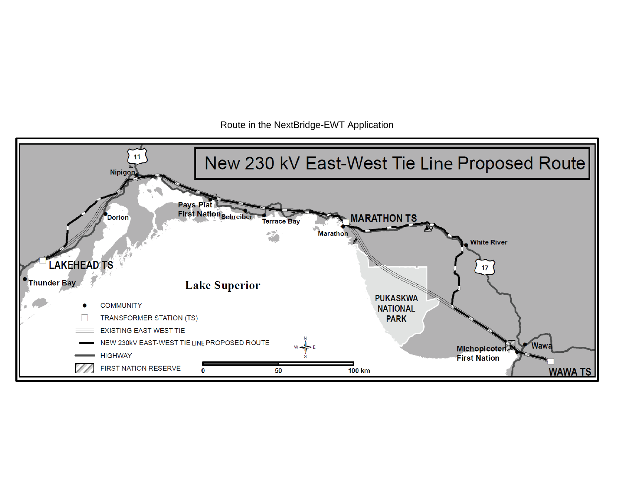#### Route in the NextBridge-EWT Application

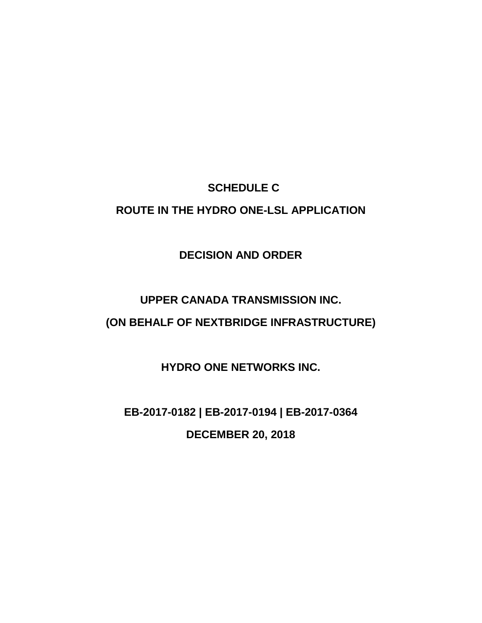# **SCHEDULE C ROUTE IN THE HYDRO ONE-LSL APPLICATION**

**DECISION AND ORDER**

## **UPPER CANADA TRANSMISSION INC. (ON BEHALF OF NEXTBRIDGE INFRASTRUCTURE)**

**HYDRO ONE NETWORKS INC.**

**EB-2017-0182 | EB-2017-0194 | EB-2017-0364 DECEMBER 20, 2018**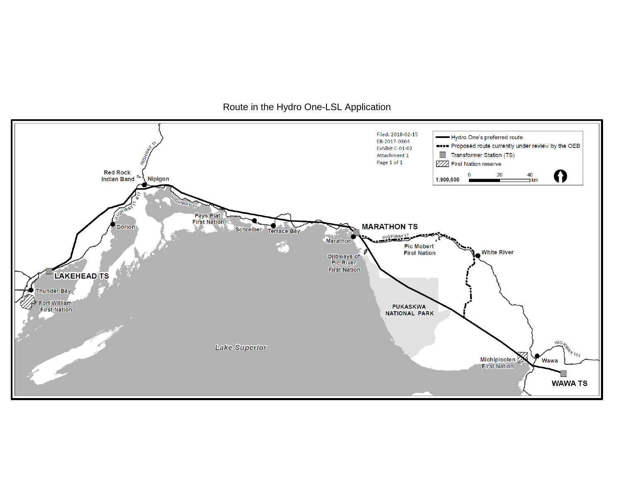

#### Route in the Hydro One-LSL Application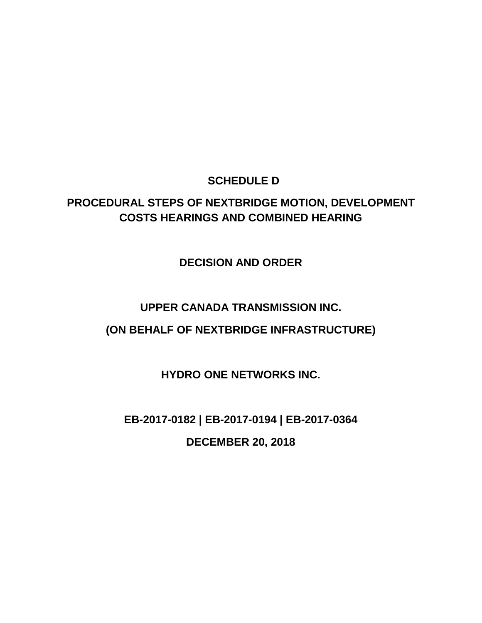## **SCHEDULE D**

## **PROCEDURAL STEPS OF NEXTBRIDGE MOTION, DEVELOPMENT COSTS HEARINGS AND COMBINED HEARING**

## **DECISION AND ORDER**

## **UPPER CANADA TRANSMISSION INC.**

## **(ON BEHALF OF NEXTBRIDGE INFRASTRUCTURE)**

**HYDRO ONE NETWORKS INC.**

**EB-2017-0182 | EB-2017-0194 | EB-2017-0364**

**DECEMBER 20, 2018**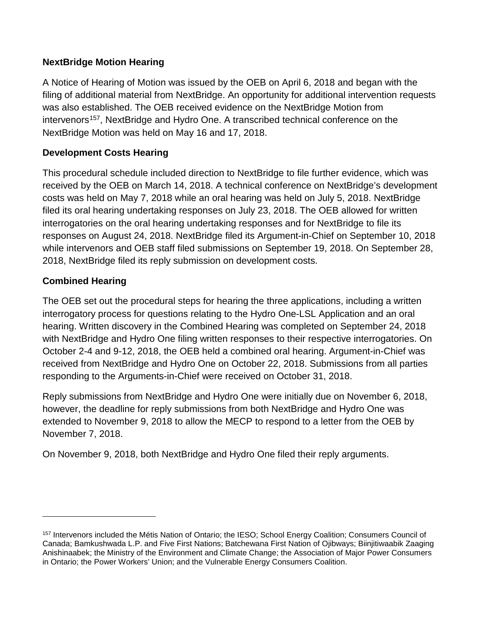#### **NextBridge Motion Hearing**

A Notice of Hearing of Motion was issued by the OEB on April 6, 2018 and began with the filing of additional material from NextBridge. An opportunity for additional intervention requests was also established. The OEB received evidence on the NextBridge Motion from intervenors<sup>[157](#page-83-0)</sup>, NextBridge and Hydro One. A transcribed technical conference on the NextBridge Motion was held on May 16 and 17, 2018.

#### **Development Costs Hearing**

This procedural schedule included direction to NextBridge to file further evidence, which was received by the OEB on March 14, 2018. A technical conference on NextBridge's development costs was held on May 7, 2018 while an oral hearing was held on July 5, 2018. NextBridge filed its oral hearing undertaking responses on July 23, 2018. The OEB allowed for written interrogatories on the oral hearing undertaking responses and for NextBridge to file its responses on August 24, 2018. NextBridge filed its Argument-in-Chief on September 10, 2018 while intervenors and OEB staff filed submissions on September 19, 2018. On September 28, 2018, NextBridge filed its reply submission on development costs.

#### **Combined Hearing**

 $\overline{a}$ 

The OEB set out the procedural steps for hearing the three applications, including a written interrogatory process for questions relating to the Hydro One-LSL Application and an oral hearing. Written discovery in the Combined Hearing was completed on September 24, 2018 with NextBridge and Hydro One filing written responses to their respective interrogatories. On October 2-4 and 9-12, 2018, the OEB held a combined oral hearing. Argument-in-Chief was received from NextBridge and Hydro One on October 22, 2018. Submissions from all parties responding to the Arguments-in-Chief were received on October 31, 2018.

Reply submissions from NextBridge and Hydro One were initially due on November 6, 2018, however, the deadline for reply submissions from both NextBridge and Hydro One was extended to November 9, 2018 to allow the MECP to respond to a letter from the OEB by November 7, 2018.

On November 9, 2018, both NextBridge and Hydro One filed their reply arguments.

<span id="page-83-0"></span><sup>157</sup> Intervenors included the Métis Nation of Ontario; the IESO; School Energy Coalition; Consumers Council of Canada; Bamkushwada L.P. and Five First Nations; Batchewana First Nation of Ojibways; Biinjitiwaabik Zaaging Anishinaabek; the Ministry of the Environment and Climate Change; the Association of Major Power Consumers in Ontario; the Power Workers' Union; and the Vulnerable Energy Consumers Coalition.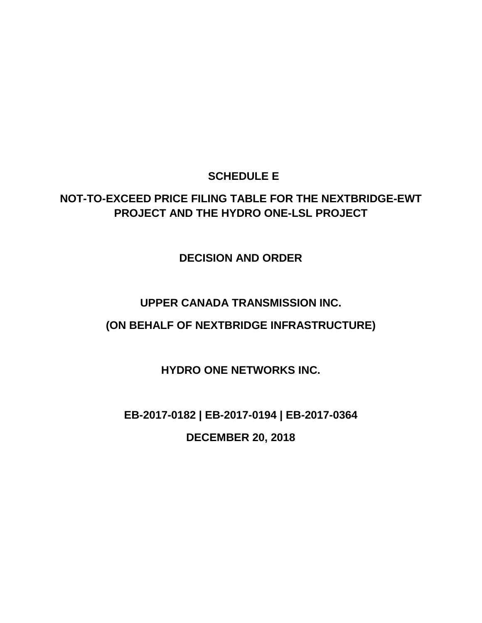## **SCHEDULE E**

## **NOT-TO-EXCEED PRICE FILING TABLE FOR THE NEXTBRIDGE-EWT PROJECT AND THE HYDRO ONE-LSL PROJECT**

**DECISION AND ORDER**

## **UPPER CANADA TRANSMISSION INC.**

## **(ON BEHALF OF NEXTBRIDGE INFRASTRUCTURE)**

**HYDRO ONE NETWORKS INC.**

**EB-2017-0182 | EB-2017-0194 | EB-2017-0364**

**DECEMBER 20, 2018**